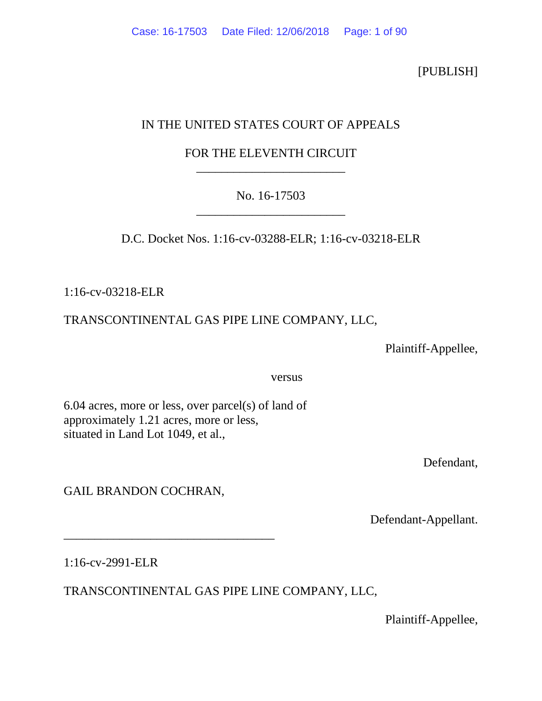[PUBLISH]

# IN THE UNITED STATES COURT OF APPEALS

## FOR THE ELEVENTH CIRCUIT \_\_\_\_\_\_\_\_\_\_\_\_\_\_\_\_\_\_\_\_\_\_\_\_

## No. 16-17503 \_\_\_\_\_\_\_\_\_\_\_\_\_\_\_\_\_\_\_\_\_\_\_\_

D.C. Docket Nos. 1:16-cv-03288-ELR; 1:16-cv-03218-ELR

1:16-cv-03218-ELR

# TRANSCONTINENTAL GAS PIPE LINE COMPANY, LLC,

Plaintiff-Appellee,

versus

6.04 acres, more or less, over parcel(s) of land of approximately 1.21 acres, more or less, situated in Land Lot 1049, et al.,

Defendant,

GAIL BRANDON COCHRAN,

\_\_\_\_\_\_\_\_\_\_\_\_\_\_\_\_\_\_\_\_\_\_\_\_\_\_\_\_\_\_\_\_\_\_

Defendant-Appellant.

1:16-cv-2991-ELR

TRANSCONTINENTAL GAS PIPE LINE COMPANY, LLC,

Plaintiff-Appellee,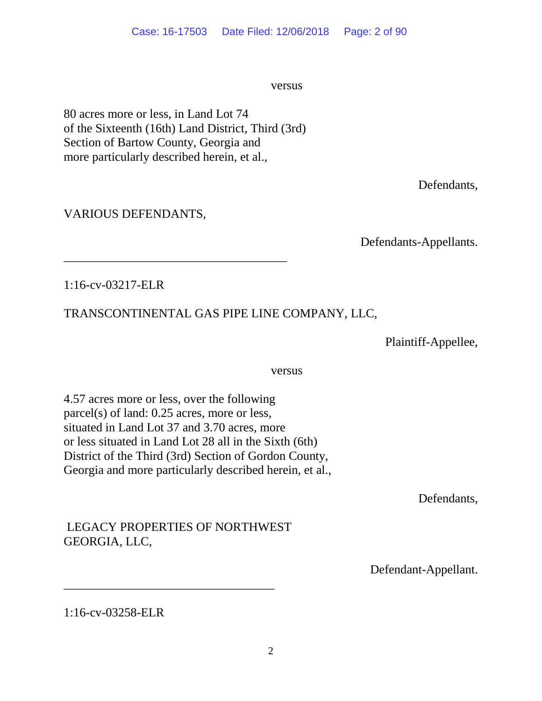versus versus

80 acres more or less, in Land Lot 74 of the Sixteenth (16th) Land District, Third (3rd) Section of Bartow County, Georgia and more particularly described herein, et al.,

\_\_\_\_\_\_\_\_\_\_\_\_\_\_\_\_\_\_\_\_\_\_\_\_\_\_\_\_\_\_\_\_\_\_\_\_

Defendants,

## VARIOUS DEFENDANTS,

Defendants-Appellants.

1:16-cv-03217-ELR

# TRANSCONTINENTAL GAS PIPE LINE COMPANY, LLC,

Plaintiff-Appellee,

versus versus

4.57 acres more or less, over the following parcel(s) of land: 0.25 acres, more or less, situated in Land Lot 37 and 3.70 acres, more or less situated in Land Lot 28 all in the Sixth (6th) District of the Third (3rd) Section of Gordon County, Georgia and more particularly described herein, et al.,

Defendants,

# LEGACY PROPERTIES OF NORTHWEST GEORGIA, LLC,

\_\_\_\_\_\_\_\_\_\_\_\_\_\_\_\_\_\_\_\_\_\_\_\_\_\_\_\_\_\_\_\_\_\_

Defendant-Appellant.

1:16-cv-03258-ELR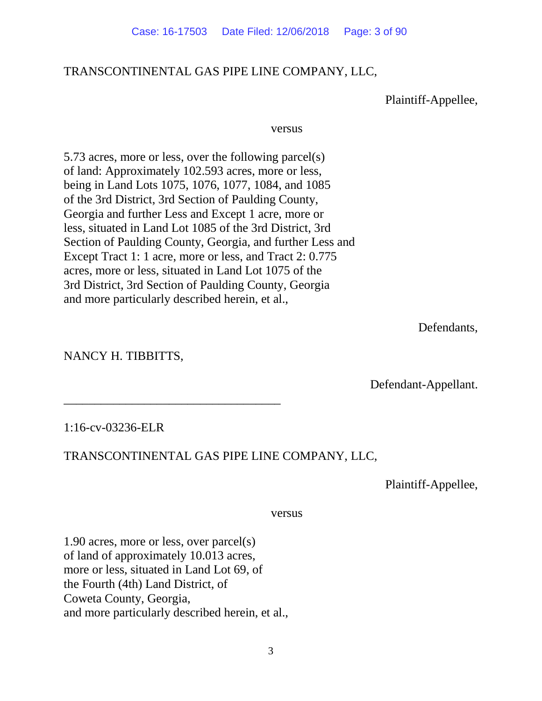## TRANSCONTINENTAL GAS PIPE LINE COMPANY, LLC,

Plaintiff-Appellee,

### versus versus

5.73 acres, more or less, over the following parcel(s) of land: Approximately 102.593 acres, more or less, being in Land Lots 1075, 1076, 1077, 1084, and 1085 of the 3rd District, 3rd Section of Paulding County, Georgia and further Less and Except 1 acre, more or less, situated in Land Lot 1085 of the 3rd District, 3rd Section of Paulding County, Georgia, and further Less and Except Tract 1: 1 acre, more or less, and Tract 2: 0.775 acres, more or less, situated in Land Lot 1075 of the 3rd District, 3rd Section of Paulding County, Georgia and more particularly described herein, et al.,

Defendants,

NANCY H. TIBBITTS,

Defendant-Appellant.

### 1:16-cv-03236-ELR

## TRANSCONTINENTAL GAS PIPE LINE COMPANY, LLC,

Plaintiff-Appellee,

versus

1.90 acres, more or less, over parcel(s) of land of approximately 10.013 acres, more or less, situated in Land Lot 69, of the Fourth (4th) Land District, of Coweta County, Georgia, and more particularly described herein, et al.,

\_\_\_\_\_\_\_\_\_\_\_\_\_\_\_\_\_\_\_\_\_\_\_\_\_\_\_\_\_\_\_\_\_\_\_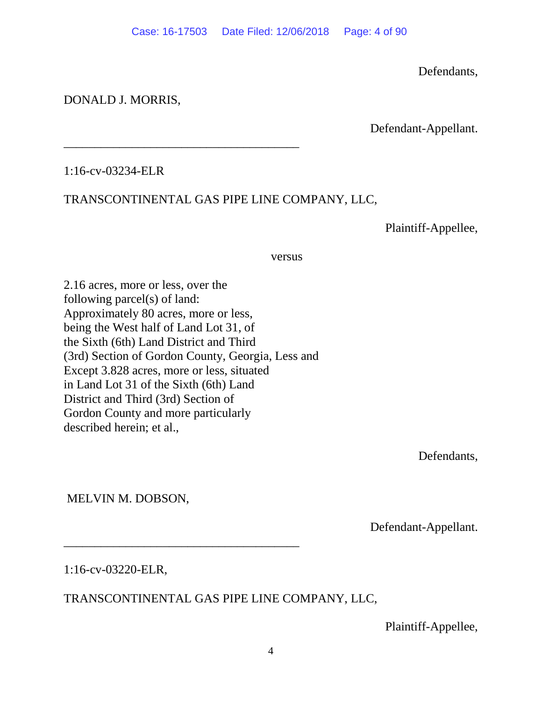Defendants,

## DONALD J. MORRIS,

Defendant-Appellant.

1:16-cv-03234-ELR

# TRANSCONTINENTAL GAS PIPE LINE COMPANY, LLC,

\_\_\_\_\_\_\_\_\_\_\_\_\_\_\_\_\_\_\_\_\_\_\_\_\_\_\_\_\_\_\_\_\_\_\_\_\_\_

Plaintiff-Appellee,

### versus versus

2.16 acres, more or less, over the following parcel(s) of land: Approximately 80 acres, more or less, being the West half of Land Lot 31, of the Sixth (6th) Land District and Third (3rd) Section of Gordon County, Georgia, Less and Except 3.828 acres, more or less, situated in Land Lot 31 of the Sixth (6th) Land District and Third (3rd) Section of Gordon County and more particularly described herein; et al.,

\_\_\_\_\_\_\_\_\_\_\_\_\_\_\_\_\_\_\_\_\_\_\_\_\_\_\_\_\_\_\_\_\_\_\_\_\_\_

Defendants,

MELVIN M. DOBSON,

Defendant-Appellant.

1:16-cv-03220-ELR,

# TRANSCONTINENTAL GAS PIPE LINE COMPANY, LLC,

Plaintiff-Appellee,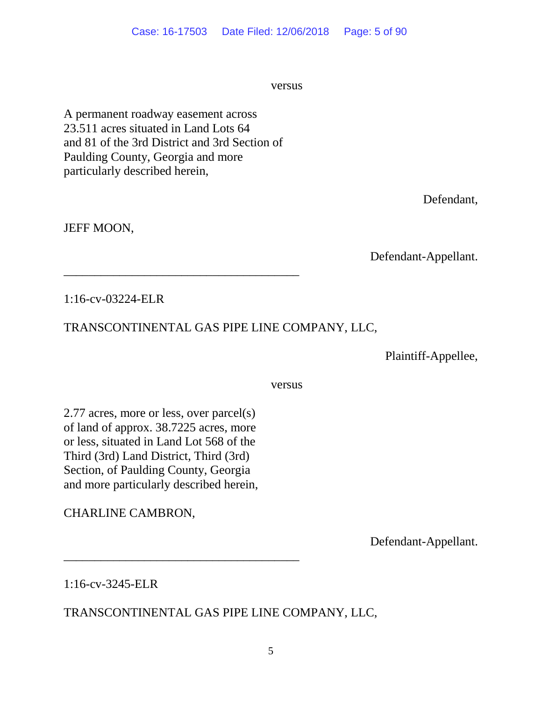versus versus

A permanent roadway easement across 23.511 acres situated in Land Lots 64 and 81 of the 3rd District and 3rd Section of Paulding County, Georgia and more particularly described herein,

\_\_\_\_\_\_\_\_\_\_\_\_\_\_\_\_\_\_\_\_\_\_\_\_\_\_\_\_\_\_\_\_\_\_\_\_\_\_

Defendant,

JEFF MOON,

Defendant-Appellant.

1:16-cv-03224-ELR

# TRANSCONTINENTAL GAS PIPE LINE COMPANY, LLC,

Plaintiff-Appellee,

versus versus

2.77 acres, more or less, over parcel(s) of land of approx. 38.7225 acres, more or less, situated in Land Lot 568 of the Third (3rd) Land District, Third (3rd) Section, of Paulding County, Georgia and more particularly described herein,

\_\_\_\_\_\_\_\_\_\_\_\_\_\_\_\_\_\_\_\_\_\_\_\_\_\_\_\_\_\_\_\_\_\_\_\_\_\_

CHARLINE CAMBRON,

Defendant-Appellant.

1:16-cv-3245-ELR

TRANSCONTINENTAL GAS PIPE LINE COMPANY, LLC,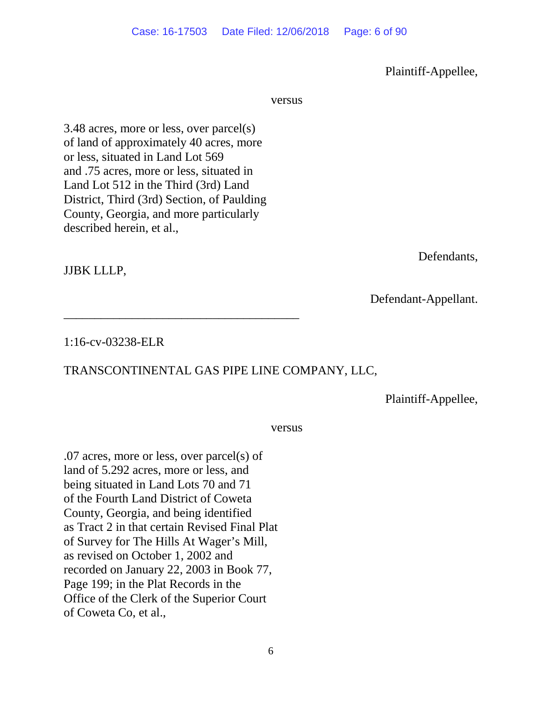6

Plaintiff-Appellee,

versus versus

3.48 acres, more or less, over parcel(s) of land of approximately 40 acres, more or less, situated in Land Lot 569 and .75 acres, more or less, situated in Land Lot 512 in the Third (3rd) Land District, Third (3rd) Section, of Paulding County, Georgia, and more particularly described herein, et al.,

\_\_\_\_\_\_\_\_\_\_\_\_\_\_\_\_\_\_\_\_\_\_\_\_\_\_\_\_\_\_\_\_\_\_\_\_\_\_

JJBK LLLP,

1:16-cv-03238-ELR

# TRANSCONTINENTAL GAS PIPE LINE COMPANY, LLC,

Plaintiff-Appellee,

versus versus

.07 acres, more or less, over parcel(s) of land of 5.292 acres, more or less, and being situated in Land Lots 70 and 71 of the Fourth Land District of Coweta County, Georgia, and being identified as Tract 2 in that certain Revised Final Plat of Survey for The Hills At Wager's Mill, as revised on October 1, 2002 and recorded on January 22, 2003 in Book 77, Page 199; in the Plat Records in the Office of the Clerk of the Superior Court of Coweta Co, et al.,

Defendants,

Defendant-Appellant.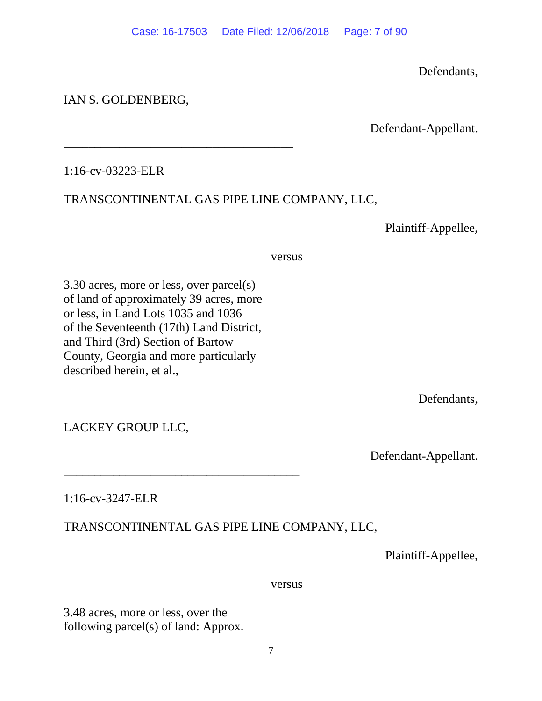Defendants,

## IAN S. GOLDENBERG,

Defendant-Appellant.

1:16-cv-03223-ELR

## TRANSCONTINENTAL GAS PIPE LINE COMPANY, LLC,

Plaintiff-Appellee,

versus versus

3.30 acres, more or less, over parcel(s) of land of approximately 39 acres, more or less, in Land Lots 1035 and 1036 of the Seventeenth (17th) Land District, and Third (3rd) Section of Bartow County, Georgia and more particularly described herein, et al.,

\_\_\_\_\_\_\_\_\_\_\_\_\_\_\_\_\_\_\_\_\_\_\_\_\_\_\_\_\_\_\_\_\_\_\_\_\_\_

\_\_\_\_\_\_\_\_\_\_\_\_\_\_\_\_\_\_\_\_\_\_\_\_\_\_\_\_\_\_\_\_\_\_\_\_\_

Defendants,

LACKEY GROUP LLC,

Defendant-Appellant.

1:16-cv-3247-ELR

# TRANSCONTINENTAL GAS PIPE LINE COMPANY, LLC,

Plaintiff-Appellee,

versus versus

3.48 acres, more or less, over the following parcel(s) of land: Approx.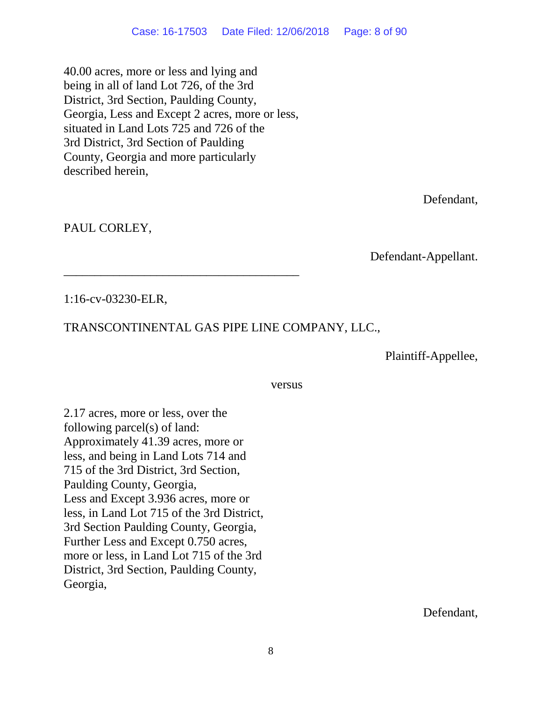40.00 acres, more or less and lying and being in all of land Lot 726, of the 3rd District, 3rd Section, Paulding County, Georgia, Less and Except 2 acres, more or less, situated in Land Lots 725 and 726 of the 3rd District, 3rd Section of Paulding County, Georgia and more particularly described herein,

\_\_\_\_\_\_\_\_\_\_\_\_\_\_\_\_\_\_\_\_\_\_\_\_\_\_\_\_\_\_\_\_\_\_\_\_\_\_

Defendant,

PAUL CORLEY,

Defendant-Appellant.

1:16-cv-03230-ELR,

# TRANSCONTINENTAL GAS PIPE LINE COMPANY, LLC.,

Plaintiff-Appellee,

### versus versus

2.17 acres, more or less, over the following parcel(s) of land: Approximately 41.39 acres, more or less, and being in Land Lots 714 and 715 of the 3rd District, 3rd Section, Paulding County, Georgia, Less and Except 3.936 acres, more or less, in Land Lot 715 of the 3rd District, 3rd Section Paulding County, Georgia, Further Less and Except 0.750 acres, more or less, in Land Lot 715 of the 3rd District, 3rd Section, Paulding County, Georgia,

Defendant,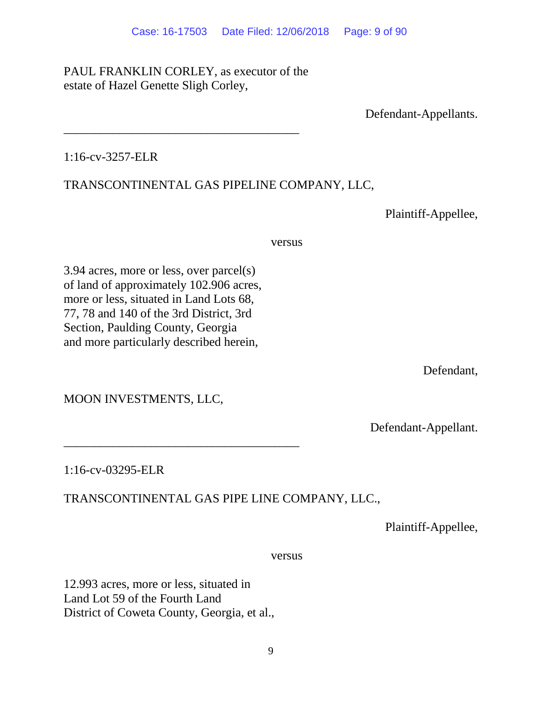# PAUL FRANKLIN CORLEY, as executor of the estate of Hazel Genette Sligh Corley,

\_\_\_\_\_\_\_\_\_\_\_\_\_\_\_\_\_\_\_\_\_\_\_\_\_\_\_\_\_\_\_\_\_\_\_\_\_\_

Defendant-Appellants.

## 1:16-cv-3257-ELR

# TRANSCONTINENTAL GAS PIPELINE COMPANY, LLC,

Plaintiff-Appellee,

versus versus

3.94 acres, more or less, over parcel(s) of land of approximately 102.906 acres, more or less, situated in Land Lots 68, 77, 78 and 140 of the 3rd District, 3rd Section, Paulding County, Georgia and more particularly described herein,

Defendant,

MOON INVESTMENTS, LLC,

Defendant-Appellant.

1:16-cv-03295-ELR

# TRANSCONTINENTAL GAS PIPE LINE COMPANY, LLC.,

Plaintiff-Appellee,

versus versus

12.993 acres, more or less, situated in Land Lot 59 of the Fourth Land District of Coweta County, Georgia, et al.,

\_\_\_\_\_\_\_\_\_\_\_\_\_\_\_\_\_\_\_\_\_\_\_\_\_\_\_\_\_\_\_\_\_\_\_\_\_\_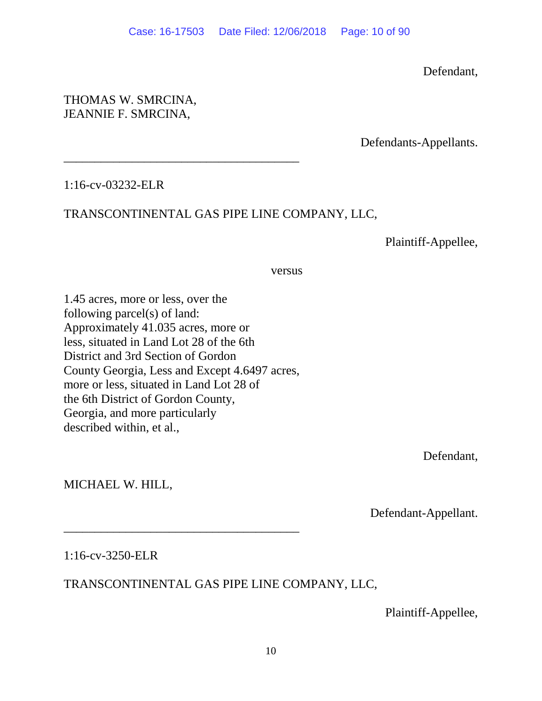Defendant,

## THOMAS W. SMRCINA, JEANNIE F. SMRCINA,

Defendants-Appellants.

1:16-cv-03232-ELR

# TRANSCONTINENTAL GAS PIPE LINE COMPANY, LLC,

Plaintiff-Appellee,

### versus versus

1.45 acres, more or less, over the following parcel(s) of land: Approximately 41.035 acres, more or less, situated in Land Lot 28 of the 6th District and 3rd Section of Gordon County Georgia, Less and Except 4.6497 acres, more or less, situated in Land Lot 28 of the 6th District of Gordon County, Georgia, and more particularly described within, et al.,

\_\_\_\_\_\_\_\_\_\_\_\_\_\_\_\_\_\_\_\_\_\_\_\_\_\_\_\_\_\_\_\_\_\_\_\_\_\_

\_\_\_\_\_\_\_\_\_\_\_\_\_\_\_\_\_\_\_\_\_\_\_\_\_\_\_\_\_\_\_\_\_\_\_\_\_\_

Defendant,

MICHAEL W. HILL,

Defendant-Appellant.

1:16-cv-3250-ELR

# TRANSCONTINENTAL GAS PIPE LINE COMPANY, LLC,

Plaintiff-Appellee,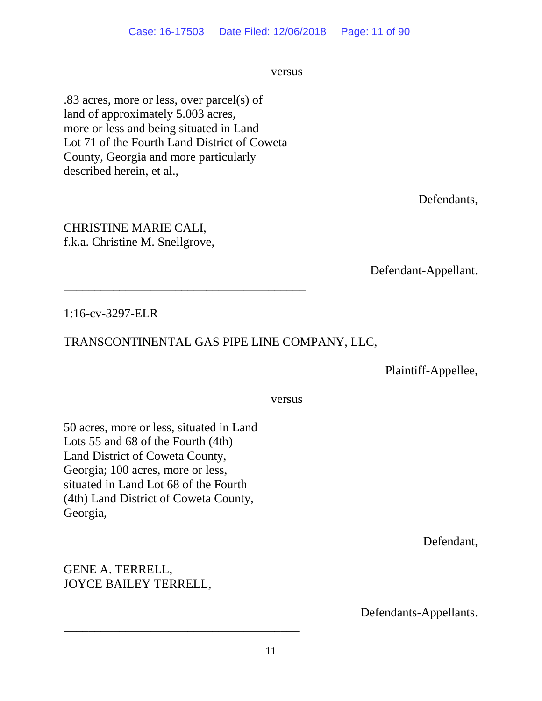versus versus

.83 acres, more or less, over parcel(s) of land of approximately 5.003 acres, more or less and being situated in Land Lot 71 of the Fourth Land District of Coweta County, Georgia and more particularly described herein, et al.,

\_\_\_\_\_\_\_\_\_\_\_\_\_\_\_\_\_\_\_\_\_\_\_\_\_\_\_\_\_\_\_\_\_\_\_\_\_\_\_

Defendants,

Defendant-Appellant.

1:16-cv-3297-ELR

CHRISTINE MARIE CALI, f.k.a. Christine M. Snellgrove,

# TRANSCONTINENTAL GAS PIPE LINE COMPANY, LLC,

Plaintiff-Appellee,

versus versus

50 acres, more or less, situated in Land Lots 55 and 68 of the Fourth (4th) Land District of Coweta County, Georgia; 100 acres, more or less, situated in Land Lot 68 of the Fourth (4th) Land District of Coweta County, Georgia,

GENE A. TERRELL, JOYCE BAILEY TERRELL, Defendant,

Defendants-Appellants.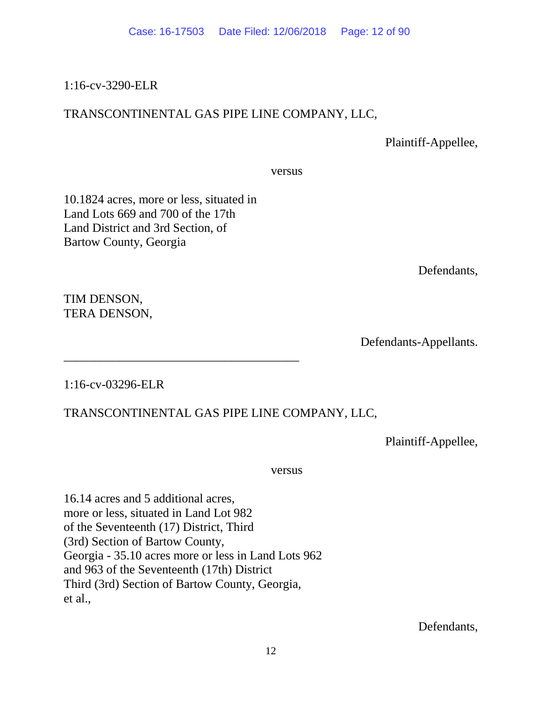### 1:16-cv-3290-ELR

## TRANSCONTINENTAL GAS PIPE LINE COMPANY, LLC,

Plaintiff-Appellee,

versus

10.1824 acres, more or less, situated in Land Lots 669 and 700 of the 17th Land District and 3rd Section, of Bartow County, Georgia

\_\_\_\_\_\_\_\_\_\_\_\_\_\_\_\_\_\_\_\_\_\_\_\_\_\_\_\_\_\_\_\_\_\_\_\_\_\_

Defendants,

TIM DENSON, TERA DENSON,

Defendants-Appellants.

1:16-cv-03296-ELR

# TRANSCONTINENTAL GAS PIPE LINE COMPANY, LLC,

Plaintiff-Appellee,

versus versus

16.14 acres and 5 additional acres, more or less, situated in Land Lot 982 of the Seventeenth (17) District, Third (3rd) Section of Bartow County, Georgia - 35.10 acres more or less in Land Lots 962 and 963 of the Seventeenth (17th) District Third (3rd) Section of Bartow County, Georgia, et al.,

Defendants,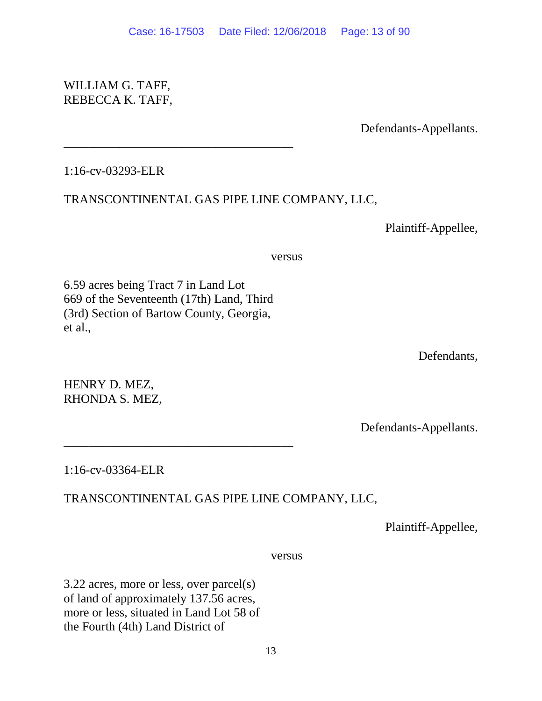## WILLIAM G. TAFF, REBECCA K. TAFF,

Defendants-Appellants.

## 1:16-cv-03293-ELR

## TRANSCONTINENTAL GAS PIPE LINE COMPANY, LLC,

Plaintiff-Appellee,

versus versus

6.59 acres being Tract 7 in Land Lot 669 of the Seventeenth (17th) Land, Third (3rd) Section of Bartow County, Georgia, et al.,

\_\_\_\_\_\_\_\_\_\_\_\_\_\_\_\_\_\_\_\_\_\_\_\_\_\_\_\_\_\_\_\_\_\_\_\_\_

\_\_\_\_\_\_\_\_\_\_\_\_\_\_\_\_\_\_\_\_\_\_\_\_\_\_\_\_\_\_\_\_\_\_\_\_\_

Defendants,

HENRY D. MEZ, RHONDA S. MEZ,

Defendants-Appellants.

## 1:16-cv-03364-ELR

# TRANSCONTINENTAL GAS PIPE LINE COMPANY, LLC,

Plaintiff-Appellee,

versus versus

3.22 acres, more or less, over parcel(s) of land of approximately 137.56 acres, more or less, situated in Land Lot 58 of the Fourth (4th) Land District of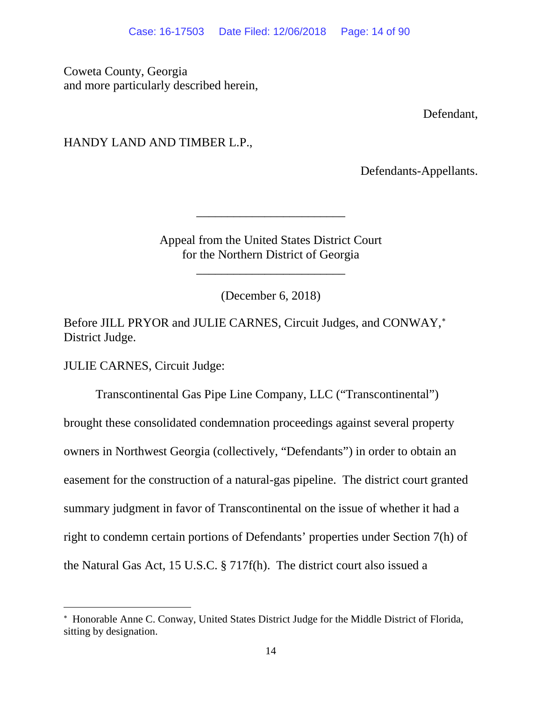Coweta County, Georgia and more particularly described herein,

Defendant,

## HANDY LAND AND TIMBER L.P.,

Defendants-Appellants.

Appeal from the United States District Court for the Northern District of Georgia

\_\_\_\_\_\_\_\_\_\_\_\_\_\_\_\_\_\_\_\_\_\_\_\_

\_\_\_\_\_\_\_\_\_\_\_\_\_\_\_\_\_\_\_\_\_\_\_\_

(December 6, 2018)

Before JILL PRYOR and JULIE CARNES, Circuit Judges, and CONWAY,<sup>\*</sup> District Judge.

JULIE CARNES, Circuit Judge:

 $\overline{a}$ 

Transcontinental Gas Pipe Line Company, LLC ("Transcontinental") brought these consolidated condemnation proceedings against several property owners in Northwest Georgia (collectively, "Defendants") in order to obtain an easement for the construction of a natural-gas pipeline. The district court granted summary judgment in favor of Transcontinental on the issue of whether it had a right to condemn certain portions of Defendants' properties under Section 7(h) of the Natural Gas Act, 15 U.S.C. § 717f(h). The district court also issued a

<span id="page-13-0"></span><sup>∗</sup> Honorable Anne C. Conway, United States District Judge for the Middle District of Florida, sitting by designation.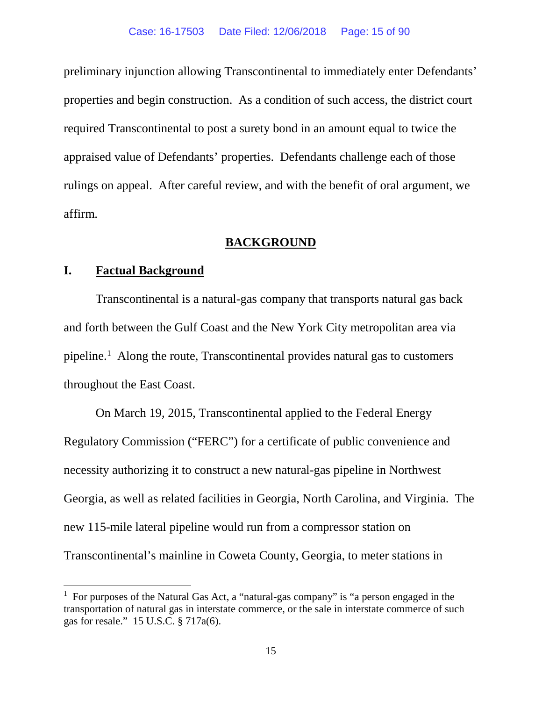preliminary injunction allowing Transcontinental to immediately enter Defendants' properties and begin construction. As a condition of such access, the district court required Transcontinental to post a surety bond in an amount equal to twice the appraised value of Defendants' properties. Defendants challenge each of those rulings on appeal. After careful review, and with the benefit of oral argument, we affirm.

### **BACKGROUND**

### **I. Factual Background**

Transcontinental is a natural-gas company that transports natural gas back and forth between the Gulf Coast and the New York City metropolitan area via pipeline.<sup>[1](#page-14-0)</sup> Along the route, Transcontinental provides natural gas to customers throughout the East Coast.

On March 19, 2015, Transcontinental applied to the Federal Energy Regulatory Commission ("FERC") for a certificate of public convenience and necessity authorizing it to construct a new natural-gas pipeline in Northwest Georgia, as well as related facilities in Georgia, North Carolina, and Virginia. The new 115-mile lateral pipeline would run from a compressor station on Transcontinental's mainline in Coweta County, Georgia, to meter stations in

<span id="page-14-0"></span><sup>&</sup>lt;sup>1</sup> For purposes of the Natural Gas Act, a "natural-gas company" is "a person engaged in the transportation of natural gas in interstate commerce, or the sale in interstate commerce of such gas for resale." 15 U.S.C. § 717a(6).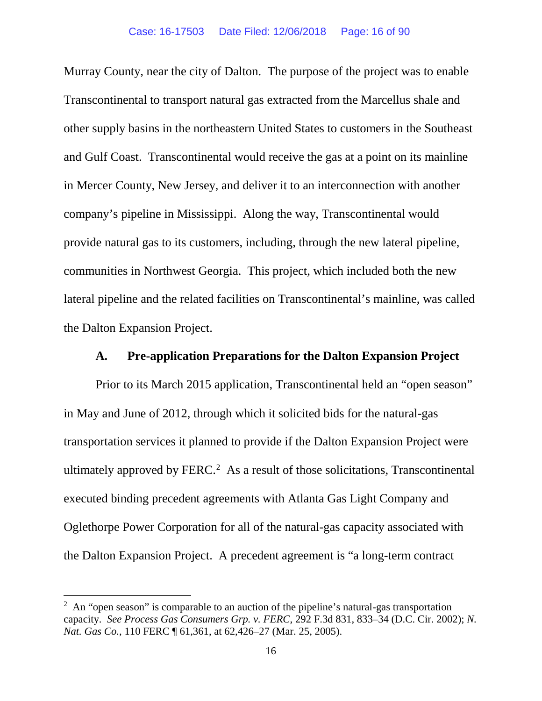Murray County, near the city of Dalton. The purpose of the project was to enable Transcontinental to transport natural gas extracted from the Marcellus shale and other supply basins in the northeastern United States to customers in the Southeast and Gulf Coast. Transcontinental would receive the gas at a point on its mainline in Mercer County, New Jersey, and deliver it to an interconnection with another company's pipeline in Mississippi. Along the way, Transcontinental would provide natural gas to its customers, including, through the new lateral pipeline, communities in Northwest Georgia. This project, which included both the new lateral pipeline and the related facilities on Transcontinental's mainline, was called the Dalton Expansion Project.

### **A. Pre-application Preparations for the Dalton Expansion Project**

Prior to its March 2015 application, Transcontinental held an "open season" in May and June of 2012, through which it solicited bids for the natural-gas transportation services it planned to provide if the Dalton Expansion Project were ultimately approved by  $FERC<sup>2</sup>$  $FERC<sup>2</sup>$  $FERC<sup>2</sup>$  As a result of those solicitations, Transcontinental executed binding precedent agreements with Atlanta Gas Light Company and Oglethorpe Power Corporation for all of the natural-gas capacity associated with the Dalton Expansion Project. A precedent agreement is "a long-term contract

<span id="page-15-0"></span><sup>&</sup>lt;sup>2</sup> An "open season" is comparable to an auction of the pipeline's natural-gas transportation capacity. *See Process Gas Consumers Grp. v. FERC*, 292 F.3d 831, 833–34 (D.C. Cir. 2002); *N. Nat. Gas Co.*, 110 FERC ¶ 61,361, at 62,426–27 (Mar. 25, 2005).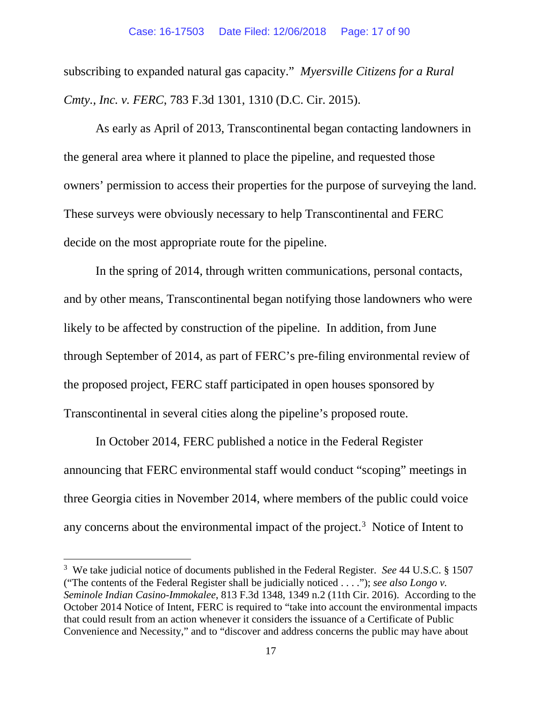subscribing to expanded natural gas capacity." *Myersville Citizens for a Rural Cmty., Inc. v. FERC*, 783 F.3d 1301, 1310 (D.C. Cir. 2015).

As early as April of 2013, Transcontinental began contacting landowners in the general area where it planned to place the pipeline, and requested those owners' permission to access their properties for the purpose of surveying the land. These surveys were obviously necessary to help Transcontinental and FERC decide on the most appropriate route for the pipeline.

In the spring of 2014, through written communications, personal contacts, and by other means, Transcontinental began notifying those landowners who were likely to be affected by construction of the pipeline. In addition, from June through September of 2014, as part of FERC's pre-filing environmental review of the proposed project, FERC staff participated in open houses sponsored by Transcontinental in several cities along the pipeline's proposed route.

In October 2014, FERC published a notice in the Federal Register announcing that FERC environmental staff would conduct "scoping" meetings in three Georgia cities in November 2014, where members of the public could voice any concerns about the environmental impact of the project.<sup>[3](#page-16-0)</sup> Notice of Intent to

<span id="page-16-0"></span> <sup>3</sup> We take judicial notice of documents published in the Federal Register. *See* 44 U.S.C. § 1507 ("The contents of the Federal Register shall be judicially noticed . . . ."); *see also Longo v. Seminole Indian Casino-Immokalee*, 813 F.3d 1348, 1349 n.2 (11th Cir. 2016). According to the October 2014 Notice of Intent, FERC is required to "take into account the environmental impacts that could result from an action whenever it considers the issuance of a Certificate of Public Convenience and Necessity," and to "discover and address concerns the public may have about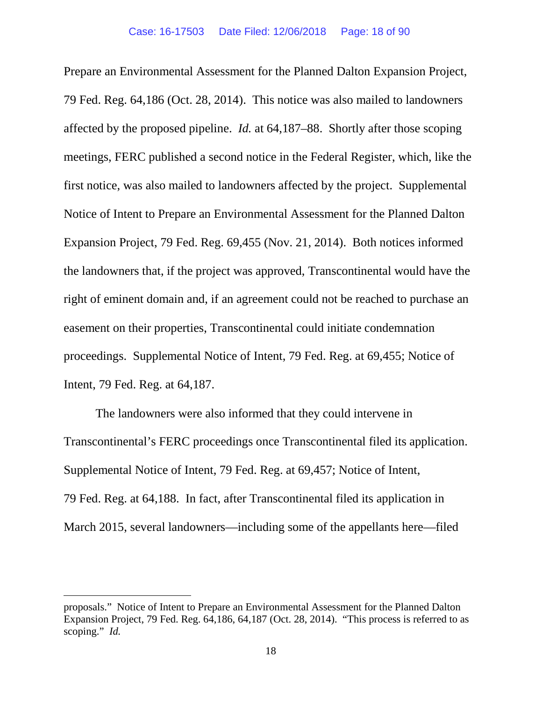Prepare an Environmental Assessment for the Planned Dalton Expansion Project, 79 Fed. Reg. 64,186 (Oct. 28, 2014). This notice was also mailed to landowners affected by the proposed pipeline. *Id.* at 64,187–88. Shortly after those scoping meetings, FERC published a second notice in the Federal Register, which, like the first notice, was also mailed to landowners affected by the project. Supplemental Notice of Intent to Prepare an Environmental Assessment for the Planned Dalton Expansion Project, 79 Fed. Reg. 69,455 (Nov. 21, 2014). Both notices informed the landowners that, if the project was approved, Transcontinental would have the right of eminent domain and, if an agreement could not be reached to purchase an easement on their properties, Transcontinental could initiate condemnation proceedings. Supplemental Notice of Intent, 79 Fed. Reg. at 69,455; Notice of Intent, 79 Fed. Reg. at 64,187.

The landowners were also informed that they could intervene in Transcontinental's FERC proceedings once Transcontinental filed its application. Supplemental Notice of Intent, 79 Fed. Reg. at 69,457; Notice of Intent, 79 Fed. Reg. at 64,188. In fact, after Transcontinental filed its application in March 2015, several landowners—including some of the appellants here—filed

 $\overline{a}$ 

proposals." Notice of Intent to Prepare an Environmental Assessment for the Planned Dalton Expansion Project, 79 Fed. Reg. 64,186, 64,187 (Oct. 28, 2014). "This process is referred to as scoping." *Id.*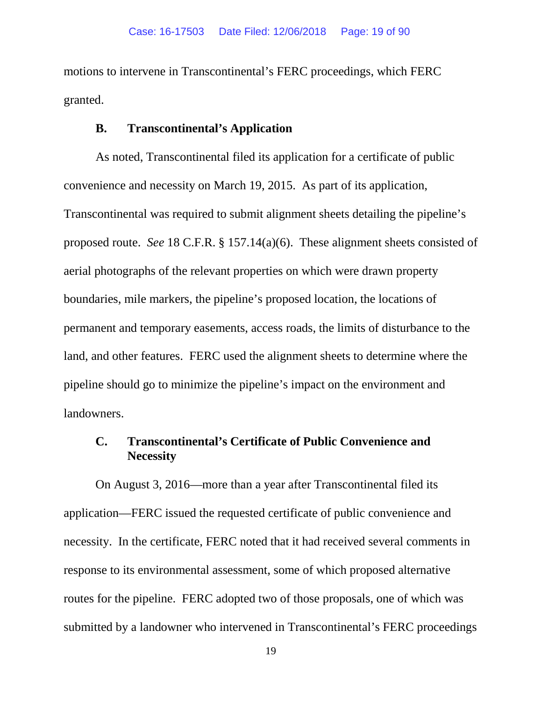motions to intervene in Transcontinental's FERC proceedings, which FERC granted.

## **B. Transcontinental's Application**

As noted, Transcontinental filed its application for a certificate of public convenience and necessity on March 19, 2015. As part of its application, Transcontinental was required to submit alignment sheets detailing the pipeline's proposed route. *See* 18 C.F.R. § 157.14(a)(6). These alignment sheets consisted of aerial photographs of the relevant properties on which were drawn property boundaries, mile markers, the pipeline's proposed location, the locations of permanent and temporary easements, access roads, the limits of disturbance to the land, and other features. FERC used the alignment sheets to determine where the pipeline should go to minimize the pipeline's impact on the environment and landowners.

### **C. Transcontinental's Certificate of Public Convenience and Necessity**

On August 3, 2016—more than a year after Transcontinental filed its application—FERC issued the requested certificate of public convenience and necessity. In the certificate, FERC noted that it had received several comments in response to its environmental assessment, some of which proposed alternative routes for the pipeline. FERC adopted two of those proposals, one of which was submitted by a landowner who intervened in Transcontinental's FERC proceedings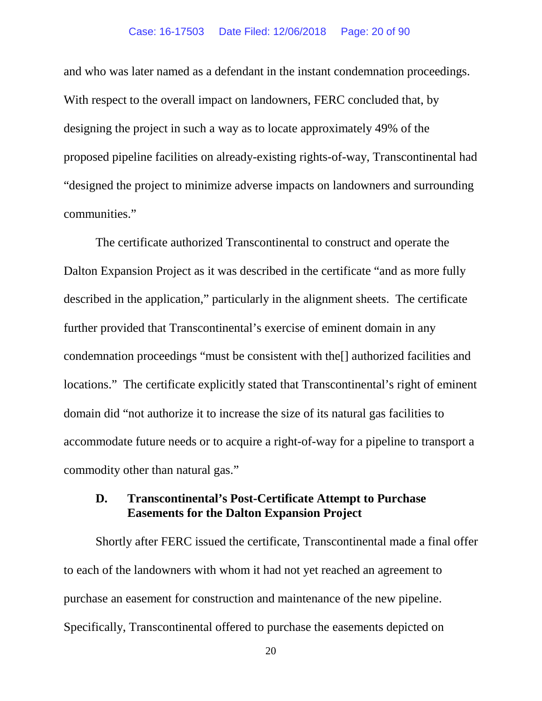#### Case: 16-17503 Date Filed: 12/06/2018 Page: 20 of 90

and who was later named as a defendant in the instant condemnation proceedings. With respect to the overall impact on landowners, FERC concluded that, by designing the project in such a way as to locate approximately 49% of the proposed pipeline facilities on already-existing rights-of-way, Transcontinental had "designed the project to minimize adverse impacts on landowners and surrounding communities."

The certificate authorized Transcontinental to construct and operate the Dalton Expansion Project as it was described in the certificate "and as more fully described in the application," particularly in the alignment sheets. The certificate further provided that Transcontinental's exercise of eminent domain in any condemnation proceedings "must be consistent with the[] authorized facilities and locations." The certificate explicitly stated that Transcontinental's right of eminent domain did "not authorize it to increase the size of its natural gas facilities to accommodate future needs or to acquire a right-of-way for a pipeline to transport a commodity other than natural gas."

### **D. Transcontinental's Post-Certificate Attempt to Purchase Easements for the Dalton Expansion Project**

Shortly after FERC issued the certificate, Transcontinental made a final offer to each of the landowners with whom it had not yet reached an agreement to purchase an easement for construction and maintenance of the new pipeline. Specifically, Transcontinental offered to purchase the easements depicted on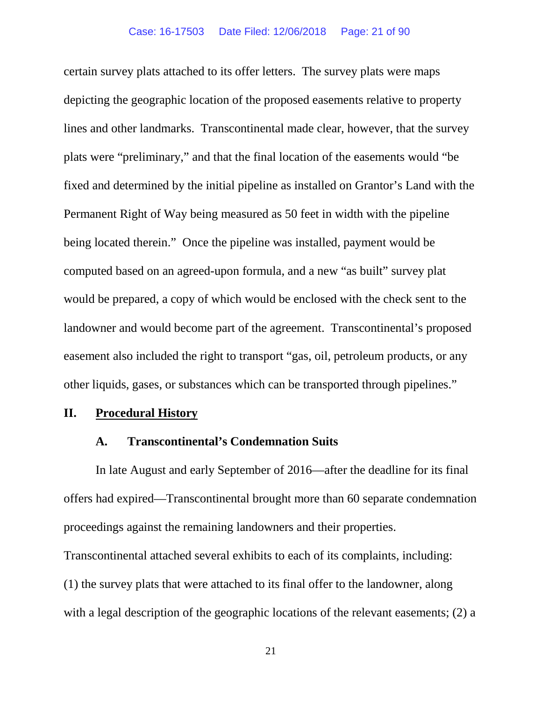certain survey plats attached to its offer letters. The survey plats were maps depicting the geographic location of the proposed easements relative to property lines and other landmarks. Transcontinental made clear, however, that the survey plats were "preliminary," and that the final location of the easements would "be fixed and determined by the initial pipeline as installed on Grantor's Land with the Permanent Right of Way being measured as 50 feet in width with the pipeline being located therein." Once the pipeline was installed, payment would be computed based on an agreed-upon formula, and a new "as built" survey plat would be prepared, a copy of which would be enclosed with the check sent to the landowner and would become part of the agreement. Transcontinental's proposed easement also included the right to transport "gas, oil, petroleum products, or any other liquids, gases, or substances which can be transported through pipelines."

#### **II. Procedural History**

#### **A. Transcontinental's Condemnation Suits**

In late August and early September of 2016—after the deadline for its final offers had expired—Transcontinental brought more than 60 separate condemnation proceedings against the remaining landowners and their properties.

Transcontinental attached several exhibits to each of its complaints, including: (1) the survey plats that were attached to its final offer to the landowner, along with a legal description of the geographic locations of the relevant easements; (2) a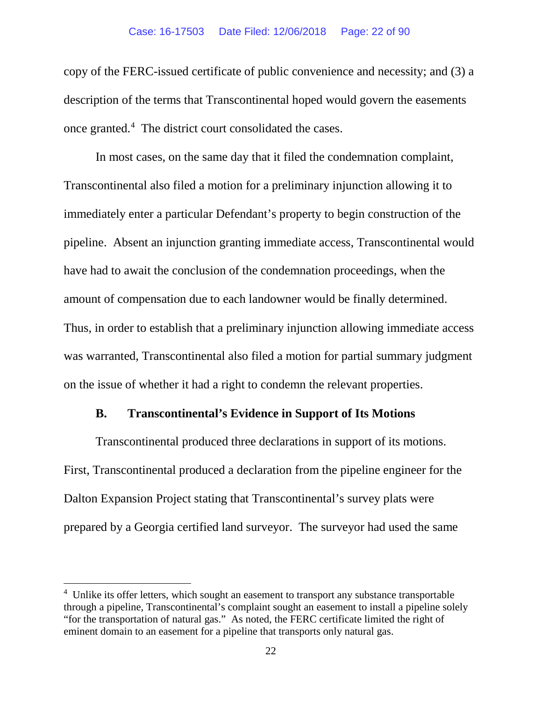#### Case: 16-17503 Date Filed: 12/06/2018 Page: 22 of 90

copy of the FERC-issued certificate of public convenience and necessity; and (3) a description of the terms that Transcontinental hoped would govern the easements once granted.<sup>[4](#page-21-0)</sup> The district court consolidated the cases.

In most cases, on the same day that it filed the condemnation complaint, Transcontinental also filed a motion for a preliminary injunction allowing it to immediately enter a particular Defendant's property to begin construction of the pipeline. Absent an injunction granting immediate access, Transcontinental would have had to await the conclusion of the condemnation proceedings, when the amount of compensation due to each landowner would be finally determined. Thus, in order to establish that a preliminary injunction allowing immediate access was warranted, Transcontinental also filed a motion for partial summary judgment on the issue of whether it had a right to condemn the relevant properties.

#### **B. Transcontinental's Evidence in Support of Its Motions**

Transcontinental produced three declarations in support of its motions. First, Transcontinental produced a declaration from the pipeline engineer for the Dalton Expansion Project stating that Transcontinental's survey plats were prepared by a Georgia certified land surveyor. The surveyor had used the same

<span id="page-21-0"></span> $4$  Unlike its offer letters, which sought an easement to transport any substance transportable through a pipeline, Transcontinental's complaint sought an easement to install a pipeline solely "for the transportation of natural gas." As noted, the FERC certificate limited the right of eminent domain to an easement for a pipeline that transports only natural gas.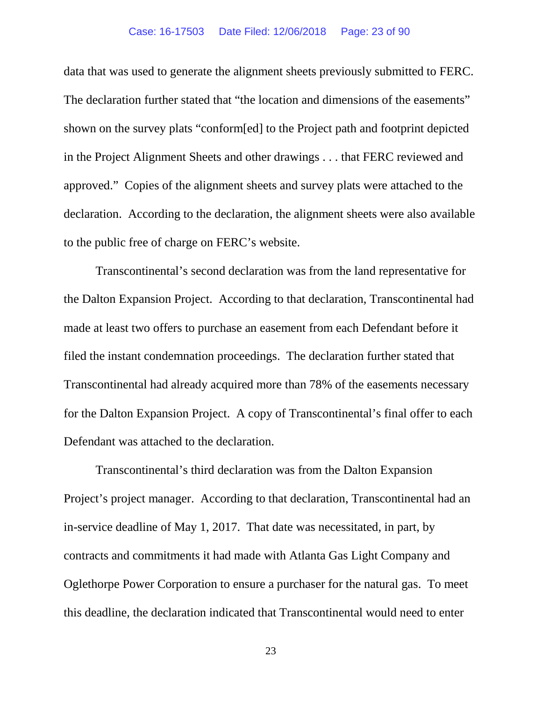#### Case: 16-17503 Date Filed: 12/06/2018 Page: 23 of 90

data that was used to generate the alignment sheets previously submitted to FERC. The declaration further stated that "the location and dimensions of the easements" shown on the survey plats "conform[ed] to the Project path and footprint depicted in the Project Alignment Sheets and other drawings . . . that FERC reviewed and approved." Copies of the alignment sheets and survey plats were attached to the declaration. According to the declaration, the alignment sheets were also available to the public free of charge on FERC's website.

Transcontinental's second declaration was from the land representative for the Dalton Expansion Project. According to that declaration, Transcontinental had made at least two offers to purchase an easement from each Defendant before it filed the instant condemnation proceedings. The declaration further stated that Transcontinental had already acquired more than 78% of the easements necessary for the Dalton Expansion Project. A copy of Transcontinental's final offer to each Defendant was attached to the declaration.

Transcontinental's third declaration was from the Dalton Expansion Project's project manager. According to that declaration, Transcontinental had an in-service deadline of May 1, 2017. That date was necessitated, in part, by contracts and commitments it had made with Atlanta Gas Light Company and Oglethorpe Power Corporation to ensure a purchaser for the natural gas. To meet this deadline, the declaration indicated that Transcontinental would need to enter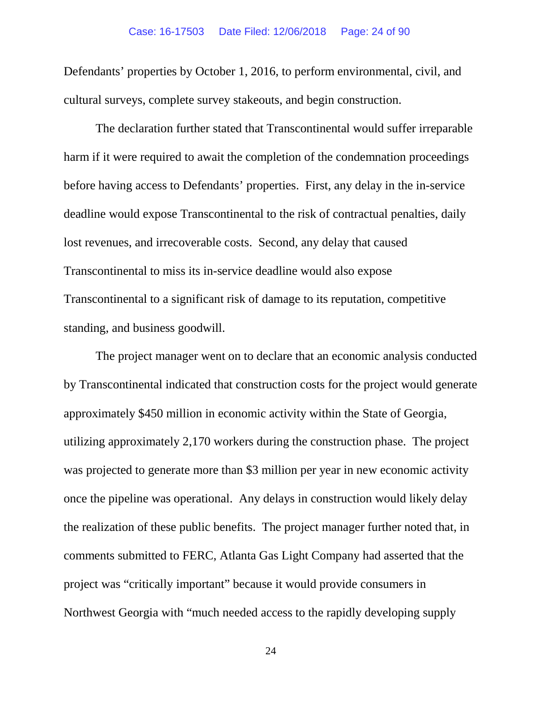Defendants' properties by October 1, 2016, to perform environmental, civil, and cultural surveys, complete survey stakeouts, and begin construction.

The declaration further stated that Transcontinental would suffer irreparable harm if it were required to await the completion of the condemnation proceedings before having access to Defendants' properties. First, any delay in the in-service deadline would expose Transcontinental to the risk of contractual penalties, daily lost revenues, and irrecoverable costs. Second, any delay that caused Transcontinental to miss its in-service deadline would also expose Transcontinental to a significant risk of damage to its reputation, competitive standing, and business goodwill.

The project manager went on to declare that an economic analysis conducted by Transcontinental indicated that construction costs for the project would generate approximately \$450 million in economic activity within the State of Georgia, utilizing approximately 2,170 workers during the construction phase. The project was projected to generate more than \$3 million per year in new economic activity once the pipeline was operational. Any delays in construction would likely delay the realization of these public benefits. The project manager further noted that, in comments submitted to FERC, Atlanta Gas Light Company had asserted that the project was "critically important" because it would provide consumers in Northwest Georgia with "much needed access to the rapidly developing supply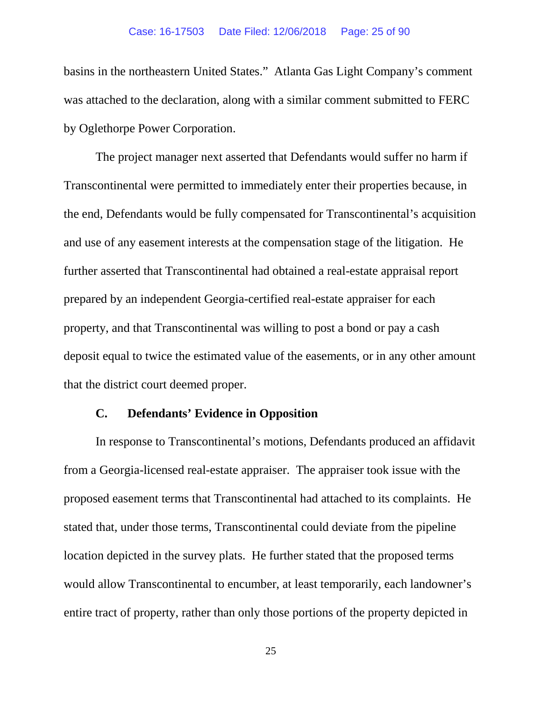#### Case: 16-17503 Date Filed: 12/06/2018 Page: 25 of 90

basins in the northeastern United States." Atlanta Gas Light Company's comment was attached to the declaration, along with a similar comment submitted to FERC by Oglethorpe Power Corporation.

The project manager next asserted that Defendants would suffer no harm if Transcontinental were permitted to immediately enter their properties because, in the end, Defendants would be fully compensated for Transcontinental's acquisition and use of any easement interests at the compensation stage of the litigation. He further asserted that Transcontinental had obtained a real-estate appraisal report prepared by an independent Georgia-certified real-estate appraiser for each property, and that Transcontinental was willing to post a bond or pay a cash deposit equal to twice the estimated value of the easements, or in any other amount that the district court deemed proper.

#### **C. Defendants' Evidence in Opposition**

In response to Transcontinental's motions, Defendants produced an affidavit from a Georgia-licensed real-estate appraiser. The appraiser took issue with the proposed easement terms that Transcontinental had attached to its complaints. He stated that, under those terms, Transcontinental could deviate from the pipeline location depicted in the survey plats. He further stated that the proposed terms would allow Transcontinental to encumber, at least temporarily, each landowner's entire tract of property, rather than only those portions of the property depicted in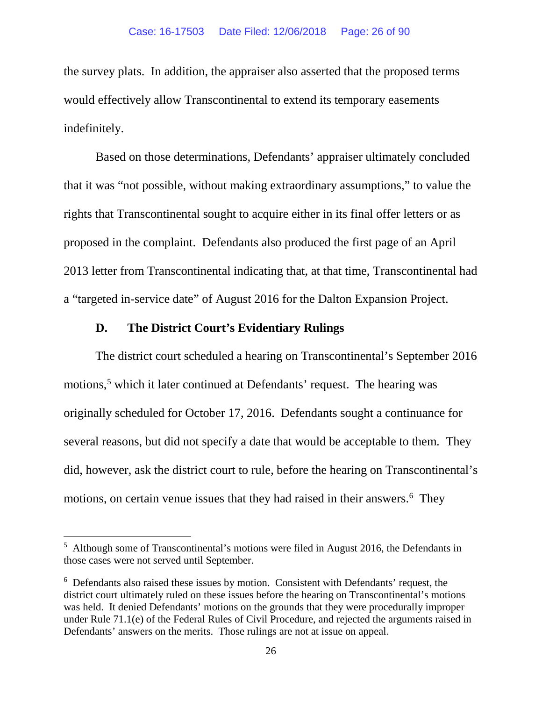the survey plats. In addition, the appraiser also asserted that the proposed terms would effectively allow Transcontinental to extend its temporary easements indefinitely.

Based on those determinations, Defendants' appraiser ultimately concluded that it was "not possible, without making extraordinary assumptions," to value the rights that Transcontinental sought to acquire either in its final offer letters or as proposed in the complaint. Defendants also produced the first page of an April 2013 letter from Transcontinental indicating that, at that time, Transcontinental had a "targeted in-service date" of August 2016 for the Dalton Expansion Project.

### **D. The District Court's Evidentiary Rulings**

The district court scheduled a hearing on Transcontinental's September 2016 motions,<sup>[5](#page-25-0)</sup> which it later continued at Defendants' request. The hearing was originally scheduled for October 17, 2016. Defendants sought a continuance for several reasons, but did not specify a date that would be acceptable to them. They did, however, ask the district court to rule, before the hearing on Transcontinental's motions, on certain venue issues that they had raised in their answers.<sup>[6](#page-25-1)</sup> They

<span id="page-25-0"></span> <sup>5</sup> Although some of Transcontinental's motions were filed in August 2016, the Defendants in those cases were not served until September.

<span id="page-25-1"></span> $6\degree$  Defendants also raised these issues by motion. Consistent with Defendants' request, the district court ultimately ruled on these issues before the hearing on Transcontinental's motions was held. It denied Defendants' motions on the grounds that they were procedurally improper under Rule 71.1(e) of the Federal Rules of Civil Procedure, and rejected the arguments raised in Defendants' answers on the merits. Those rulings are not at issue on appeal.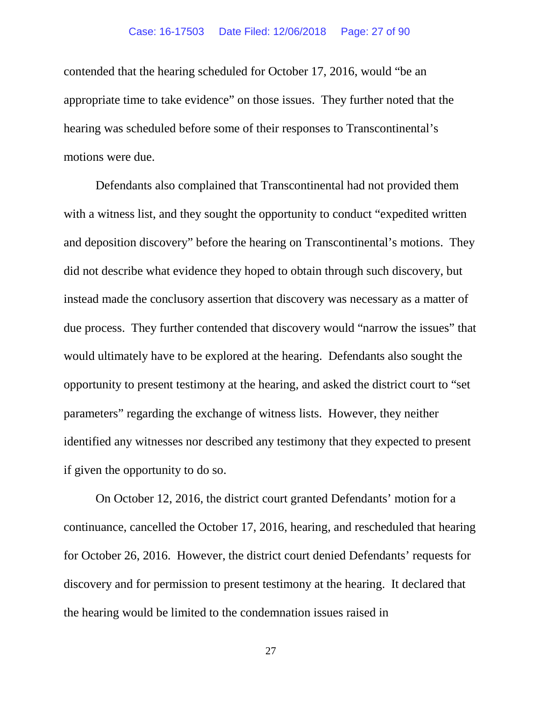#### Case: 16-17503 Date Filed: 12/06/2018 Page: 27 of 90

contended that the hearing scheduled for October 17, 2016, would "be an appropriate time to take evidence" on those issues. They further noted that the hearing was scheduled before some of their responses to Transcontinental's motions were due.

Defendants also complained that Transcontinental had not provided them with a witness list, and they sought the opportunity to conduct "expedited written" and deposition discovery" before the hearing on Transcontinental's motions. They did not describe what evidence they hoped to obtain through such discovery, but instead made the conclusory assertion that discovery was necessary as a matter of due process. They further contended that discovery would "narrow the issues" that would ultimately have to be explored at the hearing. Defendants also sought the opportunity to present testimony at the hearing, and asked the district court to "set parameters" regarding the exchange of witness lists. However, they neither identified any witnesses nor described any testimony that they expected to present if given the opportunity to do so.

On October 12, 2016, the district court granted Defendants' motion for a continuance, cancelled the October 17, 2016, hearing, and rescheduled that hearing for October 26, 2016. However, the district court denied Defendants' requests for discovery and for permission to present testimony at the hearing. It declared that the hearing would be limited to the condemnation issues raised in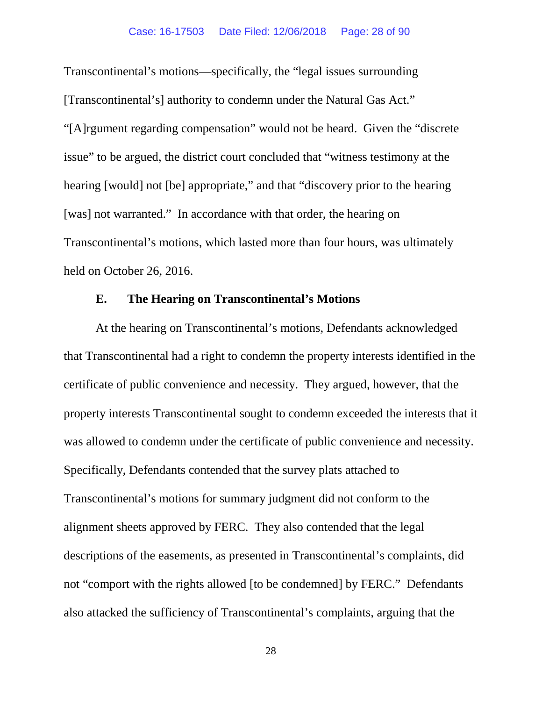Transcontinental's motions—specifically, the "legal issues surrounding [Transcontinental's] authority to condemn under the Natural Gas Act." "[A]rgument regarding compensation" would not be heard. Given the "discrete issue" to be argued, the district court concluded that "witness testimony at the hearing [would] not [be] appropriate," and that "discovery prior to the hearing [was] not warranted." In accordance with that order, the hearing on Transcontinental's motions, which lasted more than four hours, was ultimately held on October 26, 2016.

### **E. The Hearing on Transcontinental's Motions**

At the hearing on Transcontinental's motions, Defendants acknowledged that Transcontinental had a right to condemn the property interests identified in the certificate of public convenience and necessity. They argued, however, that the property interests Transcontinental sought to condemn exceeded the interests that it was allowed to condemn under the certificate of public convenience and necessity. Specifically, Defendants contended that the survey plats attached to Transcontinental's motions for summary judgment did not conform to the alignment sheets approved by FERC. They also contended that the legal descriptions of the easements, as presented in Transcontinental's complaints, did not "comport with the rights allowed [to be condemned] by FERC." Defendants also attacked the sufficiency of Transcontinental's complaints, arguing that the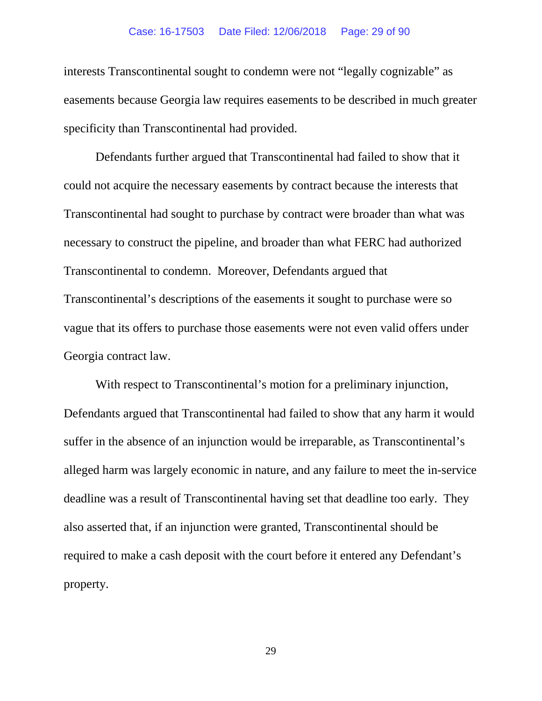#### Case: 16-17503 Date Filed: 12/06/2018 Page: 29 of 90

interests Transcontinental sought to condemn were not "legally cognizable" as easements because Georgia law requires easements to be described in much greater specificity than Transcontinental had provided.

Defendants further argued that Transcontinental had failed to show that it could not acquire the necessary easements by contract because the interests that Transcontinental had sought to purchase by contract were broader than what was necessary to construct the pipeline, and broader than what FERC had authorized Transcontinental to condemn. Moreover, Defendants argued that Transcontinental's descriptions of the easements it sought to purchase were so vague that its offers to purchase those easements were not even valid offers under Georgia contract law.

With respect to Transcontinental's motion for a preliminary injunction, Defendants argued that Transcontinental had failed to show that any harm it would suffer in the absence of an injunction would be irreparable, as Transcontinental's alleged harm was largely economic in nature, and any failure to meet the in-service deadline was a result of Transcontinental having set that deadline too early. They also asserted that, if an injunction were granted, Transcontinental should be required to make a cash deposit with the court before it entered any Defendant's property.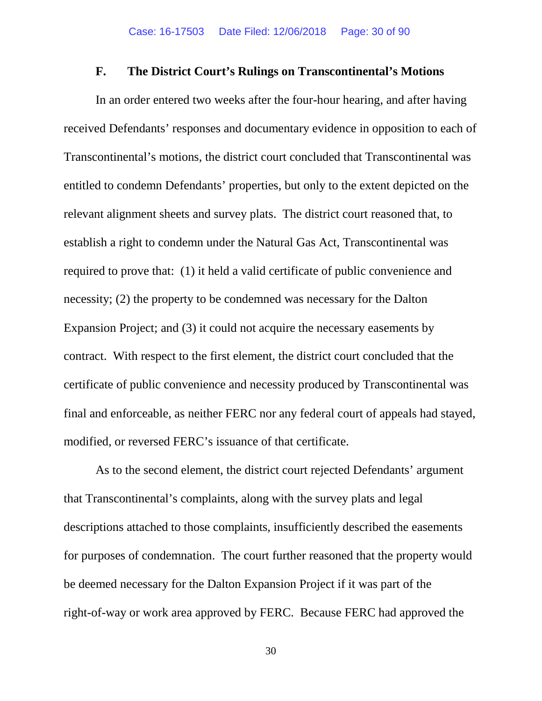#### **F. The District Court's Rulings on Transcontinental's Motions**

In an order entered two weeks after the four-hour hearing, and after having received Defendants' responses and documentary evidence in opposition to each of Transcontinental's motions, the district court concluded that Transcontinental was entitled to condemn Defendants' properties, but only to the extent depicted on the relevant alignment sheets and survey plats. The district court reasoned that, to establish a right to condemn under the Natural Gas Act, Transcontinental was required to prove that: (1) it held a valid certificate of public convenience and necessity; (2) the property to be condemned was necessary for the Dalton Expansion Project; and (3) it could not acquire the necessary easements by contract. With respect to the first element, the district court concluded that the certificate of public convenience and necessity produced by Transcontinental was final and enforceable, as neither FERC nor any federal court of appeals had stayed, modified, or reversed FERC's issuance of that certificate.

As to the second element, the district court rejected Defendants' argument that Transcontinental's complaints, along with the survey plats and legal descriptions attached to those complaints, insufficiently described the easements for purposes of condemnation. The court further reasoned that the property would be deemed necessary for the Dalton Expansion Project if it was part of the right-of-way or work area approved by FERC. Because FERC had approved the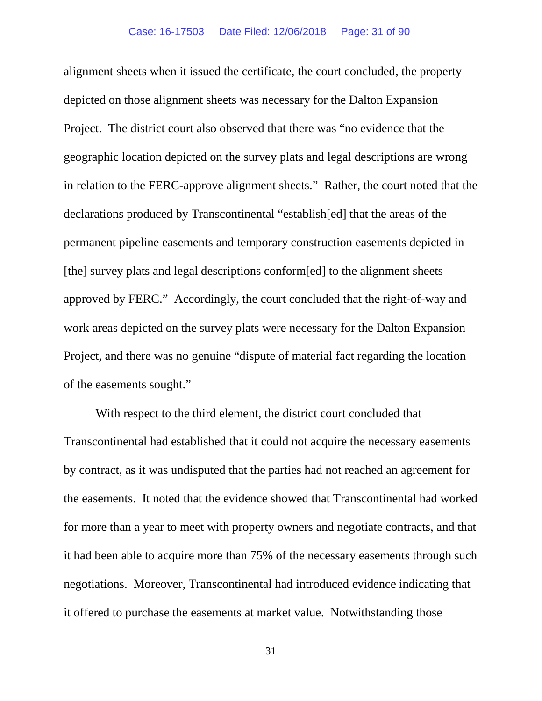alignment sheets when it issued the certificate, the court concluded, the property depicted on those alignment sheets was necessary for the Dalton Expansion Project. The district court also observed that there was "no evidence that the geographic location depicted on the survey plats and legal descriptions are wrong in relation to the FERC-approve alignment sheets." Rather, the court noted that the declarations produced by Transcontinental "establish[ed] that the areas of the permanent pipeline easements and temporary construction easements depicted in [the] survey plats and legal descriptions conform[ed] to the alignment sheets approved by FERC." Accordingly, the court concluded that the right-of-way and work areas depicted on the survey plats were necessary for the Dalton Expansion Project, and there was no genuine "dispute of material fact regarding the location of the easements sought."

With respect to the third element, the district court concluded that Transcontinental had established that it could not acquire the necessary easements by contract, as it was undisputed that the parties had not reached an agreement for the easements. It noted that the evidence showed that Transcontinental had worked for more than a year to meet with property owners and negotiate contracts, and that it had been able to acquire more than 75% of the necessary easements through such negotiations. Moreover, Transcontinental had introduced evidence indicating that it offered to purchase the easements at market value. Notwithstanding those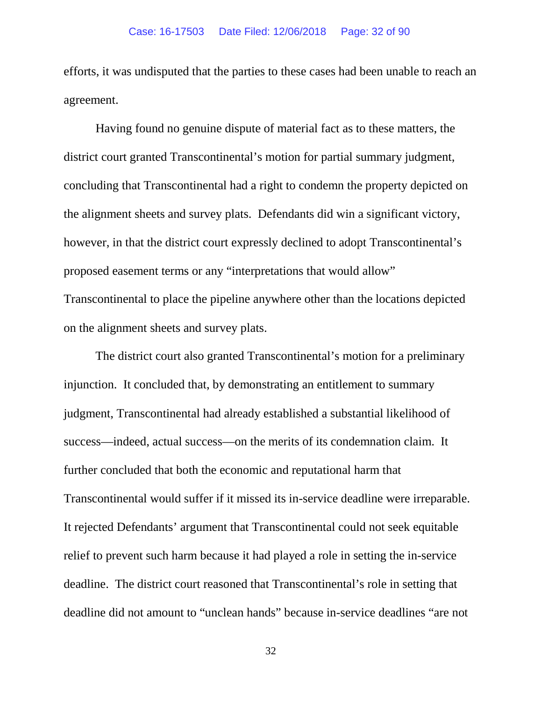efforts, it was undisputed that the parties to these cases had been unable to reach an agreement.

Having found no genuine dispute of material fact as to these matters, the district court granted Transcontinental's motion for partial summary judgment, concluding that Transcontinental had a right to condemn the property depicted on the alignment sheets and survey plats. Defendants did win a significant victory, however, in that the district court expressly declined to adopt Transcontinental's proposed easement terms or any "interpretations that would allow" Transcontinental to place the pipeline anywhere other than the locations depicted on the alignment sheets and survey plats.

The district court also granted Transcontinental's motion for a preliminary injunction. It concluded that, by demonstrating an entitlement to summary judgment, Transcontinental had already established a substantial likelihood of success—indeed, actual success—on the merits of its condemnation claim. It further concluded that both the economic and reputational harm that Transcontinental would suffer if it missed its in-service deadline were irreparable. It rejected Defendants' argument that Transcontinental could not seek equitable relief to prevent such harm because it had played a role in setting the in-service deadline. The district court reasoned that Transcontinental's role in setting that deadline did not amount to "unclean hands" because in-service deadlines "are not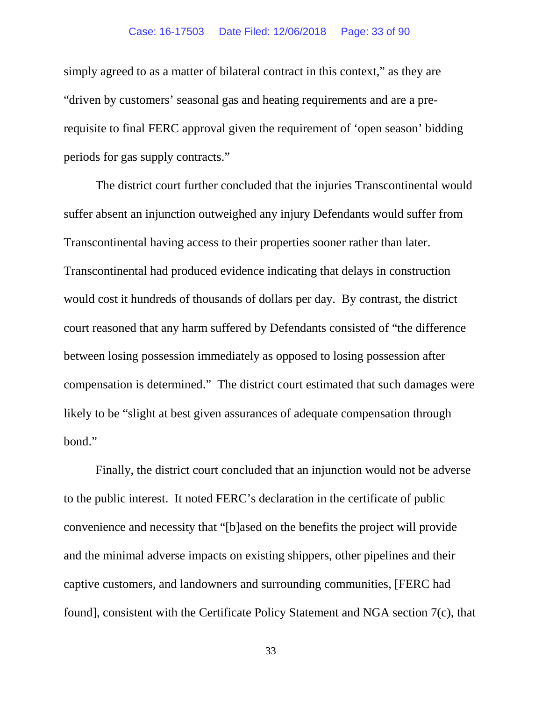#### Case: 16-17503 Date Filed: 12/06/2018 Page: 33 of 90

simply agreed to as a matter of bilateral contract in this context," as they are "driven by customers' seasonal gas and heating requirements and are a prerequisite to final FERC approval given the requirement of 'open season' bidding periods for gas supply contracts."

The district court further concluded that the injuries Transcontinental would suffer absent an injunction outweighed any injury Defendants would suffer from Transcontinental having access to their properties sooner rather than later. Transcontinental had produced evidence indicating that delays in construction would cost it hundreds of thousands of dollars per day. By contrast, the district court reasoned that any harm suffered by Defendants consisted of "the difference between losing possession immediately as opposed to losing possession after compensation is determined." The district court estimated that such damages were likely to be "slight at best given assurances of adequate compensation through bond."

Finally, the district court concluded that an injunction would not be adverse to the public interest. It noted FERC's declaration in the certificate of public convenience and necessity that "[b]ased on the benefits the project will provide and the minimal adverse impacts on existing shippers, other pipelines and their captive customers, and landowners and surrounding communities, [FERC had found], consistent with the Certificate Policy Statement and NGA section 7(c), that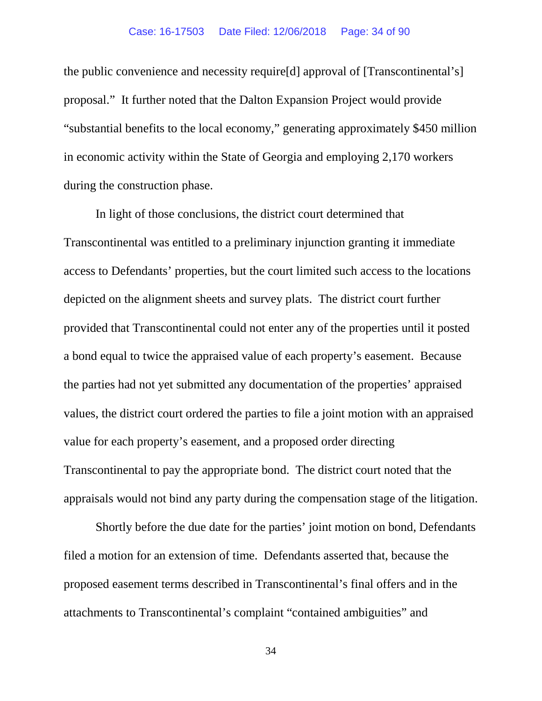#### Case: 16-17503 Date Filed: 12/06/2018 Page: 34 of 90

the public convenience and necessity require[d] approval of [Transcontinental's] proposal." It further noted that the Dalton Expansion Project would provide "substantial benefits to the local economy," generating approximately \$450 million in economic activity within the State of Georgia and employing 2,170 workers during the construction phase.

In light of those conclusions, the district court determined that Transcontinental was entitled to a preliminary injunction granting it immediate access to Defendants' properties, but the court limited such access to the locations depicted on the alignment sheets and survey plats. The district court further provided that Transcontinental could not enter any of the properties until it posted a bond equal to twice the appraised value of each property's easement. Because the parties had not yet submitted any documentation of the properties' appraised values, the district court ordered the parties to file a joint motion with an appraised value for each property's easement, and a proposed order directing Transcontinental to pay the appropriate bond. The district court noted that the appraisals would not bind any party during the compensation stage of the litigation.

Shortly before the due date for the parties' joint motion on bond, Defendants filed a motion for an extension of time. Defendants asserted that, because the proposed easement terms described in Transcontinental's final offers and in the attachments to Transcontinental's complaint "contained ambiguities" and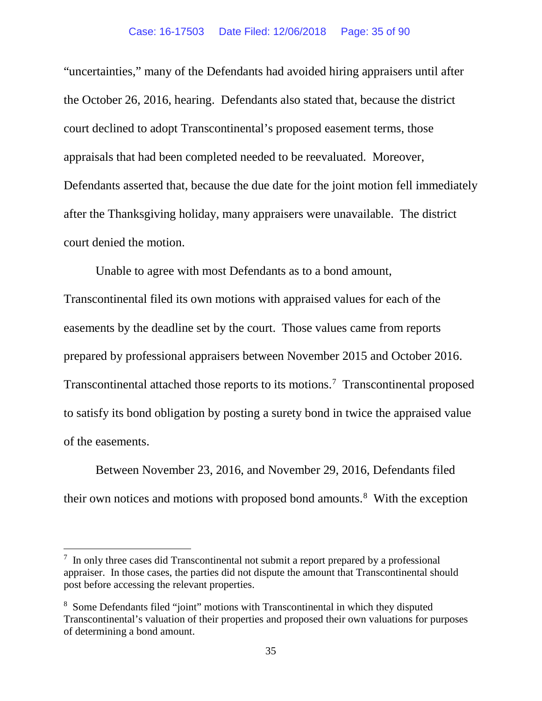"uncertainties," many of the Defendants had avoided hiring appraisers until after the October 26, 2016, hearing. Defendants also stated that, because the district court declined to adopt Transcontinental's proposed easement terms, those appraisals that had been completed needed to be reevaluated. Moreover, Defendants asserted that, because the due date for the joint motion fell immediately after the Thanksgiving holiday, many appraisers were unavailable. The district court denied the motion.

Unable to agree with most Defendants as to a bond amount, Transcontinental filed its own motions with appraised values for each of the easements by the deadline set by the court. Those values came from reports prepared by professional appraisers between November 2015 and October 2016. Transcontinental attached those reports to its motions.<sup>7</sup> Transcontinental proposed to satisfy its bond obligation by posting a surety bond in twice the appraised value of the easements.

Between November 23, 2016, and November 29, 2016, Defendants filed their own notices and motions with proposed bond amounts. [8](#page-34-1) With the exception

<span id="page-34-0"></span> <sup>7</sup>  $\frac{7}{1}$  In only three cases did Transcontinental not submit a report prepared by a professional appraiser. In those cases, the parties did not dispute the amount that Transcontinental should post before accessing the relevant properties.

<span id="page-34-1"></span><sup>&</sup>lt;sup>8</sup> Some Defendants filed "joint" motions with Transcontinental in which they disputed Transcontinental's valuation of their properties and proposed their own valuations for purposes of determining a bond amount.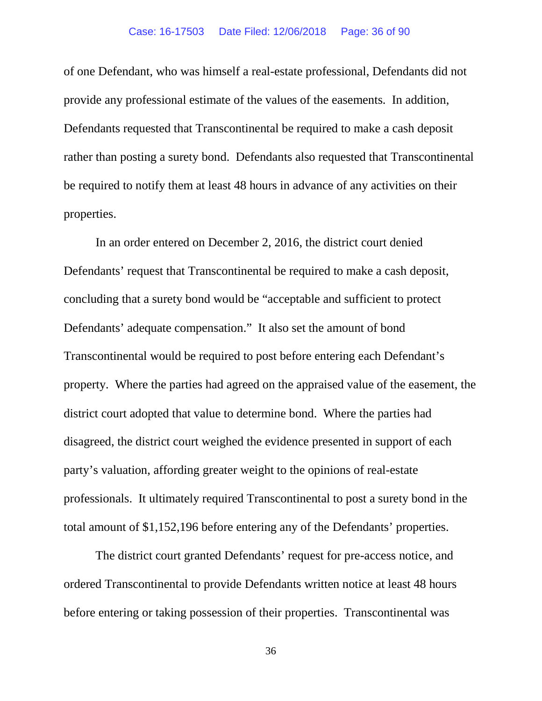#### Case: 16-17503 Date Filed: 12/06/2018 Page: 36 of 90

of one Defendant, who was himself a real-estate professional, Defendants did not provide any professional estimate of the values of the easements. In addition, Defendants requested that Transcontinental be required to make a cash deposit rather than posting a surety bond. Defendants also requested that Transcontinental be required to notify them at least 48 hours in advance of any activities on their properties.

In an order entered on December 2, 2016, the district court denied Defendants' request that Transcontinental be required to make a cash deposit, concluding that a surety bond would be "acceptable and sufficient to protect Defendants' adequate compensation." It also set the amount of bond Transcontinental would be required to post before entering each Defendant's property. Where the parties had agreed on the appraised value of the easement, the district court adopted that value to determine bond. Where the parties had disagreed, the district court weighed the evidence presented in support of each party's valuation, affording greater weight to the opinions of real-estate professionals. It ultimately required Transcontinental to post a surety bond in the total amount of \$1,152,196 before entering any of the Defendants' properties.

The district court granted Defendants' request for pre-access notice, and ordered Transcontinental to provide Defendants written notice at least 48 hours before entering or taking possession of their properties. Transcontinental was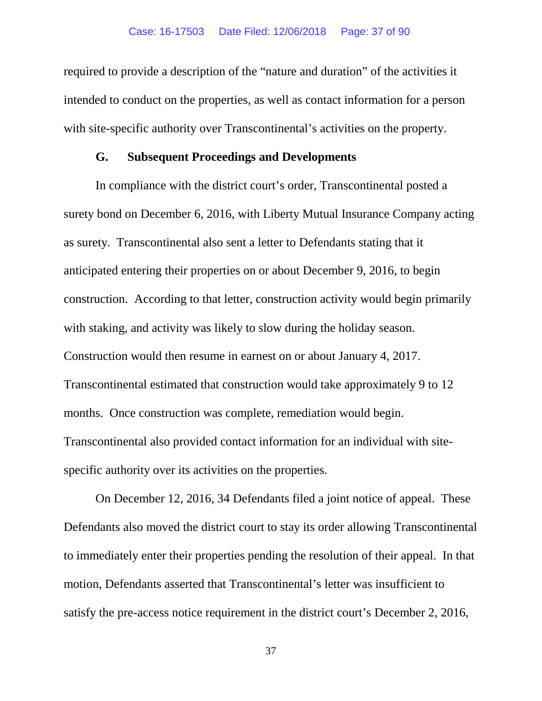required to provide a description of the "nature and duration" of the activities it intended to conduct on the properties, as well as contact information for a person with site-specific authority over Transcontinental's activities on the property.

### **G. Subsequent Proceedings and Developments**

In compliance with the district court's order, Transcontinental posted a surety bond on December 6, 2016, with Liberty Mutual Insurance Company acting as surety. Transcontinental also sent a letter to Defendants stating that it anticipated entering their properties on or about December 9, 2016, to begin construction. According to that letter, construction activity would begin primarily with staking, and activity was likely to slow during the holiday season. Construction would then resume in earnest on or about January 4, 2017. Transcontinental estimated that construction would take approximately 9 to 12 months. Once construction was complete, remediation would begin. Transcontinental also provided contact information for an individual with sitespecific authority over its activities on the properties.

On December 12, 2016, 34 Defendants filed a joint notice of appeal. These Defendants also moved the district court to stay its order allowing Transcontinental to immediately enter their properties pending the resolution of their appeal. In that motion, Defendants asserted that Transcontinental's letter was insufficient to satisfy the pre-access notice requirement in the district court's December 2, 2016,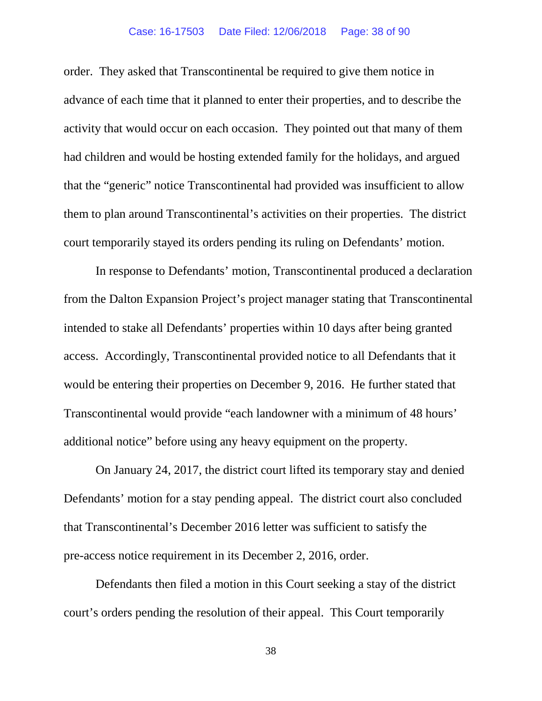### Case: 16-17503 Date Filed: 12/06/2018 Page: 38 of 90

order. They asked that Transcontinental be required to give them notice in advance of each time that it planned to enter their properties, and to describe the activity that would occur on each occasion. They pointed out that many of them had children and would be hosting extended family for the holidays, and argued that the "generic" notice Transcontinental had provided was insufficient to allow them to plan around Transcontinental's activities on their properties. The district court temporarily stayed its orders pending its ruling on Defendants' motion.

In response to Defendants' motion, Transcontinental produced a declaration from the Dalton Expansion Project's project manager stating that Transcontinental intended to stake all Defendants' properties within 10 days after being granted access. Accordingly, Transcontinental provided notice to all Defendants that it would be entering their properties on December 9, 2016. He further stated that Transcontinental would provide "each landowner with a minimum of 48 hours' additional notice" before using any heavy equipment on the property.

On January 24, 2017, the district court lifted its temporary stay and denied Defendants' motion for a stay pending appeal. The district court also concluded that Transcontinental's December 2016 letter was sufficient to satisfy the pre-access notice requirement in its December 2, 2016, order.

Defendants then filed a motion in this Court seeking a stay of the district court's orders pending the resolution of their appeal. This Court temporarily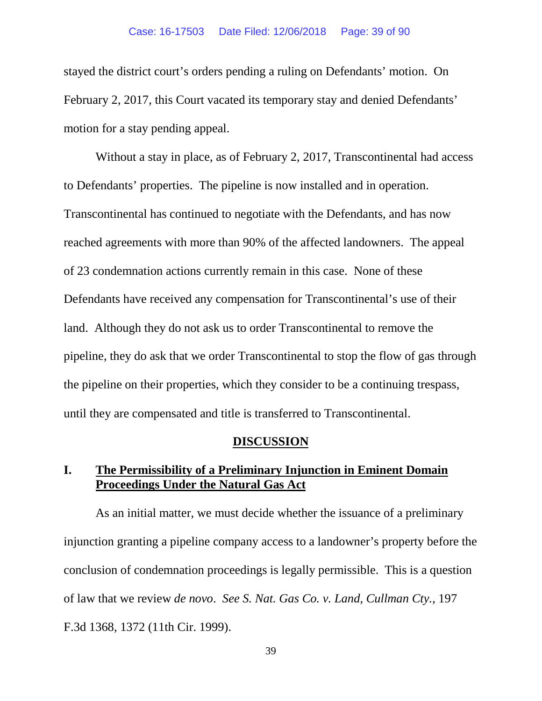#### Case: 16-17503 Date Filed: 12/06/2018 Page: 39 of 90

stayed the district court's orders pending a ruling on Defendants' motion. On February 2, 2017, this Court vacated its temporary stay and denied Defendants' motion for a stay pending appeal.

Without a stay in place, as of February 2, 2017, Transcontinental had access to Defendants' properties. The pipeline is now installed and in operation. Transcontinental has continued to negotiate with the Defendants, and has now reached agreements with more than 90% of the affected landowners. The appeal of 23 condemnation actions currently remain in this case. None of these Defendants have received any compensation for Transcontinental's use of their land. Although they do not ask us to order Transcontinental to remove the pipeline, they do ask that we order Transcontinental to stop the flow of gas through the pipeline on their properties, which they consider to be a continuing trespass, until they are compensated and title is transferred to Transcontinental.

#### **DISCUSSION**

# **I. The Permissibility of a Preliminary Injunction in Eminent Domain Proceedings Under the Natural Gas Act**

As an initial matter, we must decide whether the issuance of a preliminary injunction granting a pipeline company access to a landowner's property before the conclusion of condemnation proceedings is legally permissible. This is a question of law that we review *de novo*. *See S. Nat. Gas Co. v. Land, Cullman Cty.*, 197 F.3d 1368, 1372 (11th Cir. 1999).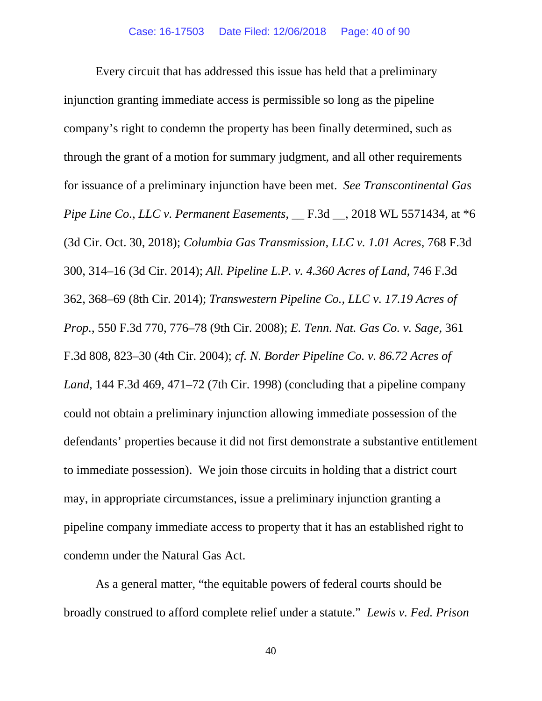Every circuit that has addressed this issue has held that a preliminary injunction granting immediate access is permissible so long as the pipeline company's right to condemn the property has been finally determined, such as through the grant of a motion for summary judgment, and all other requirements for issuance of a preliminary injunction have been met. *See Transcontinental Gas Pipe Line Co., LLC v. Permanent Easements*, \_\_ F.3d \_\_, 2018 WL 5571434, at \*6 (3d Cir. Oct. 30, 2018); *Columbia Gas Transmission, LLC v. 1.01 Acres*, 768 F.3d 300, 314–16 (3d Cir. 2014); *All. Pipeline L.P. v. 4.360 Acres of Land*, 746 F.3d 362, 368–69 (8th Cir. 2014); *Transwestern Pipeline Co., LLC v. 17.19 Acres of Prop.*, 550 F.3d 770, 776–78 (9th Cir. 2008); *E. Tenn. Nat. Gas Co. v. Sage*, 361 F.3d 808, 823–30 (4th Cir. 2004); *cf. N. Border Pipeline Co. v. 86.72 Acres of Land*, 144 F.3d 469, 471–72 (7th Cir. 1998) (concluding that a pipeline company could not obtain a preliminary injunction allowing immediate possession of the defendants' properties because it did not first demonstrate a substantive entitlement to immediate possession). We join those circuits in holding that a district court may, in appropriate circumstances, issue a preliminary injunction granting a pipeline company immediate access to property that it has an established right to condemn under the Natural Gas Act.

As a general matter, "the equitable powers of federal courts should be broadly construed to afford complete relief under a statute." *Lewis v. Fed. Prison*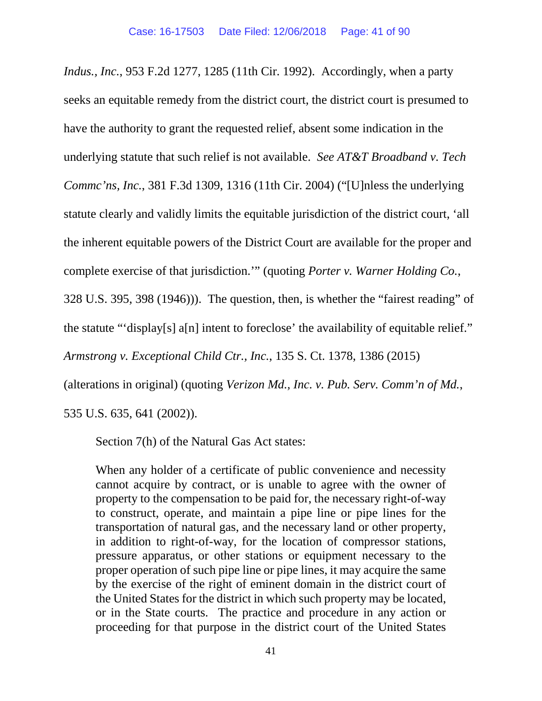*Indus., Inc.*, 953 F.2d 1277, 1285 (11th Cir. 1992). Accordingly, when a party seeks an equitable remedy from the district court, the district court is presumed to have the authority to grant the requested relief, absent some indication in the underlying statute that such relief is not available. *See AT&T Broadband v. Tech Commc'ns, Inc.*, 381 F.3d 1309, 1316 (11th Cir. 2004) ("[U]nless the underlying statute clearly and validly limits the equitable jurisdiction of the district court, 'all the inherent equitable powers of the District Court are available for the proper and complete exercise of that jurisdiction.'" (quoting *Porter v. Warner Holding Co.*, 328 U.S. 395, 398 (1946))). The question, then, is whether the "fairest reading" of the statute "'display[s] a[n] intent to foreclose' the availability of equitable relief." *Armstrong v. Exceptional Child Ctr., Inc.*, 135 S. Ct. 1378, 1386 (2015)

(alterations in original) (quoting *Verizon Md., Inc. v. Pub. Serv. Comm'n of Md.*,

535 U.S. 635, 641 (2002)).

Section 7(h) of the Natural Gas Act states:

When any holder of a certificate of public convenience and necessity cannot acquire by contract, or is unable to agree with the owner of property to the compensation to be paid for, the necessary right-of-way to construct, operate, and maintain a pipe line or pipe lines for the transportation of natural gas, and the necessary land or other property, in addition to right-of-way, for the location of compressor stations, pressure apparatus, or other stations or equipment necessary to the proper operation of such pipe line or pipe lines, it may acquire the same by the exercise of the right of eminent domain in the district court of the United States for the district in which such property may be located, or in the State courts. The practice and procedure in any action or proceeding for that purpose in the district court of the United States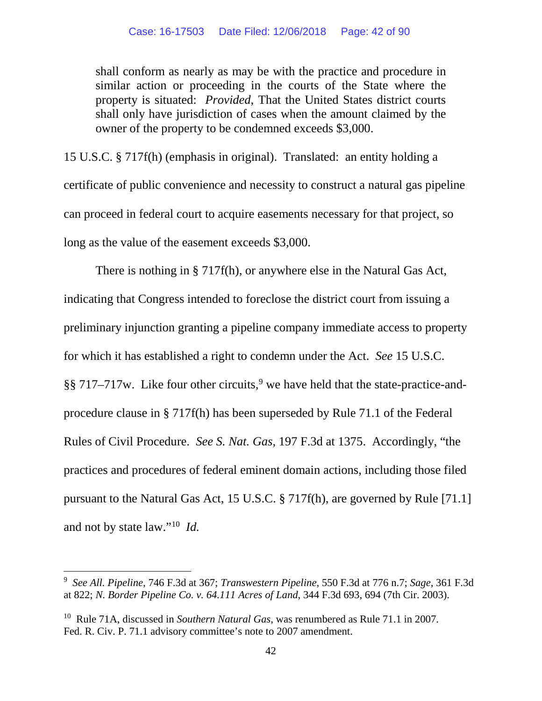shall conform as nearly as may be with the practice and procedure in similar action or proceeding in the courts of the State where the property is situated: *Provided*, That the United States district courts shall only have jurisdiction of cases when the amount claimed by the owner of the property to be condemned exceeds \$3,000.

15 U.S.C. § 717f(h) (emphasis in original). Translated: an entity holding a certificate of public convenience and necessity to construct a natural gas pipeline can proceed in federal court to acquire easements necessary for that project, so long as the value of the easement exceeds \$3,000.

There is nothing in § 717f(h), or anywhere else in the Natural Gas Act, indicating that Congress intended to foreclose the district court from issuing a preliminary injunction granting a pipeline company immediate access to property for which it has established a right to condemn under the Act. *See* 15 U.S.C. §§ 717–717w. Like four other circuits, [9](#page-41-0) we have held that the state-practice-andprocedure clause in § 717f(h) has been superseded by Rule 71.1 of the Federal Rules of Civil Procedure. *See S. Nat. Gas*, 197 F.3d at 1375. Accordingly, "the practices and procedures of federal eminent domain actions, including those filed pursuant to the Natural Gas Act, 15 U.S.C. § 717f(h), are governed by Rule [71.1] and not by state law."[10](#page-41-1) *Id.*

<span id="page-41-1"></span>10 Rule 71A, discussed in *Southern Natural Gas*, was renumbered as Rule 71.1 in 2007. Fed. R. Civ. P. 71.1 advisory committee's note to 2007 amendment.

<span id="page-41-0"></span> <sup>9</sup> *See All. Pipeline*, 746 F.3d at 367; *Transwestern Pipeline*, 550 F.3d at <sup>776</sup> n.7; *Sage*, 361 F.3d at 822; *N. Border Pipeline Co. v. 64.111 Acres of Land*, 344 F.3d 693, 694 (7th Cir. 2003).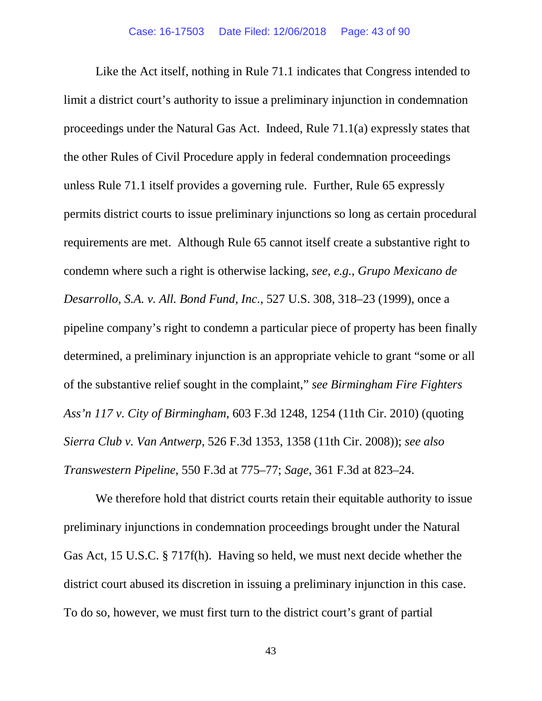Like the Act itself, nothing in Rule 71.1 indicates that Congress intended to limit a district court's authority to issue a preliminary injunction in condemnation proceedings under the Natural Gas Act. Indeed, Rule 71.1(a) expressly states that the other Rules of Civil Procedure apply in federal condemnation proceedings unless Rule 71.1 itself provides a governing rule. Further, Rule 65 expressly permits district courts to issue preliminary injunctions so long as certain procedural requirements are met. Although Rule 65 cannot itself create a substantive right to condemn where such a right is otherwise lacking, *see, e.g.*, *Grupo Mexicano de Desarrollo, S.A. v. All. Bond Fund, Inc.*, 527 U.S. 308, 318–23 (1999), once a pipeline company's right to condemn a particular piece of property has been finally determined, a preliminary injunction is an appropriate vehicle to grant "some or all of the substantive relief sought in the complaint," *see Birmingham Fire Fighters Ass'n 117 v. City of Birmingham*, 603 F.3d 1248, 1254 (11th Cir. 2010) (quoting *Sierra Club v. Van Antwerp*, 526 F.3d 1353, 1358 (11th Cir. 2008)); *see also Transwestern Pipeline*, 550 F.3d at 775–77; *Sage*, 361 F.3d at 823–24.

We therefore hold that district courts retain their equitable authority to issue preliminary injunctions in condemnation proceedings brought under the Natural Gas Act, 15 U.S.C. § 717f(h). Having so held, we must next decide whether the district court abused its discretion in issuing a preliminary injunction in this case. To do so, however, we must first turn to the district court's grant of partial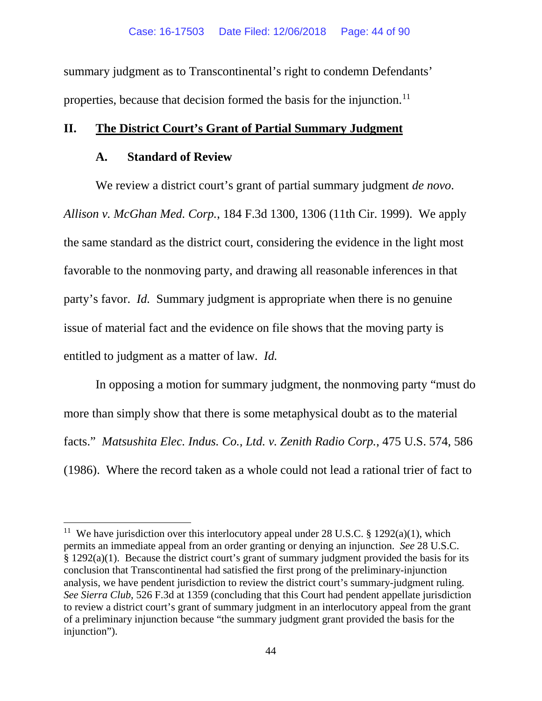summary judgment as to Transcontinental's right to condemn Defendants' properties, because that decision formed the basis for the injunction.<sup>[11](#page-43-0)</sup>

### **II. The District Court's Grant of Partial Summary Judgment**

### **A. Standard of Review**

We review a district court's grant of partial summary judgment *de novo*. *Allison v. McGhan Med. Corp.*, 184 F.3d 1300, 1306 (11th Cir. 1999). We apply the same standard as the district court, considering the evidence in the light most favorable to the nonmoving party, and drawing all reasonable inferences in that party's favor. *Id.* Summary judgment is appropriate when there is no genuine issue of material fact and the evidence on file shows that the moving party is entitled to judgment as a matter of law. *Id.*

In opposing a motion for summary judgment, the nonmoving party "must do more than simply show that there is some metaphysical doubt as to the material facts." *Matsushita Elec. Indus. Co., Ltd. v. Zenith Radio Corp.*, 475 U.S. 574, 586 (1986). Where the record taken as a whole could not lead a rational trier of fact to

<span id="page-43-0"></span><sup>&</sup>lt;sup>11</sup> We have jurisdiction over this interlocutory appeal under 28 U.S.C. § 1292(a)(1), which permits an immediate appeal from an order granting or denying an injunction. *See* 28 U.S.C. § 1292(a)(1). Because the district court's grant of summary judgment provided the basis for its conclusion that Transcontinental had satisfied the first prong of the preliminary-injunction analysis, we have pendent jurisdiction to review the district court's summary-judgment ruling. *See Sierra Club*, 526 F.3d at 1359 (concluding that this Court had pendent appellate jurisdiction to review a district court's grant of summary judgment in an interlocutory appeal from the grant of a preliminary injunction because "the summary judgment grant provided the basis for the injunction").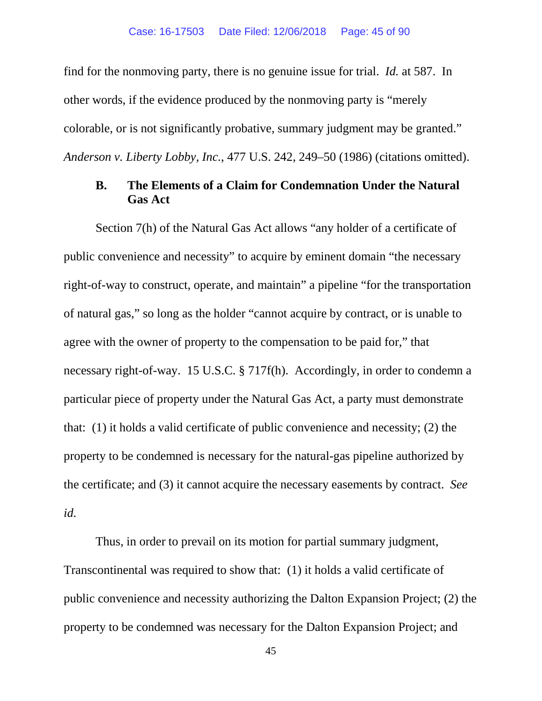find for the nonmoving party, there is no genuine issue for trial. *Id.* at 587.In other words, if the evidence produced by the nonmoving party is "merely colorable, or is not significantly probative, summary judgment may be granted." *Anderson v. Liberty Lobby, Inc.*, 477 U.S. 242, 249–50 (1986) (citations omitted).

## **B. The Elements of a Claim for Condemnation Under the Natural Gas Act**

Section 7(h) of the Natural Gas Act allows "any holder of a certificate of public convenience and necessity" to acquire by eminent domain "the necessary right-of-way to construct, operate, and maintain" a pipeline "for the transportation of natural gas," so long as the holder "cannot acquire by contract, or is unable to agree with the owner of property to the compensation to be paid for," that necessary right-of-way. 15 U.S.C. § 717f(h). Accordingly, in order to condemn a particular piece of property under the Natural Gas Act, a party must demonstrate that: (1) it holds a valid certificate of public convenience and necessity; (2) the property to be condemned is necessary for the natural-gas pipeline authorized by the certificate; and (3) it cannot acquire the necessary easements by contract. *See id.*

Thus, in order to prevail on its motion for partial summary judgment, Transcontinental was required to show that: (1) it holds a valid certificate of public convenience and necessity authorizing the Dalton Expansion Project; (2) the property to be condemned was necessary for the Dalton Expansion Project; and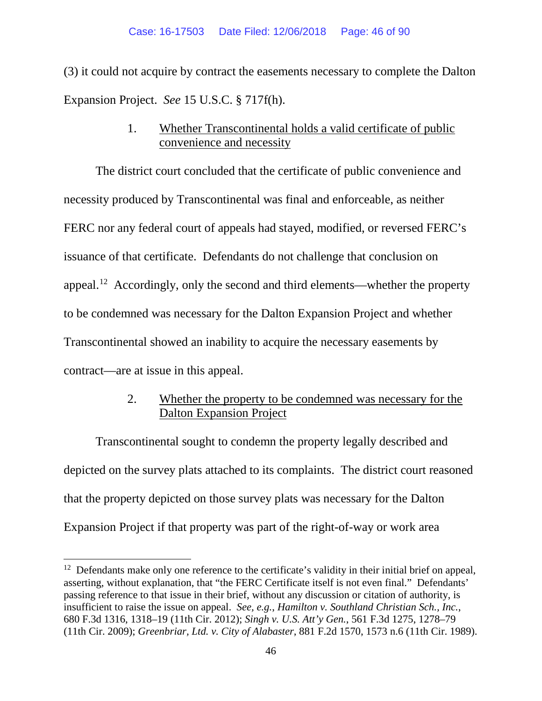(3) it could not acquire by contract the easements necessary to complete the Dalton Expansion Project. *See* 15 U.S.C. § 717f(h).

# 1. Whether Transcontinental holds a valid certificate of public convenience and necessity

The district court concluded that the certificate of public convenience and necessity produced by Transcontinental was final and enforceable, as neither FERC nor any federal court of appeals had stayed, modified, or reversed FERC's issuance of that certificate. Defendants do not challenge that conclusion on appeal.<sup>12</sup> Accordingly, only the second and third elements—whether the property to be condemned was necessary for the Dalton Expansion Project and whether Transcontinental showed an inability to acquire the necessary easements by contract—are at issue in this appeal.

# 2. Whether the property to be condemned was necessary for the Dalton Expansion Project

Transcontinental sought to condemn the property legally described and depicted on the survey plats attached to its complaints. The district court reasoned that the property depicted on those survey plats was necessary for the Dalton Expansion Project if that property was part of the right-of-way or work area

<span id="page-45-0"></span><sup>&</sup>lt;sup>12</sup> Defendants make only one reference to the certificate's validity in their initial brief on appeal, asserting, without explanation, that "the FERC Certificate itself is not even final." Defendants' passing reference to that issue in their brief, without any discussion or citation of authority, is insufficient to raise the issue on appeal. *See, e.g.*, *Hamilton v. Southland Christian Sch., Inc.*, 680 F.3d 1316, 1318–19 (11th Cir. 2012); *Singh v. U.S. Att'y Gen.*, 561 F.3d 1275, 1278–79 (11th Cir. 2009); *Greenbriar, Ltd. v. City of Alabaster*, 881 F.2d 1570, 1573 n.6 (11th Cir. 1989).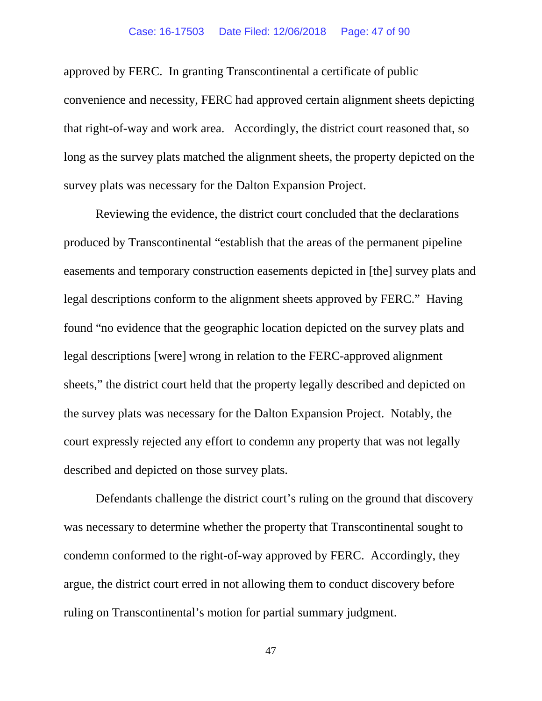### Case: 16-17503 Date Filed: 12/06/2018 Page: 47 of 90

approved by FERC. In granting Transcontinental a certificate of public convenience and necessity, FERC had approved certain alignment sheets depicting that right-of-way and work area. Accordingly, the district court reasoned that, so long as the survey plats matched the alignment sheets, the property depicted on the survey plats was necessary for the Dalton Expansion Project.

Reviewing the evidence, the district court concluded that the declarations produced by Transcontinental "establish that the areas of the permanent pipeline easements and temporary construction easements depicted in [the] survey plats and legal descriptions conform to the alignment sheets approved by FERC." Having found "no evidence that the geographic location depicted on the survey plats and legal descriptions [were] wrong in relation to the FERC-approved alignment sheets," the district court held that the property legally described and depicted on the survey plats was necessary for the Dalton Expansion Project. Notably, the court expressly rejected any effort to condemn any property that was not legally described and depicted on those survey plats.

Defendants challenge the district court's ruling on the ground that discovery was necessary to determine whether the property that Transcontinental sought to condemn conformed to the right-of-way approved by FERC. Accordingly, they argue, the district court erred in not allowing them to conduct discovery before ruling on Transcontinental's motion for partial summary judgment.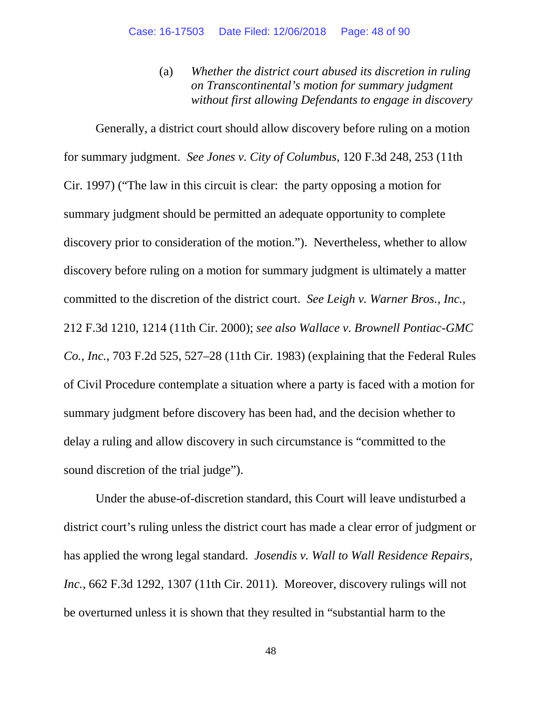(a) *Whether the district court abused its discretion in ruling on Transcontinental's motion for summary judgment without first allowing Defendants to engage in discovery*

Generally, a district court should allow discovery before ruling on a motion for summary judgment. *See Jones v. City of Columbus*, 120 F.3d 248, 253 (11th Cir. 1997) ("The law in this circuit is clear: the party opposing a motion for summary judgment should be permitted an adequate opportunity to complete discovery prior to consideration of the motion."). Nevertheless, whether to allow discovery before ruling on a motion for summary judgment is ultimately a matter committed to the discretion of the district court. *See Leigh v. Warner Bros., Inc.*, 212 F.3d 1210, 1214 (11th Cir. 2000); *see also Wallace v. Brownell Pontiac-GMC Co., Inc.*, 703 F.2d 525, 527–28 (11th Cir. 1983) (explaining that the Federal Rules of Civil Procedure contemplate a situation where a party is faced with a motion for summary judgment before discovery has been had, and the decision whether to delay a ruling and allow discovery in such circumstance is "committed to the sound discretion of the trial judge").

Under the abuse-of-discretion standard, this Court will leave undisturbed a district court's ruling unless the district court has made a clear error of judgment or has applied the wrong legal standard. *Josendis v. Wall to Wall Residence Repairs, Inc.*, 662 F.3d 1292, 1307 (11th Cir. 2011). Moreover, discovery rulings will not be overturned unless it is shown that they resulted in "substantial harm to the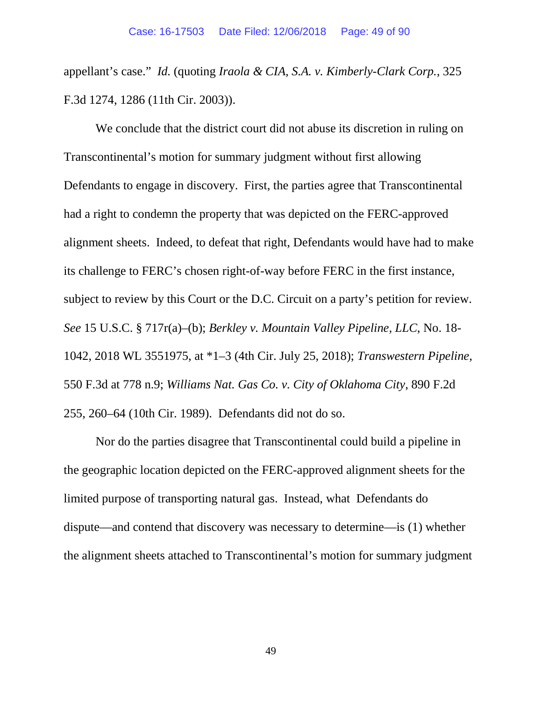appellant's case." *Id.* (quoting *Iraola & CIA, S.A. v. Kimberly-Clark Corp.*, 325 F.3d 1274, 1286 (11th Cir. 2003)).

We conclude that the district court did not abuse its discretion in ruling on Transcontinental's motion for summary judgment without first allowing Defendants to engage in discovery. First, the parties agree that Transcontinental had a right to condemn the property that was depicted on the FERC-approved alignment sheets. Indeed, to defeat that right, Defendants would have had to make its challenge to FERC's chosen right-of-way before FERC in the first instance, subject to review by this Court or the D.C. Circuit on a party's petition for review. *See* 15 U.S.C. § 717r(a)–(b); *Berkley v. Mountain Valley Pipeline, LLC*, No. 18- 1042, 2018 WL 3551975, at \*1–3 (4th Cir. July 25, 2018); *Transwestern Pipeline*, 550 F.3d at 778 n.9; *Williams Nat. Gas Co. v. City of Oklahoma City*, 890 F.2d 255, 260–64 (10th Cir. 1989). Defendants did not do so.

Nor do the parties disagree that Transcontinental could build a pipeline in the geographic location depicted on the FERC-approved alignment sheets for the limited purpose of transporting natural gas. Instead, what Defendants do dispute—and contend that discovery was necessary to determine—is (1) whether the alignment sheets attached to Transcontinental's motion for summary judgment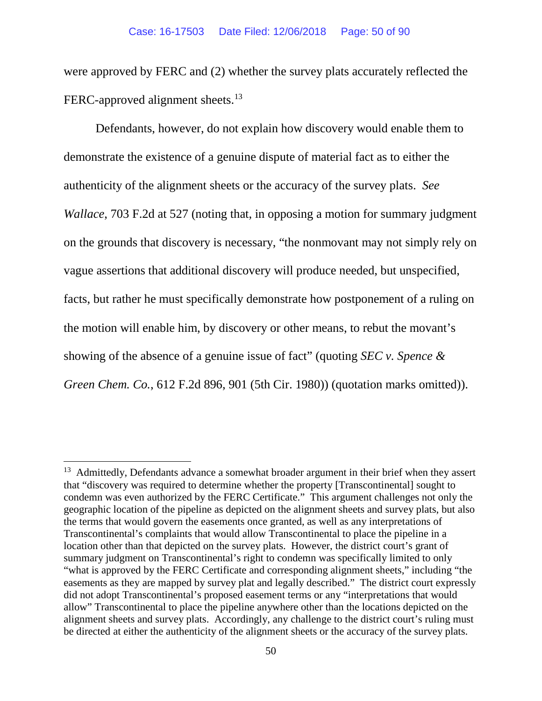were approved by FERC and (2) whether the survey plats accurately reflected the FERC-approved alignment sheets.<sup>[13](#page-49-0)</sup>

Defendants, however, do not explain how discovery would enable them to demonstrate the existence of a genuine dispute of material fact as to either the authenticity of the alignment sheets or the accuracy of the survey plats. *See Wallace*, 703 F.2d at 527 (noting that, in opposing a motion for summary judgment on the grounds that discovery is necessary, "the nonmovant may not simply rely on vague assertions that additional discovery will produce needed, but unspecified, facts, but rather he must specifically demonstrate how postponement of a ruling on the motion will enable him, by discovery or other means, to rebut the movant's showing of the absence of a genuine issue of fact" (quoting *SEC v. Spence & Green Chem. Co.*, 612 F.2d 896, 901 (5th Cir. 1980)) (quotation marks omitted)).

<span id="page-49-0"></span> $13$  Admittedly, Defendants advance a somewhat broader argument in their brief when they assert that "discovery was required to determine whether the property [Transcontinental] sought to condemn was even authorized by the FERC Certificate." This argument challenges not only the geographic location of the pipeline as depicted on the alignment sheets and survey plats, but also the terms that would govern the easements once granted, as well as any interpretations of Transcontinental's complaints that would allow Transcontinental to place the pipeline in a location other than that depicted on the survey plats. However, the district court's grant of summary judgment on Transcontinental's right to condemn was specifically limited to only "what is approved by the FERC Certificate and corresponding alignment sheets," including "the easements as they are mapped by survey plat and legally described." The district court expressly did not adopt Transcontinental's proposed easement terms or any "interpretations that would allow" Transcontinental to place the pipeline anywhere other than the locations depicted on the alignment sheets and survey plats. Accordingly, any challenge to the district court's ruling must be directed at either the authenticity of the alignment sheets or the accuracy of the survey plats.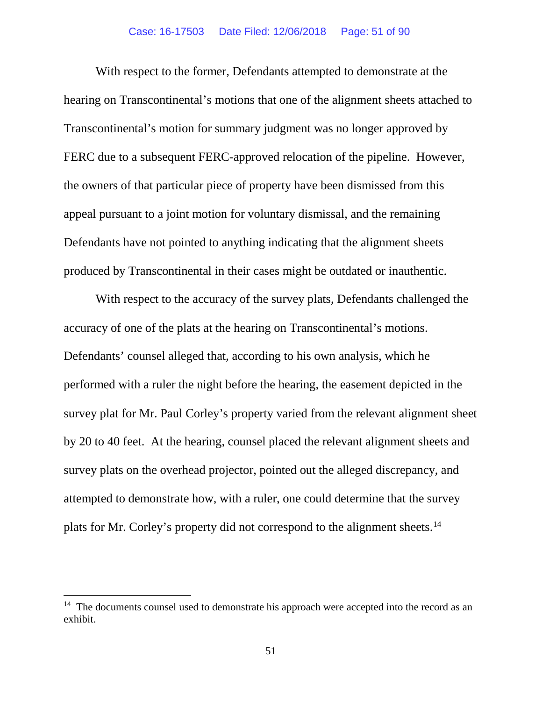With respect to the former, Defendants attempted to demonstrate at the hearing on Transcontinental's motions that one of the alignment sheets attached to Transcontinental's motion for summary judgment was no longer approved by FERC due to a subsequent FERC-approved relocation of the pipeline. However, the owners of that particular piece of property have been dismissed from this appeal pursuant to a joint motion for voluntary dismissal, and the remaining Defendants have not pointed to anything indicating that the alignment sheets produced by Transcontinental in their cases might be outdated or inauthentic.

With respect to the accuracy of the survey plats, Defendants challenged the accuracy of one of the plats at the hearing on Transcontinental's motions. Defendants' counsel alleged that, according to his own analysis, which he performed with a ruler the night before the hearing, the easement depicted in the survey plat for Mr. Paul Corley's property varied from the relevant alignment sheet by 20 to 40 feet. At the hearing, counsel placed the relevant alignment sheets and survey plats on the overhead projector, pointed out the alleged discrepancy, and attempted to demonstrate how, with a ruler, one could determine that the survey plats for Mr. Corley's property did not correspond to the alignment sheets.<sup>14</sup>

<span id="page-50-0"></span><sup>&</sup>lt;sup>14</sup> The documents counsel used to demonstrate his approach were accepted into the record as an exhibit.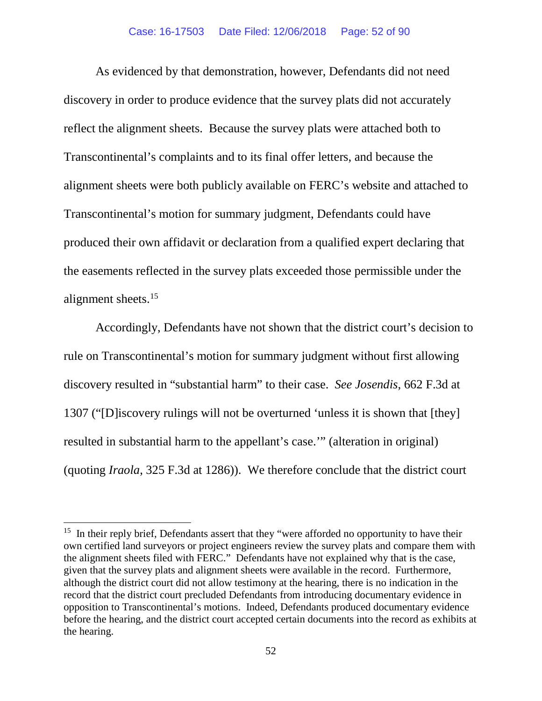As evidenced by that demonstration, however, Defendants did not need discovery in order to produce evidence that the survey plats did not accurately reflect the alignment sheets. Because the survey plats were attached both to Transcontinental's complaints and to its final offer letters, and because the alignment sheets were both publicly available on FERC's website and attached to Transcontinental's motion for summary judgment, Defendants could have produced their own affidavit or declaration from a qualified expert declaring that the easements reflected in the survey plats exceeded those permissible under the alignment sheets.[15](#page-51-0) 

Accordingly, Defendants have not shown that the district court's decision to rule on Transcontinental's motion for summary judgment without first allowing discovery resulted in "substantial harm" to their case. *See Josendis*, 662 F.3d at 1307 ("[D]iscovery rulings will not be overturned 'unless it is shown that [they] resulted in substantial harm to the appellant's case.'" (alteration in original) (quoting *Iraola*, 325 F.3d at 1286)). We therefore conclude that the district court

<span id="page-51-0"></span><sup>&</sup>lt;sup>15</sup> In their reply brief, Defendants assert that they "were afforded no opportunity to have their own certified land surveyors or project engineers review the survey plats and compare them with the alignment sheets filed with FERC." Defendants have not explained why that is the case, given that the survey plats and alignment sheets were available in the record. Furthermore, although the district court did not allow testimony at the hearing, there is no indication in the record that the district court precluded Defendants from introducing documentary evidence in opposition to Transcontinental's motions. Indeed, Defendants produced documentary evidence before the hearing, and the district court accepted certain documents into the record as exhibits at the hearing.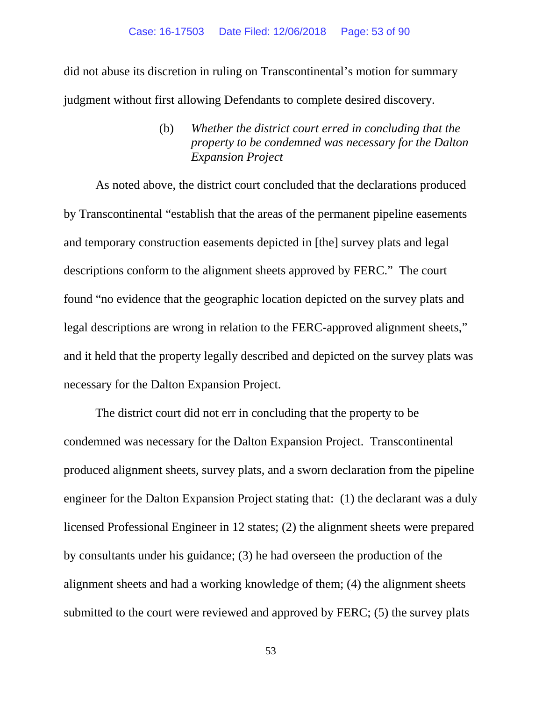did not abuse its discretion in ruling on Transcontinental's motion for summary judgment without first allowing Defendants to complete desired discovery.

> (b) *Whether the district court erred in concluding that the property to be condemned was necessary for the Dalton Expansion Project*

As noted above, the district court concluded that the declarations produced by Transcontinental "establish that the areas of the permanent pipeline easements and temporary construction easements depicted in [the] survey plats and legal descriptions conform to the alignment sheets approved by FERC." The court found "no evidence that the geographic location depicted on the survey plats and legal descriptions are wrong in relation to the FERC-approved alignment sheets," and it held that the property legally described and depicted on the survey plats was necessary for the Dalton Expansion Project.

The district court did not err in concluding that the property to be condemned was necessary for the Dalton Expansion Project. Transcontinental produced alignment sheets, survey plats, and a sworn declaration from the pipeline engineer for the Dalton Expansion Project stating that: (1) the declarant was a duly licensed Professional Engineer in 12 states; (2) the alignment sheets were prepared by consultants under his guidance; (3) he had overseen the production of the alignment sheets and had a working knowledge of them; (4) the alignment sheets submitted to the court were reviewed and approved by FERC; (5) the survey plats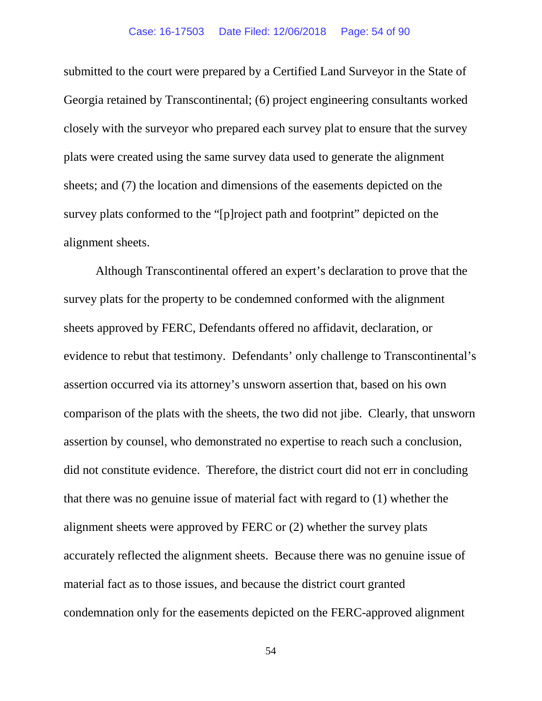#### Case: 16-17503 Date Filed: 12/06/2018 Page: 54 of 90

submitted to the court were prepared by a Certified Land Surveyor in the State of Georgia retained by Transcontinental; (6) project engineering consultants worked closely with the surveyor who prepared each survey plat to ensure that the survey plats were created using the same survey data used to generate the alignment sheets; and (7) the location and dimensions of the easements depicted on the survey plats conformed to the "[p]roject path and footprint" depicted on the alignment sheets.

Although Transcontinental offered an expert's declaration to prove that the survey plats for the property to be condemned conformed with the alignment sheets approved by FERC, Defendants offered no affidavit, declaration, or evidence to rebut that testimony. Defendants' only challenge to Transcontinental's assertion occurred via its attorney's unsworn assertion that, based on his own comparison of the plats with the sheets, the two did not jibe. Clearly, that unsworn assertion by counsel, who demonstrated no expertise to reach such a conclusion, did not constitute evidence. Therefore, the district court did not err in concluding that there was no genuine issue of material fact with regard to (1) whether the alignment sheets were approved by FERC or (2) whether the survey plats accurately reflected the alignment sheets. Because there was no genuine issue of material fact as to those issues, and because the district court granted condemnation only for the easements depicted on the FERC-approved alignment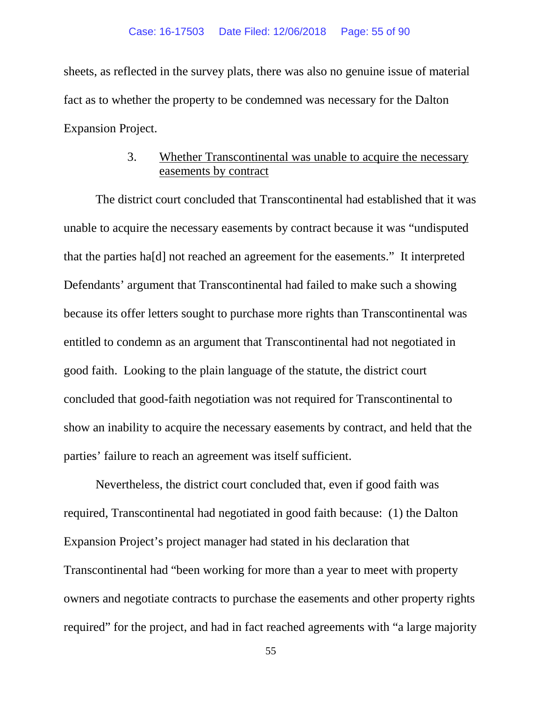sheets, as reflected in the survey plats, there was also no genuine issue of material fact as to whether the property to be condemned was necessary for the Dalton Expansion Project.

# 3. Whether Transcontinental was unable to acquire the necessary easements by contract

The district court concluded that Transcontinental had established that it was unable to acquire the necessary easements by contract because it was "undisputed that the parties ha[d] not reached an agreement for the easements." It interpreted Defendants' argument that Transcontinental had failed to make such a showing because its offer letters sought to purchase more rights than Transcontinental was entitled to condemn as an argument that Transcontinental had not negotiated in good faith. Looking to the plain language of the statute, the district court concluded that good-faith negotiation was not required for Transcontinental to show an inability to acquire the necessary easements by contract, and held that the parties' failure to reach an agreement was itself sufficient.

Nevertheless, the district court concluded that, even if good faith was required, Transcontinental had negotiated in good faith because: (1) the Dalton Expansion Project's project manager had stated in his declaration that Transcontinental had "been working for more than a year to meet with property owners and negotiate contracts to purchase the easements and other property rights required" for the project, and had in fact reached agreements with "a large majority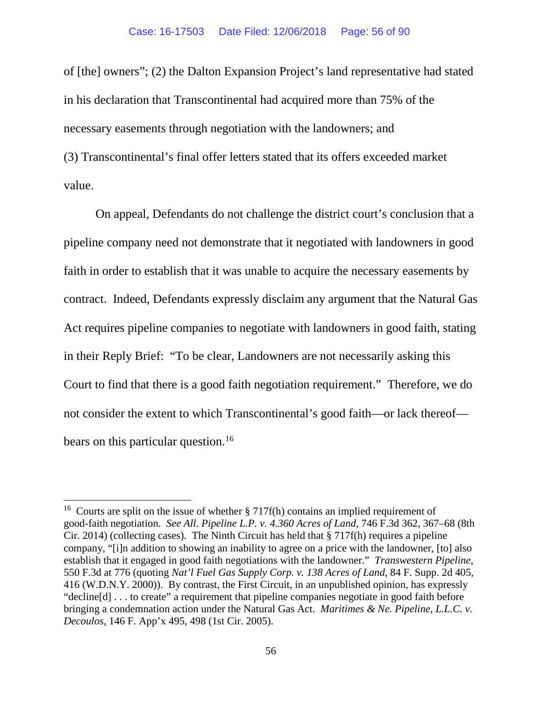of [the] owners"; (2) the Dalton Expansion Project's land representative had stated in his declaration that Transcontinental had acquired more than 75% of the necessary easements through negotiation with the landowners; and (3) Transcontinental's final offer letters stated that its offers exceeded market value.

On appeal, Defendants do not challenge the district court's conclusion that a pipeline company need not demonstrate that it negotiated with landowners in good faith in order to establish that it was unable to acquire the necessary easements by contract. Indeed, Defendants expressly disclaim any argument that the Natural Gas Act requires pipeline companies to negotiate with landowners in good faith, stating in their Reply Brief: "To be clear, Landowners are not necessarily asking this Court to find that there is a good faith negotiation requirement." Therefore, we do not consider the extent to which Transcontinental's good faith—or lack thereof— bears on this particular question.<sup>[16](#page-55-0)</sup>

<span id="page-55-0"></span><sup>&</sup>lt;sup>16</sup> Courts are split on the issue of whether § 717f(h) contains an implied requirement of good-faith negotiation. *See All. Pipeline L.P. v. 4.360 Acres of Land*, 746 F.3d 362, 367–68 (8th Cir. 2014) (collecting cases). The Ninth Circuit has held that § 717f(h) requires a pipeline company, "[i]n addition to showing an inability to agree on a price with the landowner, [to] also establish that it engaged in good faith negotiations with the landowner." *Transwestern Pipeline*, 550 F.3d at 776 (quoting *Nat'l Fuel Gas Supply Corp. v. 138 Acres of Land*, 84 F. Supp. 2d 405, 416 (W.D.N.Y. 2000)). By contrast, the First Circuit, in an unpublished opinion, has expressly "decline[d] . . . to create" a requirement that pipeline companies negotiate in good faith before bringing a condemnation action under the Natural Gas Act. *Maritimes & Ne. Pipeline, L.L.C. v. Decoulos*, 146 F. App'x 495, 498 (1st Cir. 2005).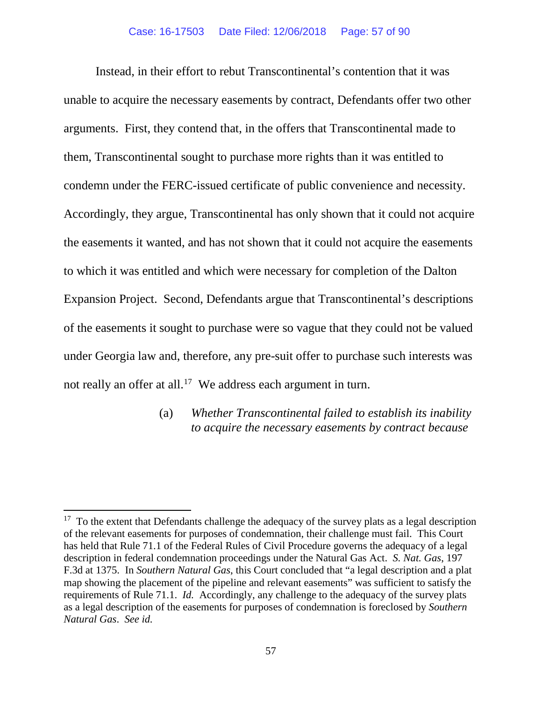Instead, in their effort to rebut Transcontinental's contention that it was unable to acquire the necessary easements by contract, Defendants offer two other arguments. First, they contend that, in the offers that Transcontinental made to them, Transcontinental sought to purchase more rights than it was entitled to condemn under the FERC-issued certificate of public convenience and necessity. Accordingly, they argue, Transcontinental has only shown that it could not acquire the easements it wanted, and has not shown that it could not acquire the easements to which it was entitled and which were necessary for completion of the Dalton Expansion Project. Second, Defendants argue that Transcontinental's descriptions of the easements it sought to purchase were so vague that they could not be valued under Georgia law and, therefore, any pre-suit offer to purchase such interests was not really an offer at all.<sup>17</sup> We address each argument in turn.

## (a) *Whether Transcontinental failed to establish its inability to acquire the necessary easements by contract because*

<span id="page-56-0"></span> $17$  To the extent that Defendants challenge the adequacy of the survey plats as a legal description of the relevant easements for purposes of condemnation, their challenge must fail. This Court has held that Rule 71.1 of the Federal Rules of Civil Procedure governs the adequacy of a legal description in federal condemnation proceedings under the Natural Gas Act. *S. Nat. Gas*, 197 F.3d at 1375. In *Southern Natural Gas*, this Court concluded that "a legal description and a plat map showing the placement of the pipeline and relevant easements" was sufficient to satisfy the requirements of Rule 71.1. *Id.* Accordingly, any challenge to the adequacy of the survey plats as a legal description of the easements for purposes of condemnation is foreclosed by *Southern Natural Gas*. *See id.*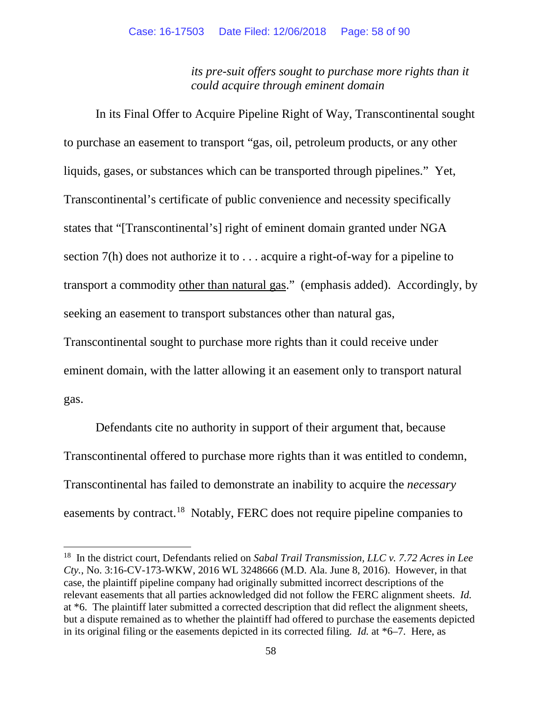*its pre-suit offers sought to purchase more rights than it could acquire through eminent domain* 

In its Final Offer to Acquire Pipeline Right of Way, Transcontinental sought to purchase an easement to transport "gas, oil, petroleum products, or any other liquids, gases, or substances which can be transported through pipelines." Yet, Transcontinental's certificate of public convenience and necessity specifically states that "[Transcontinental's] right of eminent domain granted under NGA section 7(h) does not authorize it to . . . acquire a right-of-way for a pipeline to transport a commodity other than natural gas." (emphasis added). Accordingly, by seeking an easement to transport substances other than natural gas,

Transcontinental sought to purchase more rights than it could receive under eminent domain, with the latter allowing it an easement only to transport natural gas.

Defendants cite no authority in support of their argument that, because Transcontinental offered to purchase more rights than it was entitled to condemn, Transcontinental has failed to demonstrate an inability to acquire the *necessary*  easements by contract.<sup>18</sup> Notably, FERC does not require pipeline companies to

<span id="page-57-0"></span> <sup>18</sup> In the district court, Defendants relied on *Sabal Trail Transmission, LLC v. 7.72 Acres in Lee Cty.*, No. 3:16-CV-173-WKW, 2016 WL 3248666 (M.D. Ala. June 8, 2016). However, in that case, the plaintiff pipeline company had originally submitted incorrect descriptions of the relevant easements that all parties acknowledged did not follow the FERC alignment sheets. *Id.*  at \*6. The plaintiff later submitted a corrected description that did reflect the alignment sheets, but a dispute remained as to whether the plaintiff had offered to purchase the easements depicted in its original filing or the easements depicted in its corrected filing. *Id.* at \*6–7. Here, as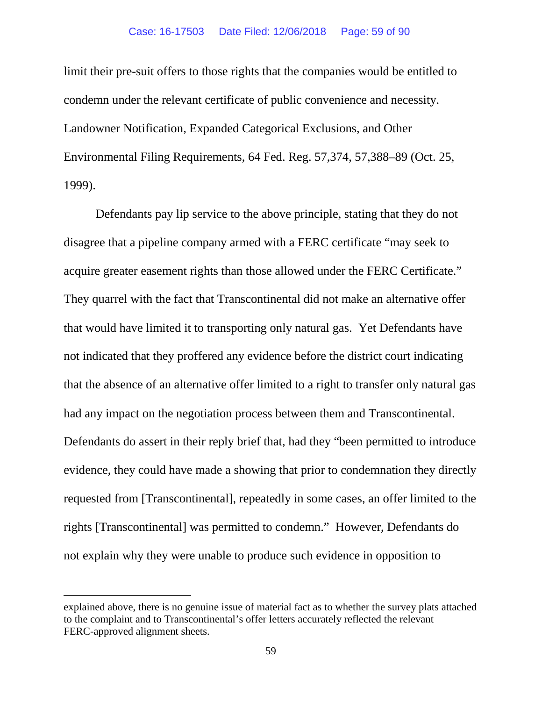limit their pre-suit offers to those rights that the companies would be entitled to condemn under the relevant certificate of public convenience and necessity. Landowner Notification, Expanded Categorical Exclusions, and Other Environmental Filing Requirements, 64 Fed. Reg. 57,374, 57,388–89 (Oct. 25, 1999).

Defendants pay lip service to the above principle, stating that they do not disagree that a pipeline company armed with a FERC certificate "may seek to acquire greater easement rights than those allowed under the FERC Certificate." They quarrel with the fact that Transcontinental did not make an alternative offer that would have limited it to transporting only natural gas. Yet Defendants have not indicated that they proffered any evidence before the district court indicating that the absence of an alternative offer limited to a right to transfer only natural gas had any impact on the negotiation process between them and Transcontinental. Defendants do assert in their reply brief that, had they "been permitted to introduce evidence, they could have made a showing that prior to condemnation they directly requested from [Transcontinental], repeatedly in some cases, an offer limited to the rights [Transcontinental] was permitted to condemn." However, Defendants do not explain why they were unable to produce such evidence in opposition to

 $\overline{a}$ 

explained above, there is no genuine issue of material fact as to whether the survey plats attached to the complaint and to Transcontinental's offer letters accurately reflected the relevant FERC-approved alignment sheets.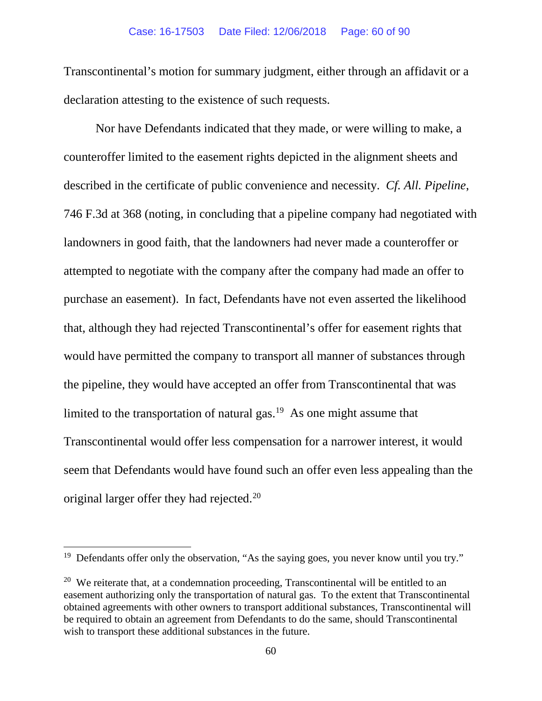Transcontinental's motion for summary judgment, either through an affidavit or a declaration attesting to the existence of such requests.

Nor have Defendants indicated that they made, or were willing to make, a counteroffer limited to the easement rights depicted in the alignment sheets and described in the certificate of public convenience and necessity. *Cf. All. Pipeline*, 746 F.3d at 368 (noting, in concluding that a pipeline company had negotiated with landowners in good faith, that the landowners had never made a counteroffer or attempted to negotiate with the company after the company had made an offer to purchase an easement). In fact, Defendants have not even asserted the likelihood that, although they had rejected Transcontinental's offer for easement rights that would have permitted the company to transport all manner of substances through the pipeline, they would have accepted an offer from Transcontinental that was limited to the transportation of natural gas. $19$  As one might assume that Transcontinental would offer less compensation for a narrower interest, it would seem that Defendants would have found such an offer even less appealing than the original larger offer they had rejected.<sup>[20](#page-59-1)</sup>

<span id="page-59-0"></span><sup>&</sup>lt;sup>19</sup> Defendants offer only the observation, "As the saying goes, you never know until you try."

<span id="page-59-1"></span><sup>&</sup>lt;sup>20</sup> We reiterate that, at a condemnation proceeding, Transcontinental will be entitled to an easement authorizing only the transportation of natural gas. To the extent that Transcontinental obtained agreements with other owners to transport additional substances, Transcontinental will be required to obtain an agreement from Defendants to do the same, should Transcontinental wish to transport these additional substances in the future.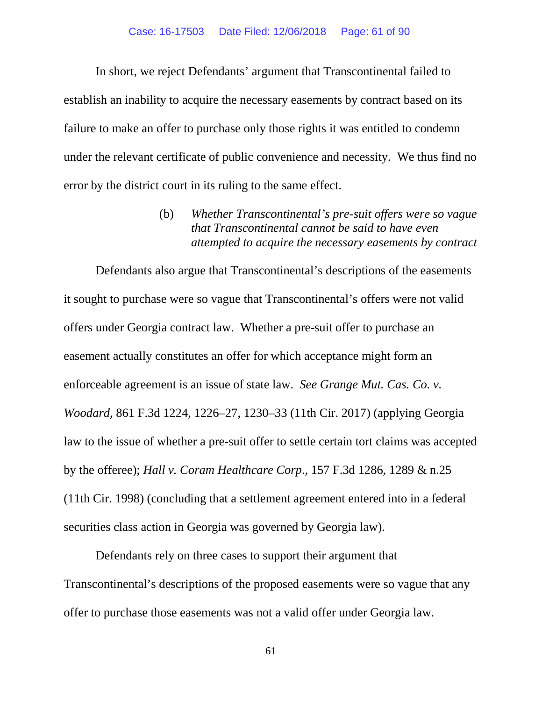In short, we reject Defendants' argument that Transcontinental failed to establish an inability to acquire the necessary easements by contract based on its failure to make an offer to purchase only those rights it was entitled to condemn under the relevant certificate of public convenience and necessity. We thus find no error by the district court in its ruling to the same effect.

> (b) *Whether Transcontinental's pre-suit offers were so vague that Transcontinental cannot be said to have even attempted to acquire the necessary easements by contract*

Defendants also argue that Transcontinental's descriptions of the easements it sought to purchase were so vague that Transcontinental's offers were not valid offers under Georgia contract law. Whether a pre-suit offer to purchase an easement actually constitutes an offer for which acceptance might form an enforceable agreement is an issue of state law. *See Grange Mut. Cas. Co. v. Woodard*, 861 F.3d 1224, 1226–27, 1230–33 (11th Cir. 2017) (applying Georgia law to the issue of whether a pre-suit offer to settle certain tort claims was accepted by the offeree); *Hall v. Coram Healthcare Corp*., 157 F.3d 1286, 1289 & n.25 (11th Cir. 1998) (concluding that a settlement agreement entered into in a federal securities class action in Georgia was governed by Georgia law).

Defendants rely on three cases to support their argument that Transcontinental's descriptions of the proposed easements were so vague that any offer to purchase those easements was not a valid offer under Georgia law.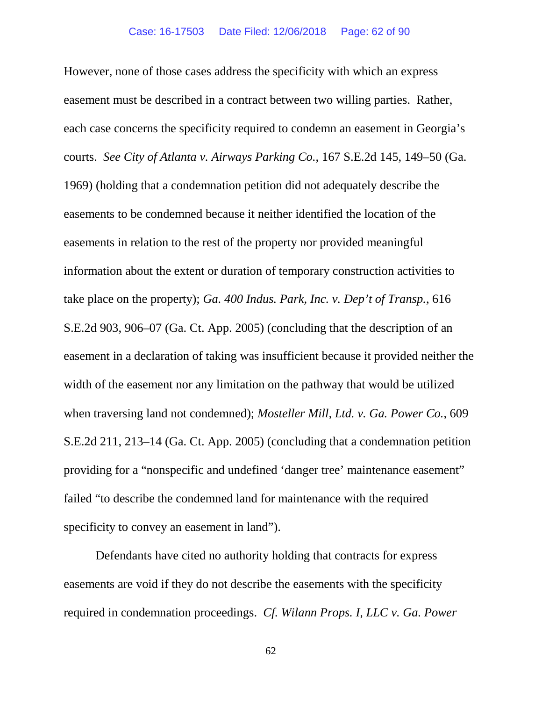However, none of those cases address the specificity with which an express easement must be described in a contract between two willing parties. Rather, each case concerns the specificity required to condemn an easement in Georgia's courts. *See City of Atlanta v. Airways Parking Co.*, 167 S.E.2d 145, 149–50 (Ga. 1969) (holding that a condemnation petition did not adequately describe the easements to be condemned because it neither identified the location of the easements in relation to the rest of the property nor provided meaningful information about the extent or duration of temporary construction activities to take place on the property); *Ga. 400 Indus. Park, Inc. v. Dep't of Transp.*, 616 S.E.2d 903, 906–07 (Ga. Ct. App. 2005) (concluding that the description of an easement in a declaration of taking was insufficient because it provided neither the width of the easement nor any limitation on the pathway that would be utilized when traversing land not condemned); *Mosteller Mill, Ltd. v. Ga. Power Co.*, 609 S.E.2d 211, 213–14 (Ga. Ct. App. 2005) (concluding that a condemnation petition providing for a "nonspecific and undefined 'danger tree' maintenance easement" failed "to describe the condemned land for maintenance with the required specificity to convey an easement in land").

Defendants have cited no authority holding that contracts for express easements are void if they do not describe the easements with the specificity required in condemnation proceedings. *Cf. Wilann Props. I, LLC v. Ga. Power*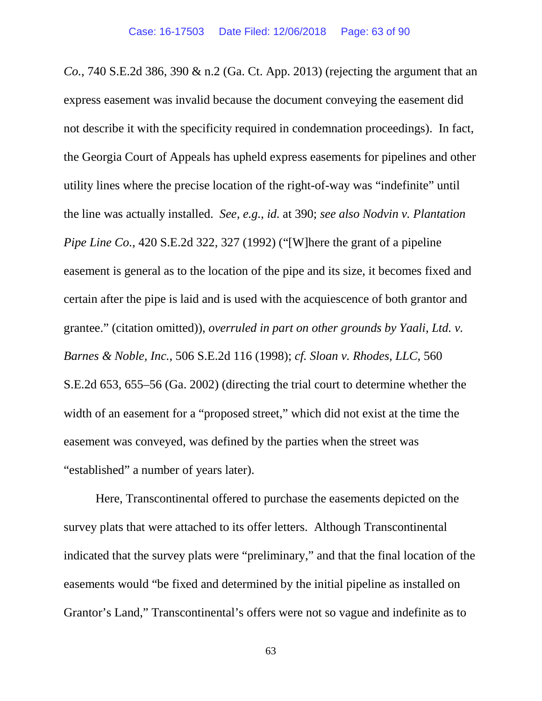*Co.*, 740 S.E.2d 386, 390 & n.2 (Ga. Ct. App. 2013) (rejecting the argument that an express easement was invalid because the document conveying the easement did not describe it with the specificity required in condemnation proceedings). In fact, the Georgia Court of Appeals has upheld express easements for pipelines and other utility lines where the precise location of the right-of-way was "indefinite" until the line was actually installed. *See, e.g.*, *id.* at 390; *see also Nodvin v. Plantation Pipe Line Co.*, 420 S.E.2d 322, 327 (1992) ("[W]here the grant of a pipeline easement is general as to the location of the pipe and its size, it becomes fixed and certain after the pipe is laid and is used with the acquiescence of both grantor and grantee." (citation omitted)), *overruled in part on other grounds by Yaali, Ltd. v. Barnes & Noble, Inc.*, 506 S.E.2d 116 (1998); *cf. Sloan v. Rhodes, LLC*, 560 S.E.2d 653, 655–56 (Ga. 2002) (directing the trial court to determine whether the width of an easement for a "proposed street," which did not exist at the time the easement was conveyed, was defined by the parties when the street was "established" a number of years later).

Here, Transcontinental offered to purchase the easements depicted on the survey plats that were attached to its offer letters. Although Transcontinental indicated that the survey plats were "preliminary," and that the final location of the easements would "be fixed and determined by the initial pipeline as installed on Grantor's Land," Transcontinental's offers were not so vague and indefinite as to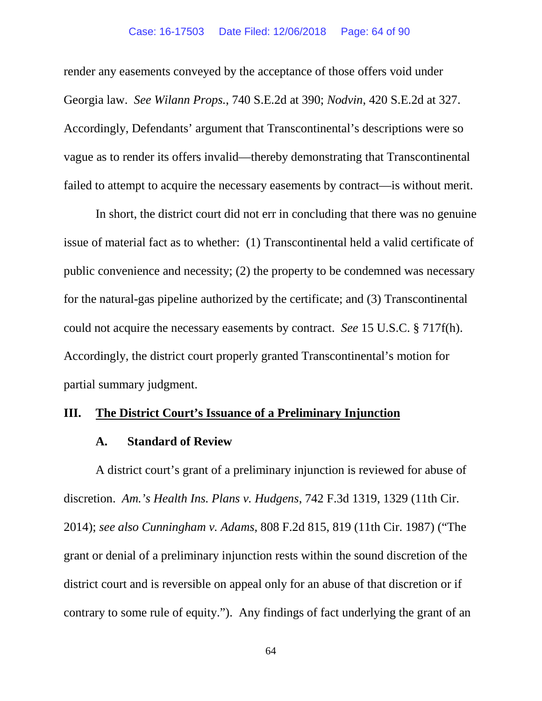#### Case: 16-17503 Date Filed: 12/06/2018 Page: 64 of 90

render any easements conveyed by the acceptance of those offers void under Georgia law. *See Wilann Props.*, 740 S.E.2d at 390; *Nodvin*, 420 S.E.2d at 327. Accordingly, Defendants' argument that Transcontinental's descriptions were so vague as to render its offers invalid—thereby demonstrating that Transcontinental failed to attempt to acquire the necessary easements by contract—is without merit.

In short, the district court did not err in concluding that there was no genuine issue of material fact as to whether: (1) Transcontinental held a valid certificate of public convenience and necessity; (2) the property to be condemned was necessary for the natural-gas pipeline authorized by the certificate; and (3) Transcontinental could not acquire the necessary easements by contract. *See* 15 U.S.C. § 717f(h). Accordingly, the district court properly granted Transcontinental's motion for partial summary judgment.

### **III. The District Court's Issuance of a Preliminary Injunction**

#### **A. Standard of Review**

A district court's grant of a preliminary injunction is reviewed for abuse of discretion. *Am.'s Health Ins. Plans v. Hudgens*, 742 F.3d 1319, 1329 (11th Cir. 2014); *see also Cunningham v. Adams*, 808 F.2d 815, 819 (11th Cir. 1987) ("The grant or denial of a preliminary injunction rests within the sound discretion of the district court and is reversible on appeal only for an abuse of that discretion or if contrary to some rule of equity."). Any findings of fact underlying the grant of an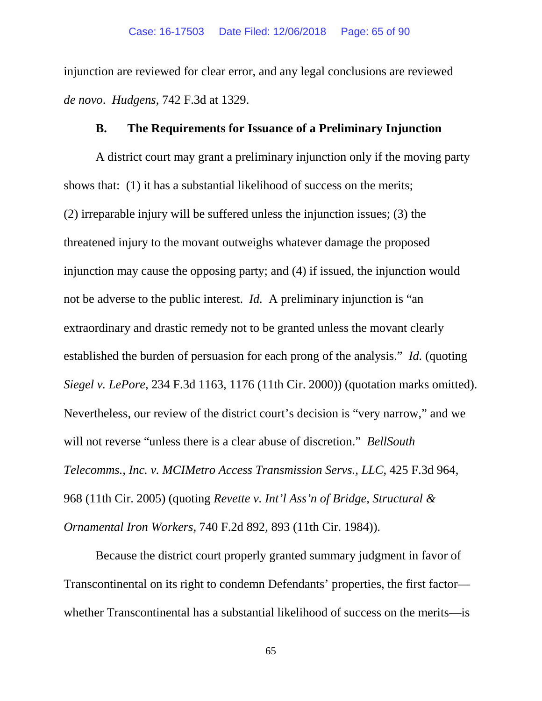injunction are reviewed for clear error, and any legal conclusions are reviewed *de novo*. *Hudgens*, 742 F.3d at 1329.

### **B. The Requirements for Issuance of a Preliminary Injunction**

A district court may grant a preliminary injunction only if the moving party shows that: (1) it has a substantial likelihood of success on the merits; (2) irreparable injury will be suffered unless the injunction issues; (3) the threatened injury to the movant outweighs whatever damage the proposed injunction may cause the opposing party; and (4) if issued, the injunction would not be adverse to the public interest. *Id.* A preliminary injunction is "an extraordinary and drastic remedy not to be granted unless the movant clearly established the burden of persuasion for each prong of the analysis." *Id.* (quoting *Siegel v. LePore*, 234 F.3d 1163, 1176 (11th Cir. 2000)) (quotation marks omitted). Nevertheless, our review of the district court's decision is "very narrow," and we will not reverse "unless there is a clear abuse of discretion." *BellSouth Telecomms., Inc. v. MCIMetro Access Transmission Servs., LLC*, 425 F.3d 964, 968 (11th Cir. 2005) (quoting *Revette v. Int'l Ass'n of Bridge, Structural & Ornamental Iron Workers*, 740 F.2d 892, 893 (11th Cir. 1984)).

Because the district court properly granted summary judgment in favor of Transcontinental on its right to condemn Defendants' properties, the first factor whether Transcontinental has a substantial likelihood of success on the merits—is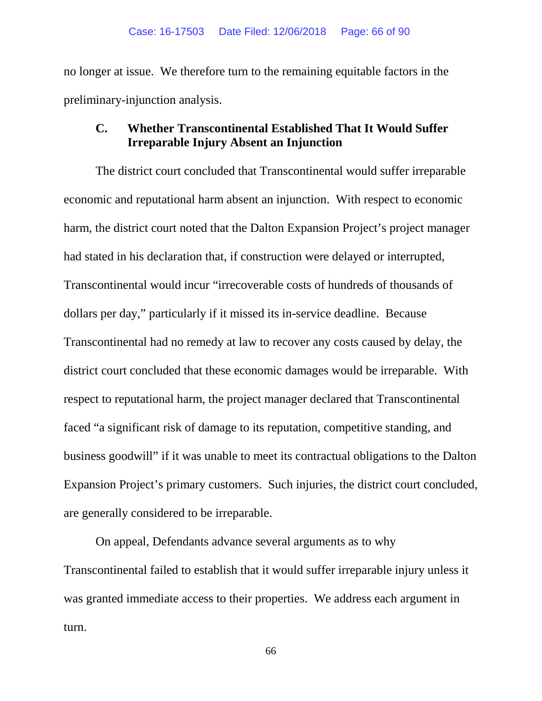no longer at issue. We therefore turn to the remaining equitable factors in the preliminary-injunction analysis.

## **C. Whether Transcontinental Established That It Would Suffer Irreparable Injury Absent an Injunction**

The district court concluded that Transcontinental would suffer irreparable economic and reputational harm absent an injunction. With respect to economic harm, the district court noted that the Dalton Expansion Project's project manager had stated in his declaration that, if construction were delayed or interrupted, Transcontinental would incur "irrecoverable costs of hundreds of thousands of dollars per day," particularly if it missed its in-service deadline. Because Transcontinental had no remedy at law to recover any costs caused by delay, the district court concluded that these economic damages would be irreparable. With respect to reputational harm, the project manager declared that Transcontinental faced "a significant risk of damage to its reputation, competitive standing, and business goodwill" if it was unable to meet its contractual obligations to the Dalton Expansion Project's primary customers. Such injuries, the district court concluded, are generally considered to be irreparable.

On appeal, Defendants advance several arguments as to why Transcontinental failed to establish that it would suffer irreparable injury unless it was granted immediate access to their properties. We address each argument in turn.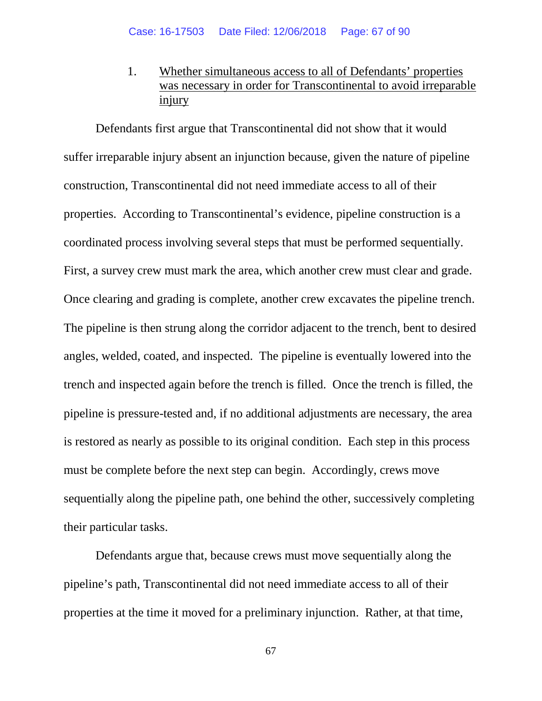1. Whether simultaneous access to all of Defendants' properties was necessary in order for Transcontinental to avoid irreparable injury

Defendants first argue that Transcontinental did not show that it would suffer irreparable injury absent an injunction because, given the nature of pipeline construction, Transcontinental did not need immediate access to all of their properties. According to Transcontinental's evidence, pipeline construction is a coordinated process involving several steps that must be performed sequentially. First, a survey crew must mark the area, which another crew must clear and grade. Once clearing and grading is complete, another crew excavates the pipeline trench. The pipeline is then strung along the corridor adjacent to the trench, bent to desired angles, welded, coated, and inspected. The pipeline is eventually lowered into the trench and inspected again before the trench is filled. Once the trench is filled, the pipeline is pressure-tested and, if no additional adjustments are necessary, the area is restored as nearly as possible to its original condition. Each step in this process must be complete before the next step can begin. Accordingly, crews move sequentially along the pipeline path, one behind the other, successively completing their particular tasks.

Defendants argue that, because crews must move sequentially along the pipeline's path, Transcontinental did not need immediate access to all of their properties at the time it moved for a preliminary injunction. Rather, at that time,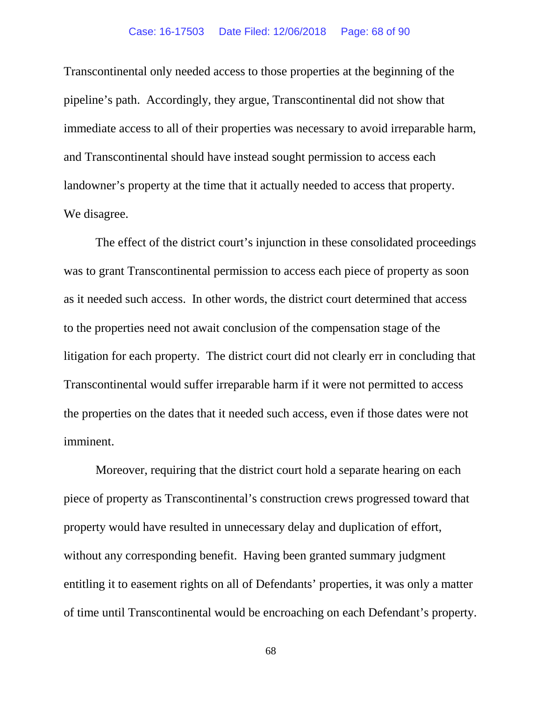### Case: 16-17503 Date Filed: 12/06/2018 Page: 68 of 90

Transcontinental only needed access to those properties at the beginning of the pipeline's path. Accordingly, they argue, Transcontinental did not show that immediate access to all of their properties was necessary to avoid irreparable harm, and Transcontinental should have instead sought permission to access each landowner's property at the time that it actually needed to access that property. We disagree.

The effect of the district court's injunction in these consolidated proceedings was to grant Transcontinental permission to access each piece of property as soon as it needed such access. In other words, the district court determined that access to the properties need not await conclusion of the compensation stage of the litigation for each property. The district court did not clearly err in concluding that Transcontinental would suffer irreparable harm if it were not permitted to access the properties on the dates that it needed such access, even if those dates were not imminent.

Moreover, requiring that the district court hold a separate hearing on each piece of property as Transcontinental's construction crews progressed toward that property would have resulted in unnecessary delay and duplication of effort, without any corresponding benefit. Having been granted summary judgment entitling it to easement rights on all of Defendants' properties, it was only a matter of time until Transcontinental would be encroaching on each Defendant's property.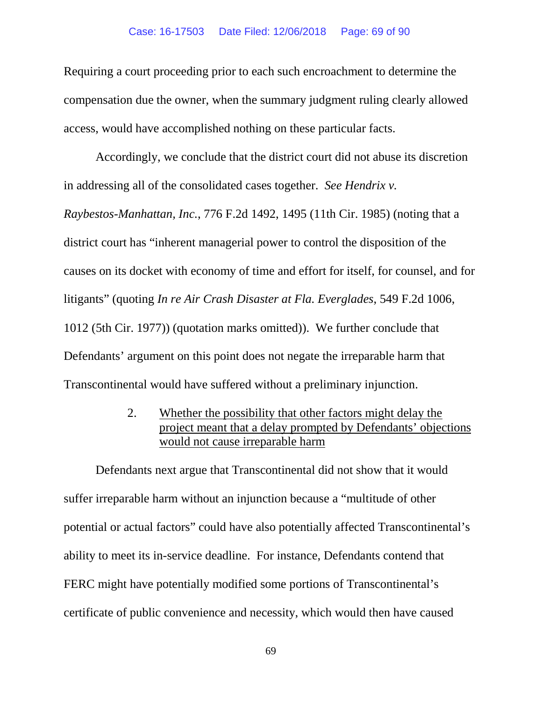### Case: 16-17503 Date Filed: 12/06/2018 Page: 69 of 90

Requiring a court proceeding prior to each such encroachment to determine the compensation due the owner, when the summary judgment ruling clearly allowed access, would have accomplished nothing on these particular facts.

Accordingly, we conclude that the district court did not abuse its discretion in addressing all of the consolidated cases together. *See Hendrix v.* 

*Raybestos-Manhattan, Inc.*, 776 F.2d 1492, 1495 (11th Cir. 1985) (noting that a district court has "inherent managerial power to control the disposition of the causes on its docket with economy of time and effort for itself, for counsel, and for litigants" (quoting *In re Air Crash Disaster at Fla. Everglades*, 549 F.2d 1006, 1012 (5th Cir. 1977)) (quotation marks omitted)). We further conclude that Defendants' argument on this point does not negate the irreparable harm that Transcontinental would have suffered without a preliminary injunction.

> 2. Whether the possibility that other factors might delay the project meant that a delay prompted by Defendants' objections would not cause irreparable harm

Defendants next argue that Transcontinental did not show that it would suffer irreparable harm without an injunction because a "multitude of other potential or actual factors" could have also potentially affected Transcontinental's ability to meet its in-service deadline. For instance, Defendants contend that FERC might have potentially modified some portions of Transcontinental's certificate of public convenience and necessity, which would then have caused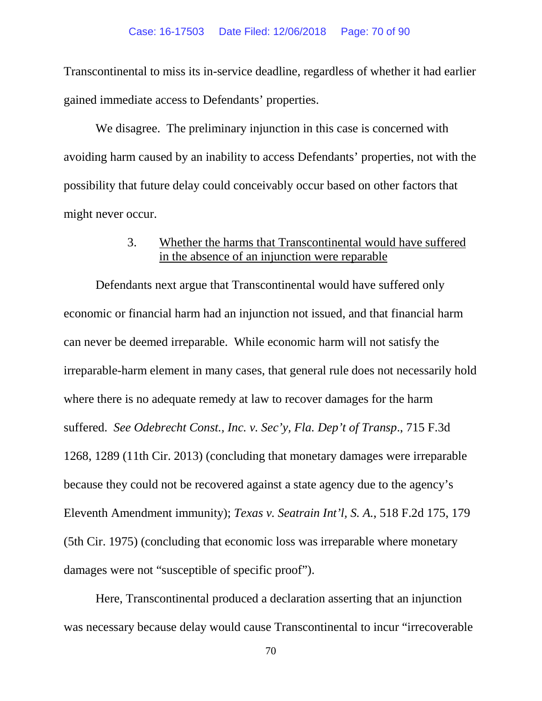Transcontinental to miss its in-service deadline, regardless of whether it had earlier gained immediate access to Defendants' properties.

We disagree. The preliminary injunction in this case is concerned with avoiding harm caused by an inability to access Defendants' properties, not with the possibility that future delay could conceivably occur based on other factors that might never occur.

## 3. Whether the harms that Transcontinental would have suffered in the absence of an injunction were reparable

Defendants next argue that Transcontinental would have suffered only economic or financial harm had an injunction not issued, and that financial harm can never be deemed irreparable. While economic harm will not satisfy the irreparable-harm element in many cases, that general rule does not necessarily hold where there is no adequate remedy at law to recover damages for the harm suffered. *See Odebrecht Const., Inc. v. Sec'y, Fla. Dep't of Transp*., 715 F.3d 1268, 1289 (11th Cir. 2013) (concluding that monetary damages were irreparable because they could not be recovered against a state agency due to the agency's Eleventh Amendment immunity); *Texas v. Seatrain Int'l, S. A.*, 518 F.2d 175, 179 (5th Cir. 1975) (concluding that economic loss was irreparable where monetary damages were not "susceptible of specific proof").

Here, Transcontinental produced a declaration asserting that an injunction was necessary because delay would cause Transcontinental to incur "irrecoverable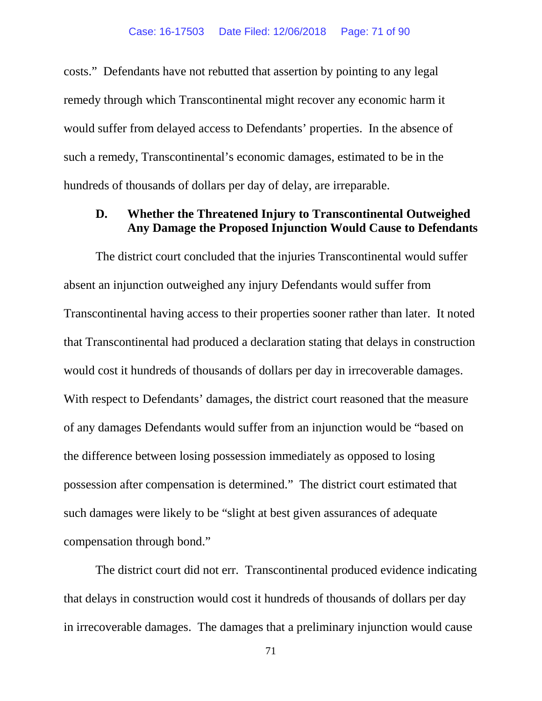costs." Defendants have not rebutted that assertion by pointing to any legal remedy through which Transcontinental might recover any economic harm it would suffer from delayed access to Defendants' properties. In the absence of such a remedy, Transcontinental's economic damages, estimated to be in the hundreds of thousands of dollars per day of delay, are irreparable.

## **D. Whether the Threatened Injury to Transcontinental Outweighed Any Damage the Proposed Injunction Would Cause to Defendants**

The district court concluded that the injuries Transcontinental would suffer absent an injunction outweighed any injury Defendants would suffer from Transcontinental having access to their properties sooner rather than later. It noted that Transcontinental had produced a declaration stating that delays in construction would cost it hundreds of thousands of dollars per day in irrecoverable damages. With respect to Defendants' damages, the district court reasoned that the measure of any damages Defendants would suffer from an injunction would be "based on the difference between losing possession immediately as opposed to losing possession after compensation is determined." The district court estimated that such damages were likely to be "slight at best given assurances of adequate compensation through bond."

The district court did not err. Transcontinental produced evidence indicating that delays in construction would cost it hundreds of thousands of dollars per day in irrecoverable damages. The damages that a preliminary injunction would cause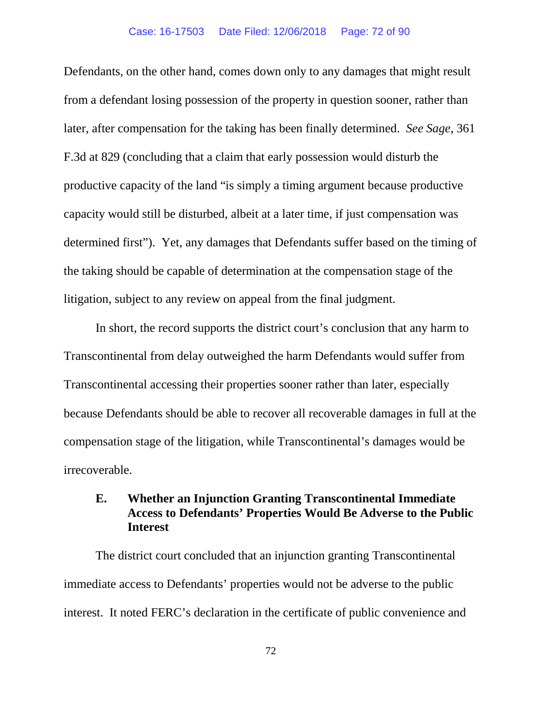### Case: 16-17503 Date Filed: 12/06/2018 Page: 72 of 90

Defendants, on the other hand, comes down only to any damages that might result from a defendant losing possession of the property in question sooner, rather than later, after compensation for the taking has been finally determined. *See Sage*, 361 F.3d at 829 (concluding that a claim that early possession would disturb the productive capacity of the land "is simply a timing argument because productive capacity would still be disturbed, albeit at a later time, if just compensation was determined first"). Yet, any damages that Defendants suffer based on the timing of the taking should be capable of determination at the compensation stage of the litigation, subject to any review on appeal from the final judgment.

In short, the record supports the district court's conclusion that any harm to Transcontinental from delay outweighed the harm Defendants would suffer from Transcontinental accessing their properties sooner rather than later, especially because Defendants should be able to recover all recoverable damages in full at the compensation stage of the litigation, while Transcontinental's damages would be irrecoverable.

# **E. Whether an Injunction Granting Transcontinental Immediate Access to Defendants' Properties Would Be Adverse to the Public Interest**

The district court concluded that an injunction granting Transcontinental immediate access to Defendants' properties would not be adverse to the public interest. It noted FERC's declaration in the certificate of public convenience and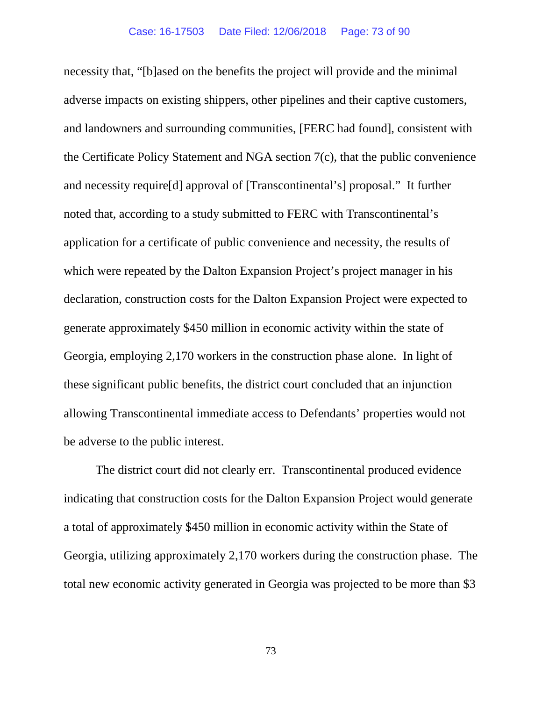necessity that, "[b]ased on the benefits the project will provide and the minimal adverse impacts on existing shippers, other pipelines and their captive customers, and landowners and surrounding communities, [FERC had found], consistent with the Certificate Policy Statement and NGA section 7(c), that the public convenience and necessity require[d] approval of [Transcontinental's] proposal." It further noted that, according to a study submitted to FERC with Transcontinental's application for a certificate of public convenience and necessity, the results of which were repeated by the Dalton Expansion Project's project manager in his declaration, construction costs for the Dalton Expansion Project were expected to generate approximately \$450 million in economic activity within the state of Georgia, employing 2,170 workers in the construction phase alone. In light of these significant public benefits, the district court concluded that an injunction allowing Transcontinental immediate access to Defendants' properties would not be adverse to the public interest.

The district court did not clearly err. Transcontinental produced evidence indicating that construction costs for the Dalton Expansion Project would generate a total of approximately \$450 million in economic activity within the State of Georgia, utilizing approximately 2,170 workers during the construction phase. The total new economic activity generated in Georgia was projected to be more than \$3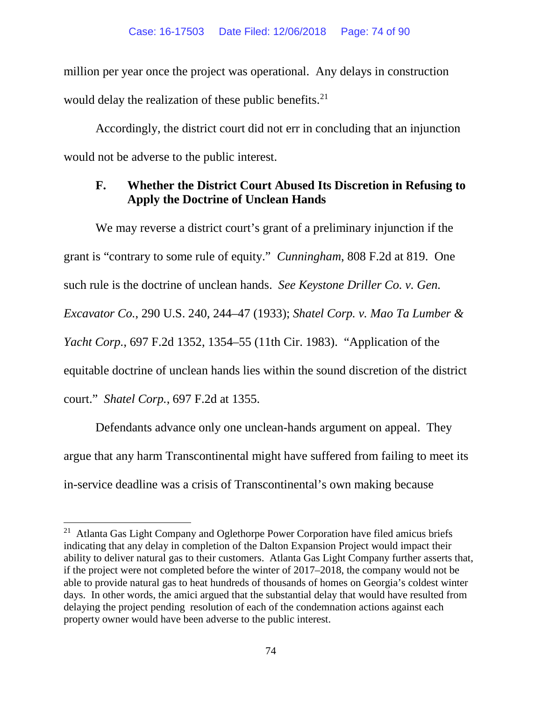million per year once the project was operational. Any delays in construction would delay the realization of these public benefits. $2<sup>1</sup>$ 

Accordingly, the district court did not err in concluding that an injunction would not be adverse to the public interest.

## **F. Whether the District Court Abused Its Discretion in Refusing to Apply the Doctrine of Unclean Hands**

We may reverse a district court's grant of a preliminary injunction if the grant is "contrary to some rule of equity." *Cunningham*, 808 F.2d at 819. One such rule is the doctrine of unclean hands. *See Keystone Driller Co. v. Gen. Excavator Co.*, 290 U.S. 240, 244–47 (1933); *Shatel Corp. v. Mao Ta Lumber & Yacht Corp.*, 697 F.2d 1352, 1354–55 (11th Cir. 1983). "Application of the equitable doctrine of unclean hands lies within the sound discretion of the district court." *Shatel Corp.*, 697 F.2d at 1355.

Defendants advance only one unclean-hands argument on appeal. They argue that any harm Transcontinental might have suffered from failing to meet its in-service deadline was a crisis of Transcontinental's own making because

<span id="page-73-0"></span> <sup>21</sup> Atlanta Gas Light Company and Oglethorpe Power Corporation have filed amicus briefs indicating that any delay in completion of the Dalton Expansion Project would impact their ability to deliver natural gas to their customers. Atlanta Gas Light Company further asserts that, if the project were not completed before the winter of 2017–2018, the company would not be able to provide natural gas to heat hundreds of thousands of homes on Georgia's coldest winter days. In other words, the amici argued that the substantial delay that would have resulted from delaying the project pending resolution of each of the condemnation actions against each property owner would have been adverse to the public interest.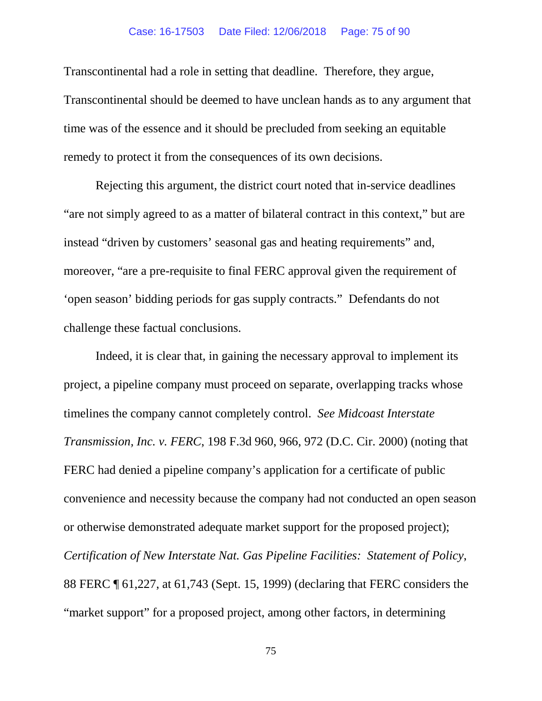### Case: 16-17503 Date Filed: 12/06/2018 Page: 75 of 90

Transcontinental had a role in setting that deadline. Therefore, they argue, Transcontinental should be deemed to have unclean hands as to any argument that time was of the essence and it should be precluded from seeking an equitable remedy to protect it from the consequences of its own decisions.

Rejecting this argument, the district court noted that in-service deadlines "are not simply agreed to as a matter of bilateral contract in this context," but are instead "driven by customers' seasonal gas and heating requirements" and, moreover, "are a pre-requisite to final FERC approval given the requirement of 'open season' bidding periods for gas supply contracts." Defendants do not challenge these factual conclusions.

Indeed, it is clear that, in gaining the necessary approval to implement its project, a pipeline company must proceed on separate, overlapping tracks whose timelines the company cannot completely control. *See Midcoast Interstate Transmission, Inc. v. FERC*, 198 F.3d 960, 966, 972 (D.C. Cir. 2000) (noting that FERC had denied a pipeline company's application for a certificate of public convenience and necessity because the company had not conducted an open season or otherwise demonstrated adequate market support for the proposed project); *Certification of New Interstate Nat. Gas Pipeline Facilities: Statement of Policy*, 88 FERC ¶ 61,227, at 61,743 (Sept. 15, 1999) (declaring that FERC considers the "market support" for a proposed project, among other factors, in determining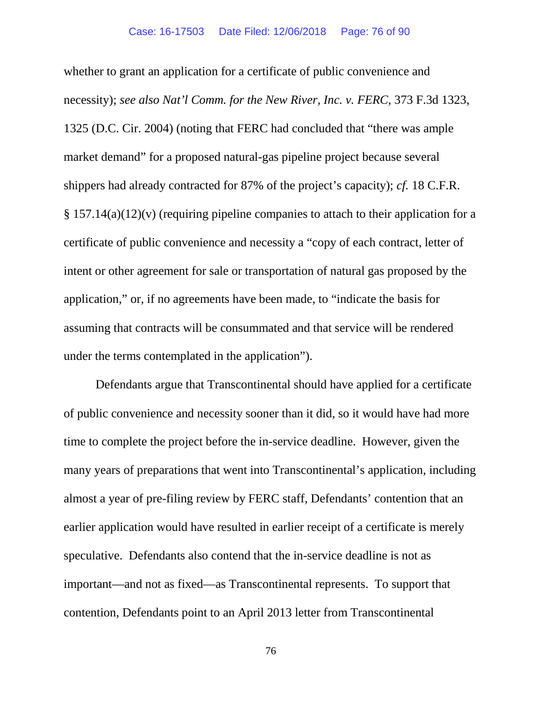whether to grant an application for a certificate of public convenience and necessity); *see also Nat'l Comm. for the New River, Inc. v. FERC*, 373 F.3d 1323, 1325 (D.C. Cir. 2004) (noting that FERC had concluded that "there was ample market demand" for a proposed natural-gas pipeline project because several shippers had already contracted for 87% of the project's capacity); *cf.* 18 C.F.R. § 157.14(a)(12)(v) (requiring pipeline companies to attach to their application for a certificate of public convenience and necessity a "copy of each contract, letter of intent or other agreement for sale or transportation of natural gas proposed by the application," or, if no agreements have been made, to "indicate the basis for assuming that contracts will be consummated and that service will be rendered under the terms contemplated in the application").

Defendants argue that Transcontinental should have applied for a certificate of public convenience and necessity sooner than it did, so it would have had more time to complete the project before the in-service deadline. However, given the many years of preparations that went into Transcontinental's application, including almost a year of pre-filing review by FERC staff, Defendants' contention that an earlier application would have resulted in earlier receipt of a certificate is merely speculative. Defendants also contend that the in-service deadline is not as important—and not as fixed—as Transcontinental represents. To support that contention, Defendants point to an April 2013 letter from Transcontinental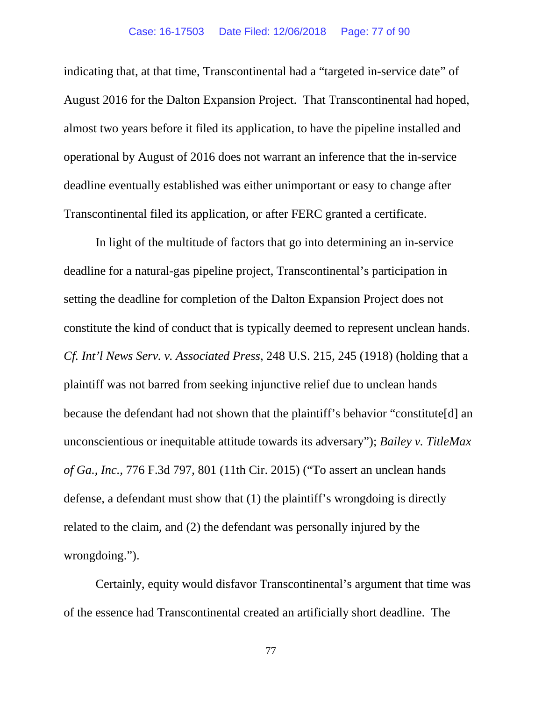### Case: 16-17503 Date Filed: 12/06/2018 Page: 77 of 90

indicating that, at that time, Transcontinental had a "targeted in-service date" of August 2016 for the Dalton Expansion Project. That Transcontinental had hoped, almost two years before it filed its application, to have the pipeline installed and operational by August of 2016 does not warrant an inference that the in-service deadline eventually established was either unimportant or easy to change after Transcontinental filed its application, or after FERC granted a certificate.

In light of the multitude of factors that go into determining an in-service deadline for a natural-gas pipeline project, Transcontinental's participation in setting the deadline for completion of the Dalton Expansion Project does not constitute the kind of conduct that is typically deemed to represent unclean hands. *Cf. Int'l News Serv. v. Associated Press*, 248 U.S. 215, 245 (1918) (holding that a plaintiff was not barred from seeking injunctive relief due to unclean hands because the defendant had not shown that the plaintiff's behavior "constitute[d] an unconscientious or inequitable attitude towards its adversary"); *Bailey v. TitleMax of Ga., Inc.*, 776 F.3d 797, 801 (11th Cir. 2015) ("To assert an unclean hands defense, a defendant must show that (1) the plaintiff's wrongdoing is directly related to the claim, and (2) the defendant was personally injured by the wrongdoing.").

Certainly, equity would disfavor Transcontinental's argument that time was of the essence had Transcontinental created an artificially short deadline. The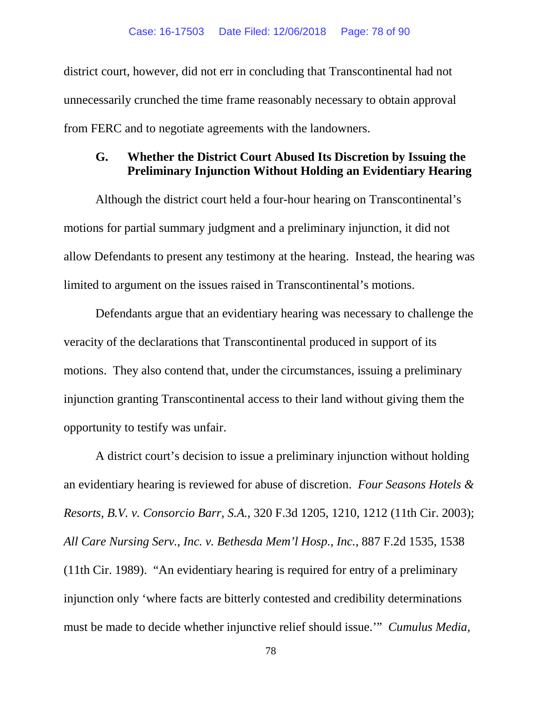district court, however, did not err in concluding that Transcontinental had not unnecessarily crunched the time frame reasonably necessary to obtain approval from FERC and to negotiate agreements with the landowners.

# **G. Whether the District Court Abused Its Discretion by Issuing the Preliminary Injunction Without Holding an Evidentiary Hearing**

Although the district court held a four-hour hearing on Transcontinental's motions for partial summary judgment and a preliminary injunction, it did not allow Defendants to present any testimony at the hearing. Instead, the hearing was limited to argument on the issues raised in Transcontinental's motions.

Defendants argue that an evidentiary hearing was necessary to challenge the veracity of the declarations that Transcontinental produced in support of its motions. They also contend that, under the circumstances, issuing a preliminary injunction granting Transcontinental access to their land without giving them the opportunity to testify was unfair.

A district court's decision to issue a preliminary injunction without holding an evidentiary hearing is reviewed for abuse of discretion. *Four Seasons Hotels & Resorts, B.V. v. Consorcio Barr, S.A.*, 320 F.3d 1205, 1210, 1212 (11th Cir. 2003); *All Care Nursing Serv., Inc. v. Bethesda Mem'l Hosp., Inc.*, 887 F.2d 1535, 1538 (11th Cir. 1989). "An evidentiary hearing is required for entry of a preliminary injunction only 'where facts are bitterly contested and credibility determinations must be made to decide whether injunctive relief should issue.'" *Cumulus Media,*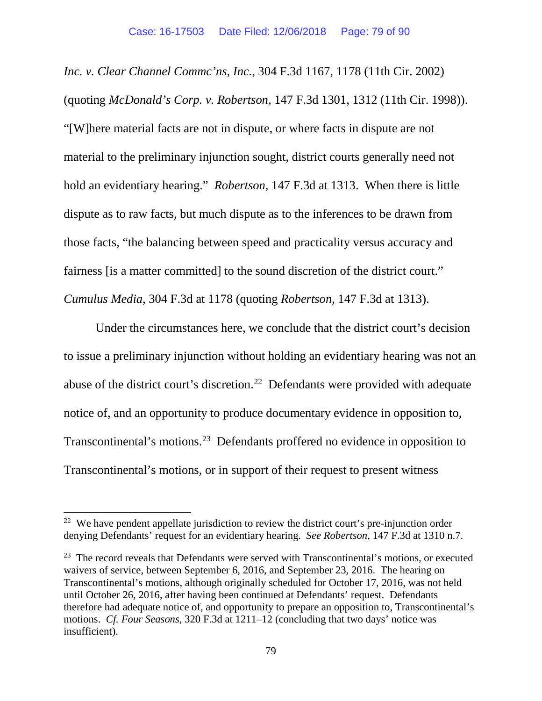*Inc. v. Clear Channel Commc'ns, Inc.*, 304 F.3d 1167, 1178 (11th Cir. 2002) (quoting *McDonald's Corp. v. Robertson*, 147 F.3d 1301, 1312 (11th Cir. 1998)). "[W]here material facts are not in dispute, or where facts in dispute are not material to the preliminary injunction sought, district courts generally need not hold an evidentiary hearing." *Robertson*, 147 F.3d at 1313. When there is little dispute as to raw facts, but much dispute as to the inferences to be drawn from those facts, "the balancing between speed and practicality versus accuracy and fairness [is a matter committed] to the sound discretion of the district court." *Cumulus Media*, 304 F.3d at 1178 (quoting *Robertson*, 147 F.3d at 1313).

Under the circumstances here, we conclude that the district court's decision to issue a preliminary injunction without holding an evidentiary hearing was not an abuse of the district court's discretion.<sup>[22](#page-78-0)</sup> Defendants were provided with adequate notice of, and an opportunity to produce documentary evidence in opposition to, Transcontinental's motions.[23](#page-78-1) Defendants proffered no evidence in opposition to Transcontinental's motions, or in support of their request to present witness

<span id="page-78-0"></span> $22$  We have pendent appellate jurisdiction to review the district court's pre-injunction order denying Defendants' request for an evidentiary hearing. *See Robertson*, 147 F.3d at 1310 n.7.

<span id="page-78-1"></span> $23$  The record reveals that Defendants were served with Transcontinental's motions, or executed waivers of service, between September 6, 2016, and September 23, 2016. The hearing on Transcontinental's motions, although originally scheduled for October 17, 2016, was not held until October 26, 2016, after having been continued at Defendants' request. Defendants therefore had adequate notice of, and opportunity to prepare an opposition to, Transcontinental's motions. *Cf. Four Seasons*, 320 F.3d at 1211–12 (concluding that two days' notice was insufficient).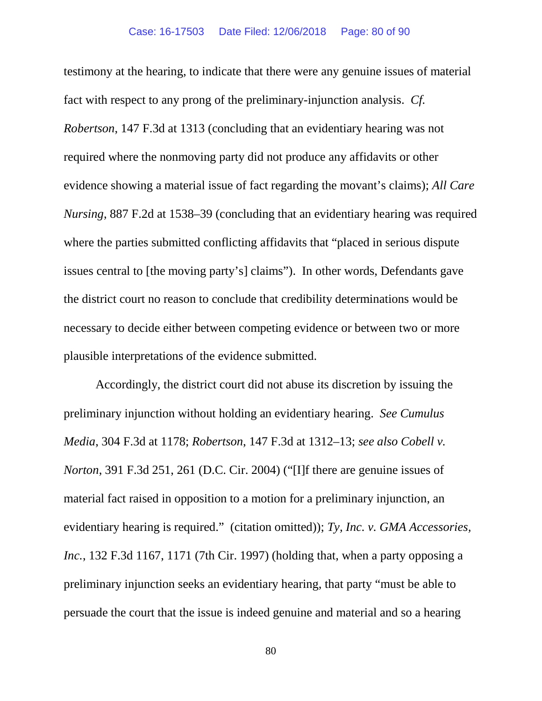testimony at the hearing, to indicate that there were any genuine issues of material fact with respect to any prong of the preliminary-injunction analysis. *Cf. Robertson*, 147 F.3d at 1313 (concluding that an evidentiary hearing was not required where the nonmoving party did not produce any affidavits or other evidence showing a material issue of fact regarding the movant's claims); *All Care Nursing*, 887 F.2d at 1538–39 (concluding that an evidentiary hearing was required where the parties submitted conflicting affidavits that "placed in serious dispute issues central to [the moving party's] claims"). In other words, Defendants gave the district court no reason to conclude that credibility determinations would be necessary to decide either between competing evidence or between two or more plausible interpretations of the evidence submitted.

Accordingly, the district court did not abuse its discretion by issuing the preliminary injunction without holding an evidentiary hearing. *See Cumulus Media*, 304 F.3d at 1178; *Robertson*, 147 F.3d at 1312–13; *see also Cobell v. Norton*, 391 F.3d 251, 261 (D.C. Cir. 2004) ("[I]f there are genuine issues of material fact raised in opposition to a motion for a preliminary injunction, an evidentiary hearing is required." (citation omitted)); *Ty, Inc. v. GMA Accessories, Inc.*, 132 F.3d 1167, 1171 (7th Cir. 1997) (holding that, when a party opposing a preliminary injunction seeks an evidentiary hearing, that party "must be able to persuade the court that the issue is indeed genuine and material and so a hearing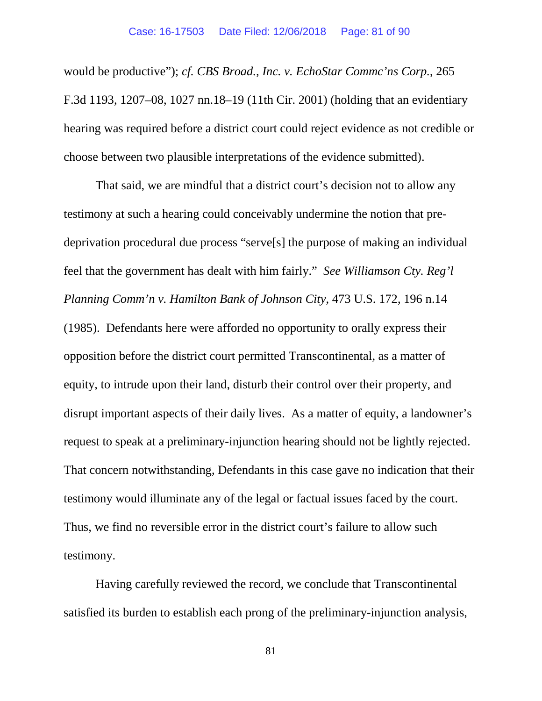would be productive"); *cf. CBS Broad., Inc. v. EchoStar Commc'ns Corp.*, 265 F.3d 1193, 1207–08, 1027 nn.18–19 (11th Cir. 2001) (holding that an evidentiary hearing was required before a district court could reject evidence as not credible or choose between two plausible interpretations of the evidence submitted).

That said, we are mindful that a district court's decision not to allow any testimony at such a hearing could conceivably undermine the notion that predeprivation procedural due process "serve[s] the purpose of making an individual feel that the government has dealt with him fairly." *See Williamson Cty. Reg'l Planning Comm'n v. Hamilton Bank of Johnson City*, 473 U.S. 172, 196 n.14 (1985). Defendants here were afforded no opportunity to orally express their opposition before the district court permitted Transcontinental, as a matter of equity, to intrude upon their land, disturb their control over their property, and disrupt important aspects of their daily lives. As a matter of equity, a landowner's request to speak at a preliminary-injunction hearing should not be lightly rejected. That concern notwithstanding, Defendants in this case gave no indication that their testimony would illuminate any of the legal or factual issues faced by the court. Thus, we find no reversible error in the district court's failure to allow such testimony.

Having carefully reviewed the record, we conclude that Transcontinental satisfied its burden to establish each prong of the preliminary-injunction analysis,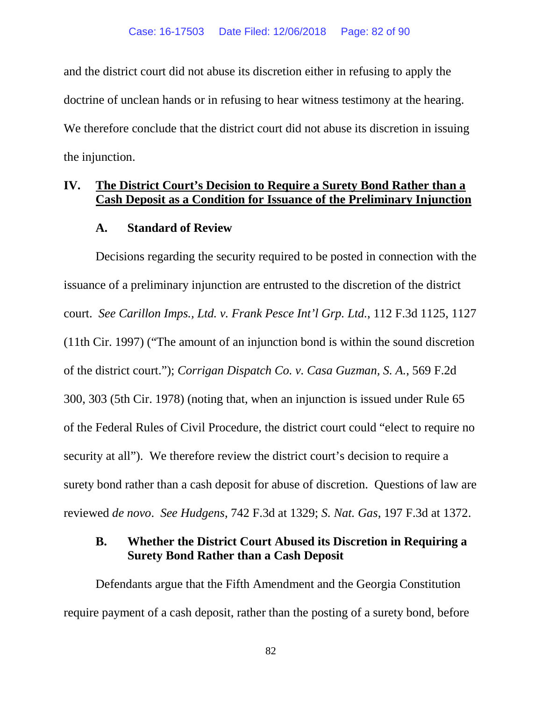and the district court did not abuse its discretion either in refusing to apply the doctrine of unclean hands or in refusing to hear witness testimony at the hearing. We therefore conclude that the district court did not abuse its discretion in issuing the injunction.

# **IV. The District Court's Decision to Require a Surety Bond Rather than a Cash Deposit as a Condition for Issuance of the Preliminary Injunction**

## **A. Standard of Review**

Decisions regarding the security required to be posted in connection with the issuance of a preliminary injunction are entrusted to the discretion of the district court. *See Carillon Imps., Ltd. v. Frank Pesce Int'l Grp. Ltd.*, 112 F.3d 1125, 1127 (11th Cir. 1997) ("The amount of an injunction bond is within the sound discretion of the district court."); *Corrigan Dispatch Co. v. Casa Guzman, S. A.*, 569 F.2d 300, 303 (5th Cir. 1978) (noting that, when an injunction is issued under Rule 65 of the Federal Rules of Civil Procedure, the district court could "elect to require no security at all"). We therefore review the district court's decision to require a surety bond rather than a cash deposit for abuse of discretion. Questions of law are reviewed *de novo*. *See Hudgens*, 742 F.3d at 1329; *S. Nat. Gas*, 197 F.3d at 1372.

## **B. Whether the District Court Abused its Discretion in Requiring a Surety Bond Rather than a Cash Deposit**

Defendants argue that the Fifth Amendment and the Georgia Constitution require payment of a cash deposit, rather than the posting of a surety bond, before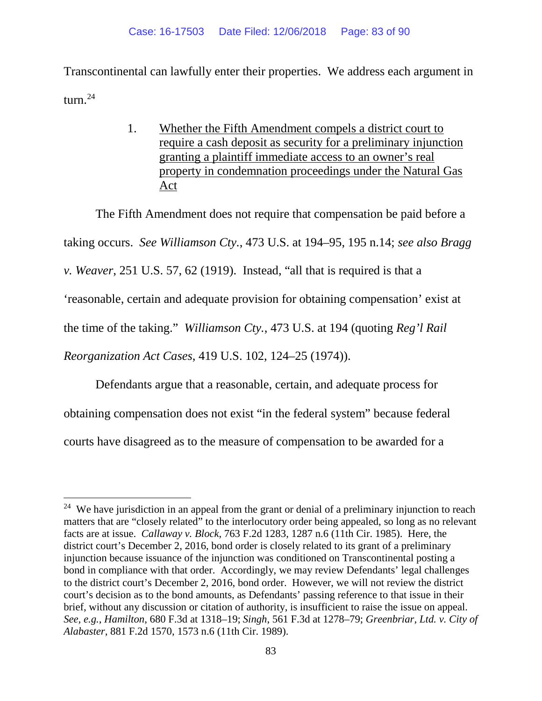Transcontinental can lawfully enter their properties. We address each argument in turn. $^{24}$  $^{24}$  $^{24}$ 

> 1. Whether the Fifth Amendment compels a district court to require a cash deposit as security for a preliminary injunction granting a plaintiff immediate access to an owner's real property in condemnation proceedings under the Natural Gas Act

The Fifth Amendment does not require that compensation be paid before a taking occurs. *See Williamson Cty.*, 473 U.S. at 194–95, 195 n.14; *see also Bragg v. Weaver*, 251 U.S. 57, 62 (1919). Instead, "all that is required is that a 'reasonable, certain and adequate provision for obtaining compensation' exist at the time of the taking." *Williamson Cty.*, 473 U.S. at 194 (quoting *Reg'l Rail Reorganization Act Cases*, 419 U.S. 102, 124–25 (1974)).

Defendants argue that a reasonable, certain, and adequate process for obtaining compensation does not exist "in the federal system" because federal courts have disagreed as to the measure of compensation to be awarded for a

<span id="page-82-0"></span><sup>&</sup>lt;sup>24</sup> We have jurisdiction in an appeal from the grant or denial of a preliminary injunction to reach matters that are "closely related" to the interlocutory order being appealed, so long as no relevant facts are at issue. *Callaway v. Block*, 763 F.2d 1283, 1287 n.6 (11th Cir. 1985). Here, the district court's December 2, 2016, bond order is closely related to its grant of a preliminary injunction because issuance of the injunction was conditioned on Transcontinental posting a bond in compliance with that order. Accordingly, we may review Defendants' legal challenges to the district court's December 2, 2016, bond order. However, we will not review the district court's decision as to the bond amounts, as Defendants' passing reference to that issue in their brief, without any discussion or citation of authority, is insufficient to raise the issue on appeal. *See, e.g.*, *Hamilton*, 680 F.3d at 1318–19; *Singh*, 561 F.3d at 1278–79; *Greenbriar, Ltd. v. City of Alabaster*, 881 F.2d 1570, 1573 n.6 (11th Cir. 1989).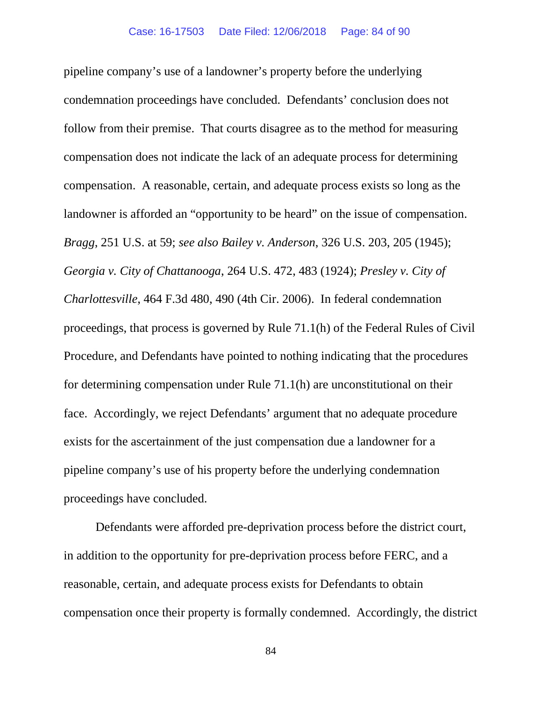pipeline company's use of a landowner's property before the underlying condemnation proceedings have concluded. Defendants' conclusion does not follow from their premise. That courts disagree as to the method for measuring compensation does not indicate the lack of an adequate process for determining compensation. A reasonable, certain, and adequate process exists so long as the landowner is afforded an "opportunity to be heard" on the issue of compensation. *Bragg*, 251 U.S. at 59; *see also Bailey v. Anderson*, 326 U.S. 203, 205 (1945); *Georgia v. City of Chattanooga*, 264 U.S. 472, 483 (1924); *Presley v. City of Charlottesville*, 464 F.3d 480, 490 (4th Cir. 2006). In federal condemnation proceedings, that process is governed by Rule 71.1(h) of the Federal Rules of Civil Procedure, and Defendants have pointed to nothing indicating that the procedures for determining compensation under Rule 71.1(h) are unconstitutional on their face. Accordingly, we reject Defendants' argument that no adequate procedure exists for the ascertainment of the just compensation due a landowner for a pipeline company's use of his property before the underlying condemnation proceedings have concluded.

Defendants were afforded pre-deprivation process before the district court, in addition to the opportunity for pre-deprivation process before FERC, and a reasonable, certain, and adequate process exists for Defendants to obtain compensation once their property is formally condemned. Accordingly, the district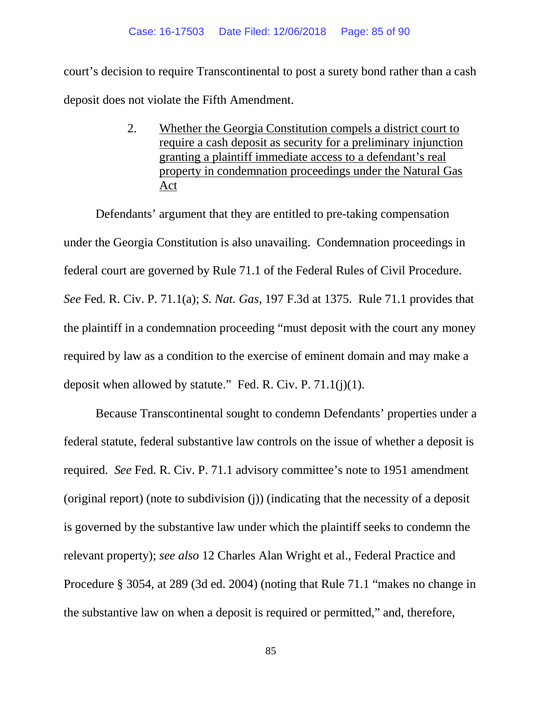court's decision to require Transcontinental to post a surety bond rather than a cash deposit does not violate the Fifth Amendment.

> 2. Whether the Georgia Constitution compels a district court to require a cash deposit as security for a preliminary injunction granting a plaintiff immediate access to a defendant's real property in condemnation proceedings under the Natural Gas Act

Defendants' argument that they are entitled to pre-taking compensation under the Georgia Constitution is also unavailing. Condemnation proceedings in federal court are governed by Rule 71.1 of the Federal Rules of Civil Procedure. *See* Fed. R. Civ. P. 71.1(a); *S. Nat. Gas*, 197 F.3d at 1375. Rule 71.1 provides that the plaintiff in a condemnation proceeding "must deposit with the court any money required by law as a condition to the exercise of eminent domain and may make a deposit when allowed by statute." Fed. R. Civ. P.  $71.1(j)(1)$ .

Because Transcontinental sought to condemn Defendants' properties under a federal statute, federal substantive law controls on the issue of whether a deposit is required. *See* Fed. R. Civ. P. 71.1 advisory committee's note to 1951 amendment (original report) (note to subdivision (j)) (indicating that the necessity of a deposit is governed by the substantive law under which the plaintiff seeks to condemn the relevant property); *see also* 12 Charles Alan Wright et al., Federal Practice and Procedure § 3054, at 289 (3d ed. 2004) (noting that Rule 71.1 "makes no change in the substantive law on when a deposit is required or permitted," and, therefore,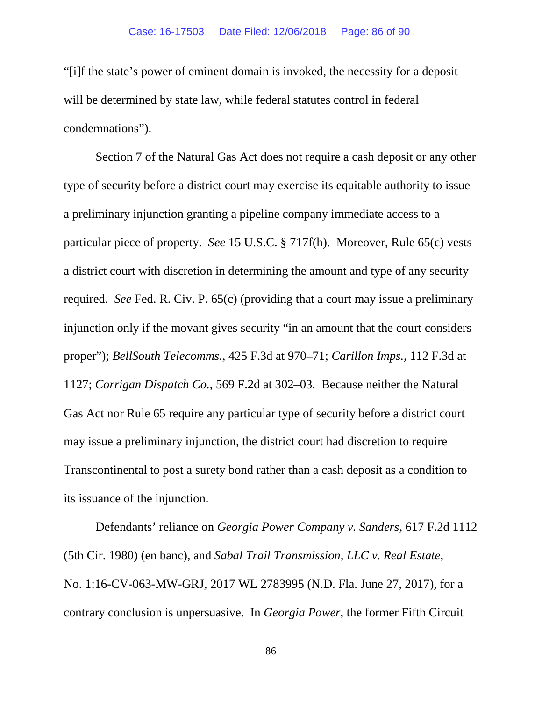"[i]f the state's power of eminent domain is invoked, the necessity for a deposit will be determined by state law, while federal statutes control in federal condemnations").

Section 7 of the Natural Gas Act does not require a cash deposit or any other type of security before a district court may exercise its equitable authority to issue a preliminary injunction granting a pipeline company immediate access to a particular piece of property. *See* 15 U.S.C. § 717f(h). Moreover, Rule 65(c) vests a district court with discretion in determining the amount and type of any security required. *See* Fed. R. Civ. P. 65(c) (providing that a court may issue a preliminary injunction only if the movant gives security "in an amount that the court considers proper"); *BellSouth Telecomms.*, 425 F.3d at 970–71; *Carillon Imps.*, 112 F.3d at 1127; *Corrigan Dispatch Co.*, 569 F.2d at 302–03. Because neither the Natural Gas Act nor Rule 65 require any particular type of security before a district court may issue a preliminary injunction, the district court had discretion to require Transcontinental to post a surety bond rather than a cash deposit as a condition to its issuance of the injunction.

Defendants' reliance on *Georgia Power Company v. Sanders*, 617 F.2d 1112 (5th Cir. 1980) (en banc), and *Sabal Trail Transmission, LLC v. Real Estate*, No. 1:16-CV-063-MW-GRJ, 2017 WL 2783995 (N.D. Fla. June 27, 2017), for a contrary conclusion is unpersuasive. In *Georgia Power*, the former Fifth Circuit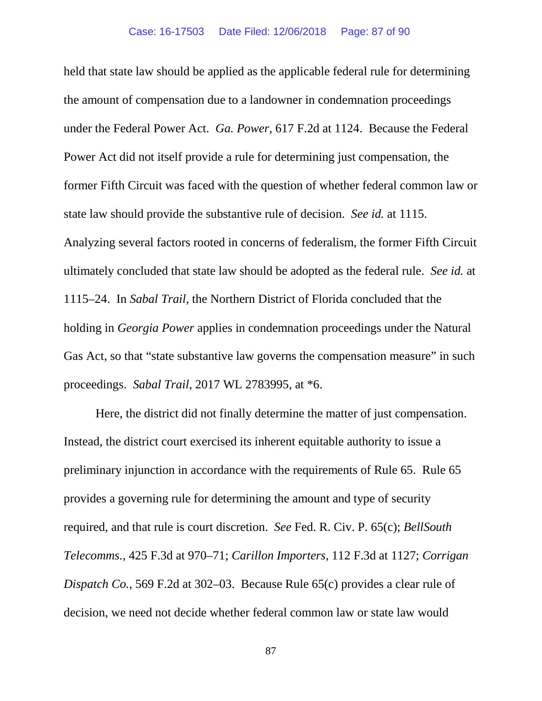held that state law should be applied as the applicable federal rule for determining the amount of compensation due to a landowner in condemnation proceedings under the Federal Power Act. *Ga. Power*, 617 F.2d at 1124. Because the Federal Power Act did not itself provide a rule for determining just compensation, the former Fifth Circuit was faced with the question of whether federal common law or state law should provide the substantive rule of decision. *See id.* at 1115. Analyzing several factors rooted in concerns of federalism, the former Fifth Circuit ultimately concluded that state law should be adopted as the federal rule. *See id.* at 1115–24. In *Sabal Trail*, the Northern District of Florida concluded that the holding in *Georgia Power* applies in condemnation proceedings under the Natural Gas Act, so that "state substantive law governs the compensation measure" in such proceedings. *Sabal Trail*, 2017 WL 2783995, at \*6.

Here, the district did not finally determine the matter of just compensation. Instead, the district court exercised its inherent equitable authority to issue a preliminary injunction in accordance with the requirements of Rule 65. Rule 65 provides a governing rule for determining the amount and type of security required, and that rule is court discretion. *See* Fed. R. Civ. P. 65(c); *BellSouth Telecomms.*, 425 F.3d at 970–71; *Carillon Importers*, 112 F.3d at 1127; *Corrigan Dispatch Co.*, 569 F.2d at 302–03. Because Rule 65(c) provides a clear rule of decision, we need not decide whether federal common law or state law would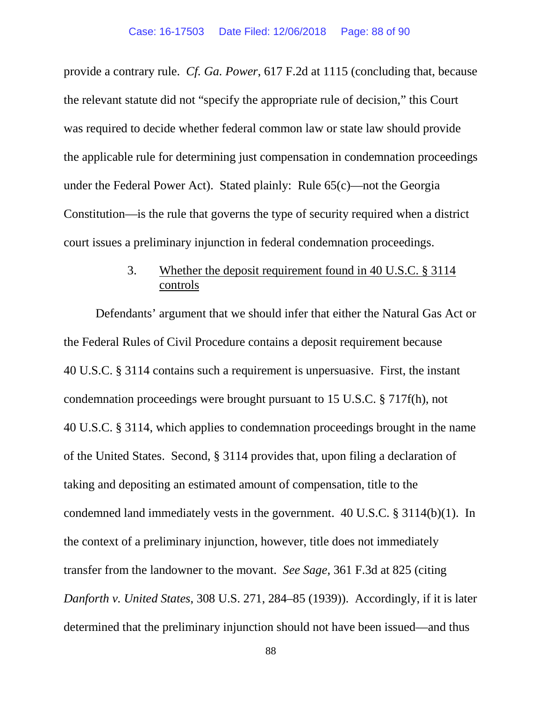provide a contrary rule. *Cf. Ga. Power*, 617 F.2d at 1115 (concluding that, because the relevant statute did not "specify the appropriate rule of decision," this Court was required to decide whether federal common law or state law should provide the applicable rule for determining just compensation in condemnation proceedings under the Federal Power Act). Stated plainly: Rule 65(c)—not the Georgia Constitution—is the rule that governs the type of security required when a district court issues a preliminary injunction in federal condemnation proceedings.

# 3. Whether the deposit requirement found in 40 U.S.C. § 3114 controls

Defendants' argument that we should infer that either the Natural Gas Act or the Federal Rules of Civil Procedure contains a deposit requirement because 40 U.S.C. § 3114 contains such a requirement is unpersuasive. First, the instant condemnation proceedings were brought pursuant to 15 U.S.C. § 717f(h), not 40 U.S.C. § 3114, which applies to condemnation proceedings brought in the name of the United States. Second, § 3114 provides that, upon filing a declaration of taking and depositing an estimated amount of compensation, title to the condemned land immediately vests in the government. 40 U.S.C. § 3114(b)(1). In the context of a preliminary injunction, however, title does not immediately transfer from the landowner to the movant. *See Sage*, 361 F.3d at 825 (citing *Danforth v. United States*, 308 U.S. 271, 284–85 (1939)). Accordingly, if it is later determined that the preliminary injunction should not have been issued—and thus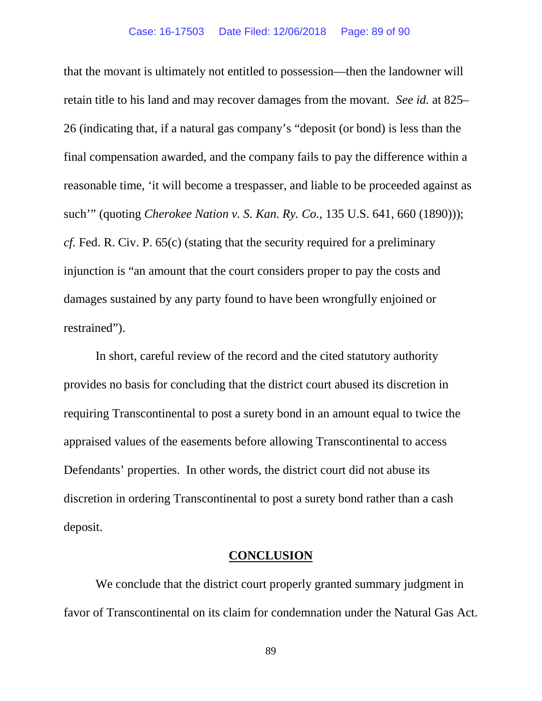that the movant is ultimately not entitled to possession—then the landowner will retain title to his land and may recover damages from the movant. *See id.* at 825– 26 (indicating that, if a natural gas company's "deposit (or bond) is less than the final compensation awarded, and the company fails to pay the difference within a reasonable time, 'it will become a trespasser, and liable to be proceeded against as such'" (quoting *Cherokee Nation v. S. Kan. Ry. Co.*, 135 U.S. 641, 660 (1890))); *cf.* Fed. R. Civ. P. 65(c) (stating that the security required for a preliminary injunction is "an amount that the court considers proper to pay the costs and damages sustained by any party found to have been wrongfully enjoined or restrained").

In short, careful review of the record and the cited statutory authority provides no basis for concluding that the district court abused its discretion in requiring Transcontinental to post a surety bond in an amount equal to twice the appraised values of the easements before allowing Transcontinental to access Defendants' properties. In other words, the district court did not abuse its discretion in ordering Transcontinental to post a surety bond rather than a cash deposit.

### **CONCLUSION**

We conclude that the district court properly granted summary judgment in favor of Transcontinental on its claim for condemnation under the Natural Gas Act.